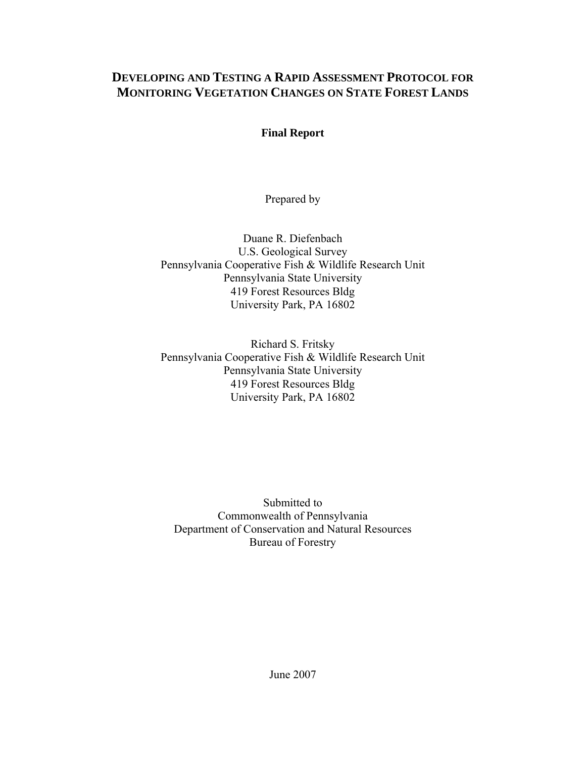# **DEVELOPING AND TESTING A RAPID ASSESSMENT PROTOCOL FOR MONITORING VEGETATION CHANGES ON STATE FOREST LANDS**

# **Final Report**

Prepared by

Duane R. Diefenbach U.S. Geological Survey Pennsylvania Cooperative Fish & Wildlife Research Unit Pennsylvania State University 419 Forest Resources Bldg University Park, PA 16802

Richard S. Fritsky Pennsylvania Cooperative Fish & Wildlife Research Unit Pennsylvania State University 419 Forest Resources Bldg University Park, PA 16802

Submitted to Commonwealth of Pennsylvania Department of Conservation and Natural Resources Bureau of Forestry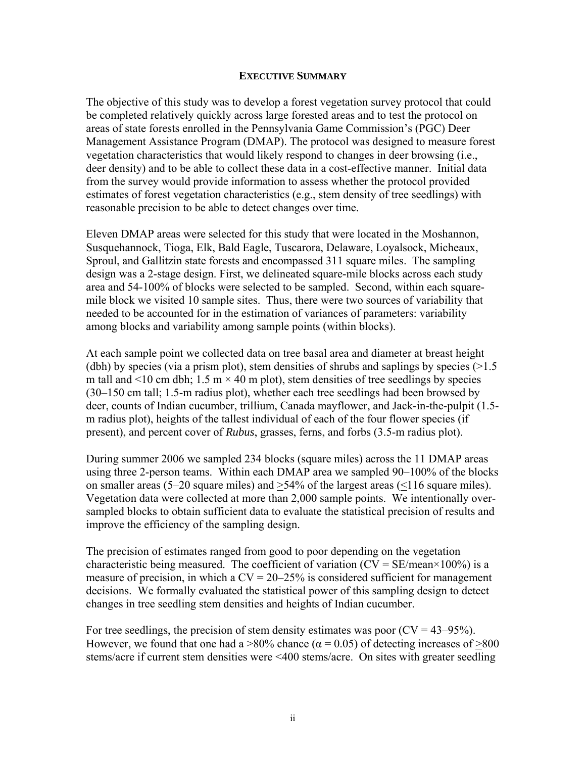#### **EXECUTIVE SUMMARY**

The objective of this study was to develop a forest vegetation survey protocol that could be completed relatively quickly across large forested areas and to test the protocol on areas of state forests enrolled in the Pennsylvania Game Commission's (PGC) Deer Management Assistance Program (DMAP). The protocol was designed to measure forest vegetation characteristics that would likely respond to changes in deer browsing (i.e., deer density) and to be able to collect these data in a cost-effective manner. Initial data from the survey would provide information to assess whether the protocol provided estimates of forest vegetation characteristics (e.g., stem density of tree seedlings) with reasonable precision to be able to detect changes over time.

Eleven DMAP areas were selected for this study that were located in the Moshannon, Susquehannock, Tioga, Elk, Bald Eagle, Tuscarora, Delaware, Loyalsock, Micheaux, Sproul, and Gallitzin state forests and encompassed 311 square miles. The sampling design was a 2-stage design. First, we delineated square-mile blocks across each study area and 54-100% of blocks were selected to be sampled. Second, within each squaremile block we visited 10 sample sites. Thus, there were two sources of variability that needed to be accounted for in the estimation of variances of parameters: variability among blocks and variability among sample points (within blocks).

At each sample point we collected data on tree basal area and diameter at breast height (dbh) by species (via a prism plot), stem densities of shrubs and saplings by species  $(>1.5)$ m tall and  $\leq 10$  cm dbh; 1.5 m  $\times$  40 m plot), stem densities of tree seedlings by species (30–150 cm tall; 1.5-m radius plot), whether each tree seedlings had been browsed by deer, counts of Indian cucumber, trillium, Canada mayflower, and Jack-in-the-pulpit (1.5 m radius plot), heights of the tallest individual of each of the four flower species (if present), and percent cover of *Rubus*, grasses, ferns, and forbs (3.5-m radius plot).

During summer 2006 we sampled 234 blocks (square miles) across the 11 DMAP areas using three 2-person teams. Within each DMAP area we sampled 90–100% of the blocks on smaller areas (5–20 square miles) and  $\geq$ 54% of the largest areas ( $\leq$ 116 square miles). Vegetation data were collected at more than 2,000 sample points. We intentionally oversampled blocks to obtain sufficient data to evaluate the statistical precision of results and improve the efficiency of the sampling design.

The precision of estimates ranged from good to poor depending on the vegetation characteristic being measured. The coefficient of variation  $(CV = SE/mean \times 100\%)$  is a measure of precision, in which a  $CV = 20-25\%$  is considered sufficient for management decisions. We formally evaluated the statistical power of this sampling design to detect changes in tree seedling stem densities and heights of Indian cucumber.

For tree seedlings, the precision of stem density estimates was poor  $(CV = 43-95\%)$ . However, we found that one had a  $>80\%$  chance ( $\alpha = 0.05$ ) of detecting increases of  $>800$ stems/acre if current stem densities were <400 stems/acre. On sites with greater seedling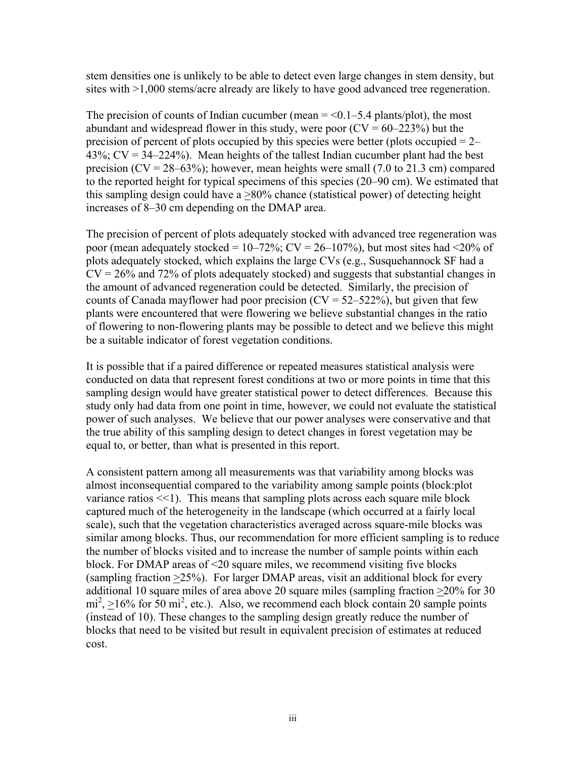stem densities one is unlikely to be able to detect even large changes in stem density, but sites with >1,000 stems/acre already are likely to have good advanced tree regeneration.

The precision of counts of Indian cucumber (mean  $=$  <0.1–5.4 plants/plot), the most abundant and widespread flower in this study, were poor  $(CV = 60-223%)$  but the precision of percent of plots occupied by this species were better (plots occupied  $= 2 43\%$ ; CV =  $34-224\%$ ). Mean heights of the tallest Indian cucumber plant had the best precision  $(CV = 28-63%)$ ; however, mean heights were small (7.0 to 21.3 cm) compared to the reported height for typical specimens of this species (20–90 cm). We estimated that this sampling design could have a >80% chance (statistical power) of detecting height increases of 8–30 cm depending on the DMAP area.

The precision of percent of plots adequately stocked with advanced tree regeneration was poor (mean adequately stocked =  $10-72\%$ ; CV =  $26-107\%$ ), but most sites had <20% of plots adequately stocked, which explains the large CVs (e.g., Susquehannock SF had a  $CV = 26\%$  and 72% of plots adequately stocked) and suggests that substantial changes in the amount of advanced regeneration could be detected. Similarly, the precision of counts of Canada mayflower had poor precision  $(CV = 52-522\%)$ , but given that few plants were encountered that were flowering we believe substantial changes in the ratio of flowering to non-flowering plants may be possible to detect and we believe this might be a suitable indicator of forest vegetation conditions.

It is possible that if a paired difference or repeated measures statistical analysis were conducted on data that represent forest conditions at two or more points in time that this sampling design would have greater statistical power to detect differences. Because this study only had data from one point in time, however, we could not evaluate the statistical power of such analyses. We believe that our power analyses were conservative and that the true ability of this sampling design to detect changes in forest vegetation may be equal to, or better, than what is presented in this report.

A consistent pattern among all measurements was that variability among blocks was almost inconsequential compared to the variability among sample points (block:plot variance ratios  $\leq$ 1). This means that sampling plots across each square mile block captured much of the heterogeneity in the landscape (which occurred at a fairly local scale), such that the vegetation characteristics averaged across square-mile blocks was similar among blocks. Thus, our recommendation for more efficient sampling is to reduce the number of blocks visited and to increase the number of sample points within each block. For DMAP areas of <20 square miles, we recommend visiting five blocks (sampling fraction >25%). For larger DMAP areas, visit an additional block for every additional 10 square miles of area above 20 square miles (sampling fraction >20% for 30  $mi^2$ ,  $\geq$ 16% for 50 mi<sup>2</sup>, etc.). Also, we recommend each block contain 20 sample points (instead of 10). These changes to the sampling design greatly reduce the number of blocks that need to be visited but result in equivalent precision of estimates at reduced cost.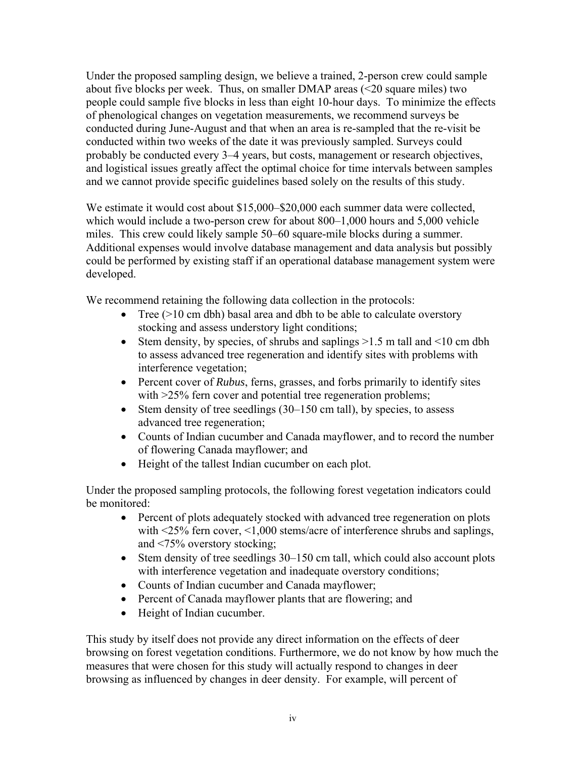Under the proposed sampling design, we believe a trained, 2-person crew could sample about five blocks per week. Thus, on smaller DMAP areas (<20 square miles) two people could sample five blocks in less than eight 10-hour days. To minimize the effects of phenological changes on vegetation measurements, we recommend surveys be conducted during June-August and that when an area is re-sampled that the re-visit be conducted within two weeks of the date it was previously sampled. Surveys could probably be conducted every 3–4 years, but costs, management or research objectives, and logistical issues greatly affect the optimal choice for time intervals between samples and we cannot provide specific guidelines based solely on the results of this study.

We estimate it would cost about \$15,000–\$20,000 each summer data were collected, which would include a two-person crew for about 800–1,000 hours and 5,000 vehicle miles. This crew could likely sample 50–60 square-mile blocks during a summer. Additional expenses would involve database management and data analysis but possibly could be performed by existing staff if an operational database management system were developed.

We recommend retaining the following data collection in the protocols:

- Tree  $(>10 \text{ cm}$  dbh) basal area and dbh to be able to calculate overstory stocking and assess understory light conditions;
- Stem density, by species, of shrubs and saplings  $>1.5$  m tall and  $<10$  cm dbh to assess advanced tree regeneration and identify sites with problems with interference vegetation;
- Percent cover of *Rubus*, ferns, grasses, and forbs primarily to identify sites with  $>25\%$  fern cover and potential tree regeneration problems;
- Stem density of tree seedlings (30–150 cm tall), by species, to assess advanced tree regeneration;
- Counts of Indian cucumber and Canada mayflower, and to record the number of flowering Canada mayflower; and
- Height of the tallest Indian cucumber on each plot.

Under the proposed sampling protocols, the following forest vegetation indicators could be monitored:

- Percent of plots adequately stocked with advanced tree regeneration on plots with <25% fern cover, <1,000 stems/acre of interference shrubs and saplings, and <75% overstory stocking;
- Stem density of tree seedlings 30–150 cm tall, which could also account plots with interference vegetation and inadequate overstory conditions;
- Counts of Indian cucumber and Canada mayflower;
- Percent of Canada mayflower plants that are flowering; and
- Height of Indian cucumber.

This study by itself does not provide any direct information on the effects of deer browsing on forest vegetation conditions. Furthermore, we do not know by how much the measures that were chosen for this study will actually respond to changes in deer browsing as influenced by changes in deer density. For example, will percent of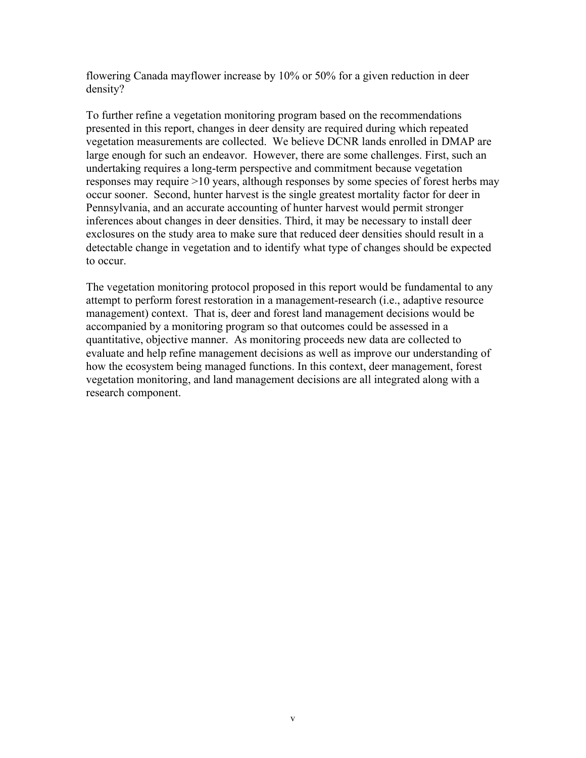flowering Canada mayflower increase by 10% or 50% for a given reduction in deer density?

To further refine a vegetation monitoring program based on the recommendations presented in this report, changes in deer density are required during which repeated vegetation measurements are collected. We believe DCNR lands enrolled in DMAP are large enough for such an endeavor. However, there are some challenges. First, such an undertaking requires a long-term perspective and commitment because vegetation responses may require >10 years, although responses by some species of forest herbs may occur sooner. Second, hunter harvest is the single greatest mortality factor for deer in Pennsylvania, and an accurate accounting of hunter harvest would permit stronger inferences about changes in deer densities. Third, it may be necessary to install deer exclosures on the study area to make sure that reduced deer densities should result in a detectable change in vegetation and to identify what type of changes should be expected to occur.

The vegetation monitoring protocol proposed in this report would be fundamental to any attempt to perform forest restoration in a management-research (i.e., adaptive resource management) context. That is, deer and forest land management decisions would be accompanied by a monitoring program so that outcomes could be assessed in a quantitative, objective manner. As monitoring proceeds new data are collected to evaluate and help refine management decisions as well as improve our understanding of how the ecosystem being managed functions. In this context, deer management, forest vegetation monitoring, and land management decisions are all integrated along with a research component.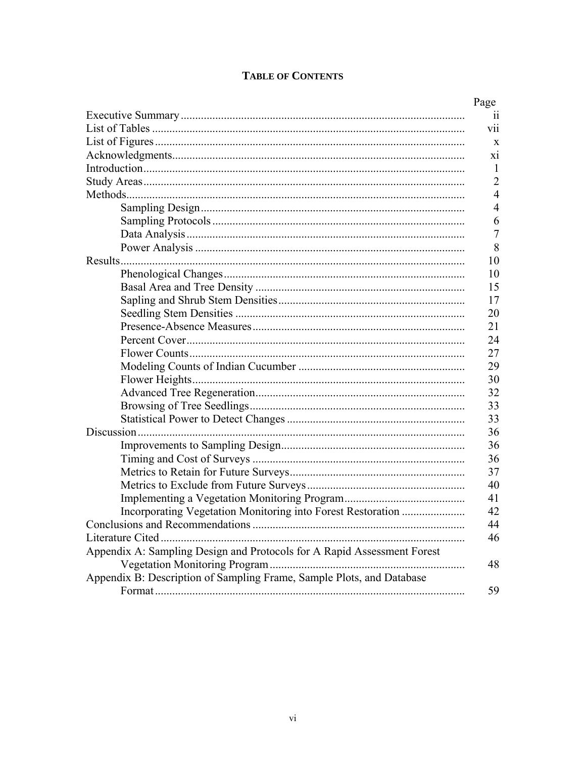# **TABLE OF CONTENTS**

| Incorporating Vegetation Monitoring into Forest Restoration             |
|-------------------------------------------------------------------------|
|                                                                         |
|                                                                         |
| Appendix A: Sampling Design and Protocols for A Rapid Assessment Forest |
|                                                                         |
| Appendix B: Description of Sampling Frame, Sample Plots, and Database   |
|                                                                         |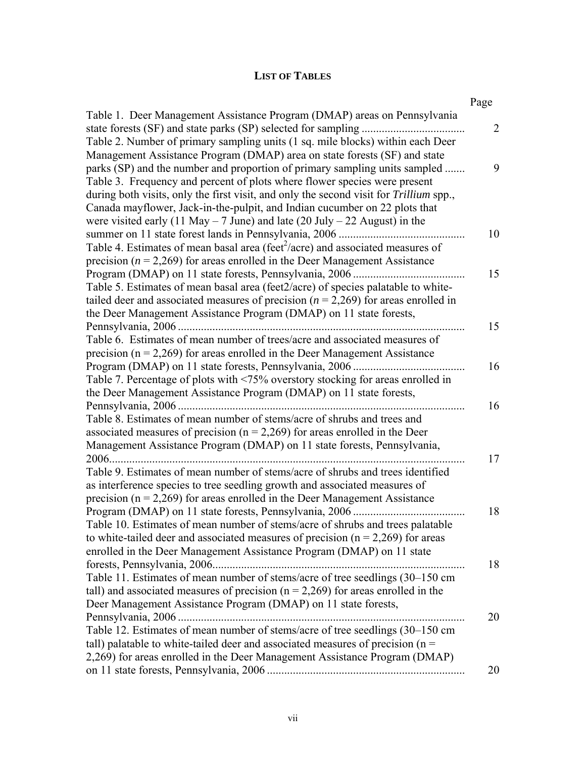# **LIST OF TABLES**

|                                                                                            | Page           |
|--------------------------------------------------------------------------------------------|----------------|
| Table 1. Deer Management Assistance Program (DMAP) areas on Pennsylvania                   |                |
|                                                                                            | $\overline{2}$ |
| Table 2. Number of primary sampling units (1 sq. mile blocks) within each Deer             |                |
| Management Assistance Program (DMAP) area on state forests (SF) and state                  |                |
| parks (SP) and the number and proportion of primary sampling units sampled                 | 9              |
| Table 3. Frequency and percent of plots where flower species were present                  |                |
| during both visits, only the first visit, and only the second visit for Trillium spp.,     |                |
| Canada mayflower, Jack-in-the-pulpit, and Indian cucumber on 22 plots that                 |                |
| were visited early (11 May – 7 June) and late (20 July – 22 August) in the                 |                |
|                                                                                            | 10             |
| Table 4. Estimates of mean basal area (feet <sup>2</sup> /acre) and associated measures of |                |
| precision ( $n = 2,269$ ) for areas enrolled in the Deer Management Assistance             |                |
|                                                                                            | 15             |
| Table 5. Estimates of mean basal area (feet2/acre) of species palatable to white-          |                |
| tailed deer and associated measures of precision ( $n = 2,269$ ) for areas enrolled in     |                |
| the Deer Management Assistance Program (DMAP) on 11 state forests,                         |                |
|                                                                                            | 15             |
| Table 6. Estimates of mean number of trees/acre and associated measures of                 |                |
| precision ( $n = 2,269$ ) for areas enrolled in the Deer Management Assistance             |                |
|                                                                                            | 16             |
| Table 7. Percentage of plots with <75% overstory stocking for areas enrolled in            |                |
| the Deer Management Assistance Program (DMAP) on 11 state forests,                         |                |
|                                                                                            | 16             |
| Table 8. Estimates of mean number of stems/acre of shrubs and trees and                    |                |
| associated measures of precision ( $n = 2,269$ ) for areas enrolled in the Deer            |                |
| Management Assistance Program (DMAP) on 11 state forests, Pennsylvania,                    |                |
|                                                                                            | 17             |
| Table 9. Estimates of mean number of stems/acre of shrubs and trees identified             |                |
| as interference species to tree seedling growth and associated measures of                 |                |
| precision ( $n = 2,269$ ) for areas enrolled in the Deer Management Assistance             |                |
|                                                                                            | 18             |
| Table 10. Estimates of mean number of stems/acre of shrubs and trees palatable             |                |
| to white-tailed deer and associated measures of precision ( $n = 2,269$ ) for areas        |                |
| enrolled in the Deer Management Assistance Program (DMAP) on 11 state                      |                |
|                                                                                            | 18             |
| Table 11. Estimates of mean number of stems/acre of tree seedlings (30-150 cm              |                |
| tall) and associated measures of precision ( $n = 2,269$ ) for areas enrolled in the       |                |
| Deer Management Assistance Program (DMAP) on 11 state forests,                             |                |
|                                                                                            | 20             |
| Table 12. Estimates of mean number of stems/acre of tree seedlings (30-150 cm              |                |
| tall) palatable to white-tailed deer and associated measures of precision ( $n =$          |                |
| 2,269) for areas enrolled in the Deer Management Assistance Program (DMAP)                 |                |
|                                                                                            | 20             |
|                                                                                            |                |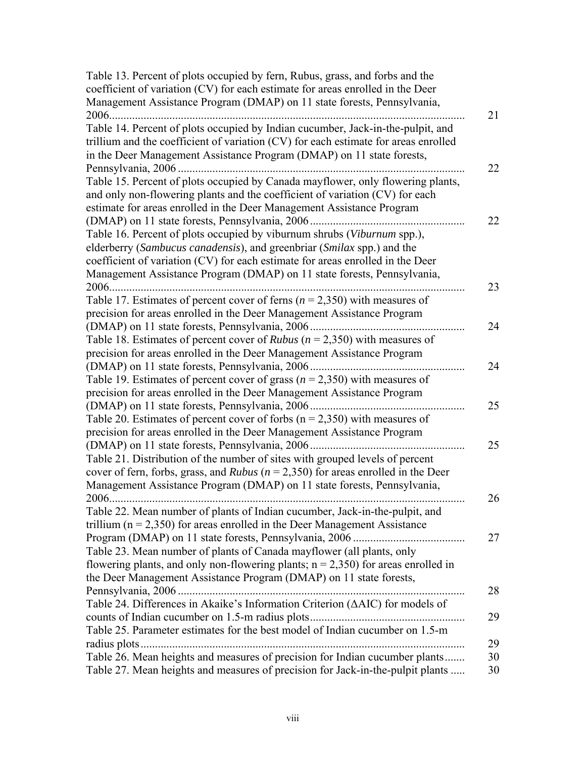| Table 13. Percent of plots occupied by fern, Rubus, grass, and forbs and the                 |    |
|----------------------------------------------------------------------------------------------|----|
| coefficient of variation (CV) for each estimate for areas enrolled in the Deer               |    |
| Management Assistance Program (DMAP) on 11 state forests, Pennsylvania,                      |    |
|                                                                                              | 21 |
| Table 14. Percent of plots occupied by Indian cucumber, Jack-in-the-pulpit, and              |    |
| trillium and the coefficient of variation (CV) for each estimate for areas enrolled          |    |
| in the Deer Management Assistance Program (DMAP) on 11 state forests,                        |    |
|                                                                                              | 22 |
| Table 15. Percent of plots occupied by Canada mayflower, only flowering plants,              |    |
| and only non-flowering plants and the coefficient of variation (CV) for each                 |    |
| estimate for areas enrolled in the Deer Management Assistance Program                        |    |
|                                                                                              | 22 |
| Table 16. Percent of plots occupied by viburnum shrubs (Viburnum spp.),                      |    |
| elderberry (Sambucus canadensis), and greenbriar (Smilax spp.) and the                       |    |
| coefficient of variation (CV) for each estimate for areas enrolled in the Deer               |    |
| Management Assistance Program (DMAP) on 11 state forests, Pennsylvania,                      |    |
| 2006                                                                                         | 23 |
| Table 17. Estimates of percent cover of ferns ( $n = 2,350$ ) with measures of               |    |
| precision for areas enrolled in the Deer Management Assistance Program                       |    |
| (DMAP) on 11 state forests, Pennsylvania, 2006                                               | 24 |
| Table 18. Estimates of percent cover of <i>Rubus</i> ( $n = 2,350$ ) with measures of        |    |
| precision for areas enrolled in the Deer Management Assistance Program                       |    |
|                                                                                              | 24 |
| Table 19. Estimates of percent cover of grass ( $n = 2,350$ ) with measures of               |    |
| precision for areas enrolled in the Deer Management Assistance Program                       | 25 |
| (DMAP) on 11 state forests, Pennsylvania, 2006                                               |    |
| Table 20. Estimates of percent cover of forbs ( $n = 2,350$ ) with measures of               |    |
| precision for areas enrolled in the Deer Management Assistance Program                       | 25 |
| Table 21. Distribution of the number of sites with grouped levels of percent                 |    |
| cover of fern, forbs, grass, and <i>Rubus</i> ( $n = 2,350$ ) for areas enrolled in the Deer |    |
| Management Assistance Program (DMAP) on 11 state forests, Pennsylvania,                      |    |
|                                                                                              | 26 |
| Table 22. Mean number of plants of Indian cucumber, Jack-in-the-pulpit, and                  |    |
| trillium ( $n = 2,350$ ) for areas enrolled in the Deer Management Assistance                |    |
|                                                                                              | 27 |
| Table 23. Mean number of plants of Canada mayflower (all plants, only                        |    |
| flowering plants, and only non-flowering plants; $n = 2,350$ for areas enrolled in           |    |
| the Deer Management Assistance Program (DMAP) on 11 state forests,                           |    |
|                                                                                              | 28 |
| Table 24. Differences in Akaike's Information Criterion ( $\triangle$ AIC) for models of     |    |
|                                                                                              | 29 |
| Table 25. Parameter estimates for the best model of Indian cucumber on 1.5-m                 |    |
|                                                                                              | 29 |
| Table 26. Mean heights and measures of precision for Indian cucumber plants                  | 30 |
| Table 27. Mean heights and measures of precision for Jack-in-the-pulpit plants               | 30 |
|                                                                                              |    |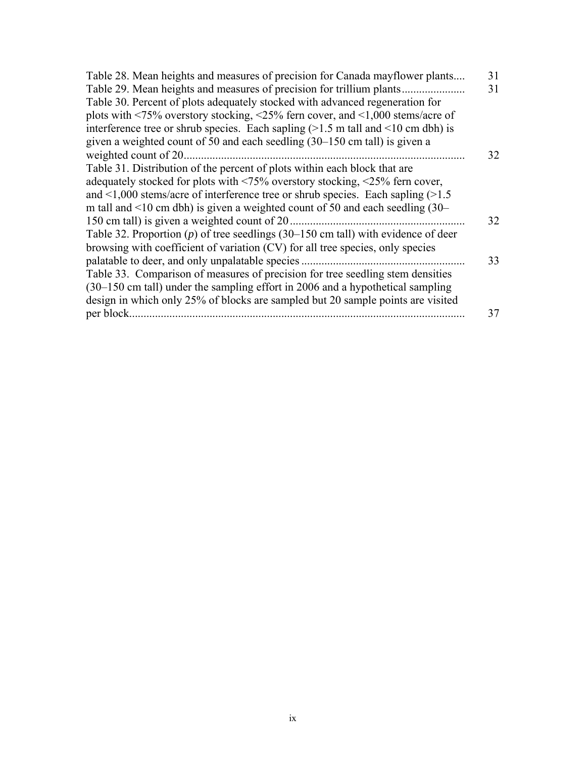| Table 28. Mean heights and measures of precision for Canada mayflower plants                                               | 31 |
|----------------------------------------------------------------------------------------------------------------------------|----|
| Table 29. Mean heights and measures of precision for trillium plants.                                                      | 31 |
| Table 30. Percent of plots adequately stocked with advanced regeneration for                                               |    |
| plots with $\langle 75\%$ overstory stocking, $\langle 25\%$ fern cover, and $\langle 1,000 \text{ stems/acre of} \rangle$ |    |
| interference tree or shrub species. Each sapling $(>1.5 \text{ m tall and } 10 \text{ cm dbh})$ is                         |    |
| given a weighted count of 50 and each seedling (30–150 cm tall) is given a                                                 |    |
| weighted count of 20.                                                                                                      | 32 |
| Table 31. Distribution of the percent of plots within each block that are                                                  |    |
| adequately stocked for plots with $\langle 75\%$ overstory stocking, $\langle 25\%$ fern cover,                            |    |
| and $\leq 1,000$ stems/acre of interference tree or shrub species. Each sapling ( $>1.5$ )                                 |    |
| m tall and $\leq 10$ cm dbh) is given a weighted count of 50 and each seedling (30–                                        |    |
| 150 cm tall) is given a weighted count of 20.                                                                              | 32 |
| Table 32. Proportion $(p)$ of tree seedlings (30–150 cm tall) with evidence of deer                                        |    |
| browsing with coefficient of variation (CV) for all tree species, only species                                             |    |
| palatable to deer, and only unpalatable species.                                                                           | 33 |
| Table 33. Comparison of measures of precision for tree seedling stem densities                                             |    |
| (30–150 cm tall) under the sampling effort in 2006 and a hypothetical sampling                                             |    |
| design in which only 25% of blocks are sampled but 20 sample points are visited                                            |    |
| per block.                                                                                                                 | 37 |
|                                                                                                                            |    |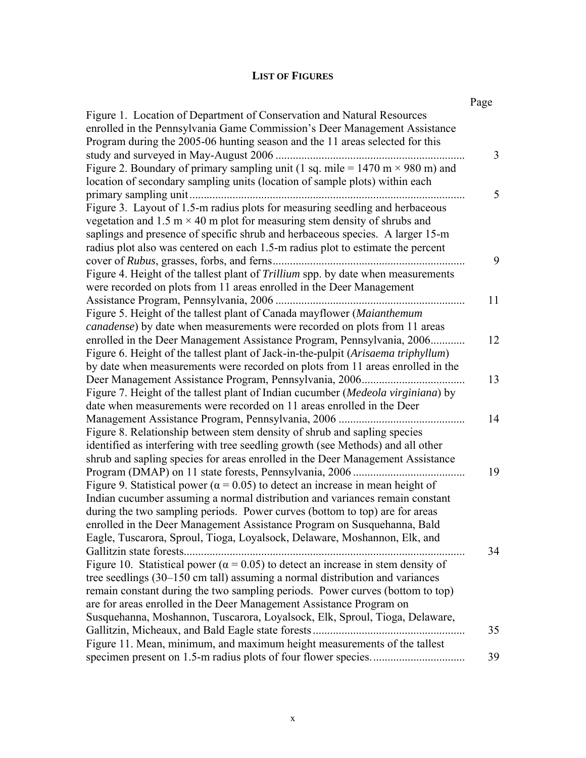# **LIST OF FIGURES**

|                                                                                                                                                                                                                                                                                                                                      | Page |
|--------------------------------------------------------------------------------------------------------------------------------------------------------------------------------------------------------------------------------------------------------------------------------------------------------------------------------------|------|
| Figure 1. Location of Department of Conservation and Natural Resources<br>enrolled in the Pennsylvania Game Commission's Deer Management Assistance<br>Program during the 2005-06 hunting season and the 11 areas selected for this                                                                                                  |      |
| study and surveyed in May-August 2006<br>Figure 2. Boundary of primary sampling unit (1 sq. mile = $1470 \text{ m} \times 980 \text{ m}$ ) and                                                                                                                                                                                       | 3    |
| location of secondary sampling units (location of sample plots) within each                                                                                                                                                                                                                                                          | 5    |
| Figure 3. Layout of 1.5-m radius plots for measuring seedling and herbaceous<br>vegetation and 1.5 m $\times$ 40 m plot for measuring stem density of shrubs and<br>saplings and presence of specific shrub and herbaceous species. A larger 15-m<br>radius plot also was centered on each 1.5-m radius plot to estimate the percent |      |
|                                                                                                                                                                                                                                                                                                                                      | 9    |
| Figure 4. Height of the tallest plant of Trillium spp. by date when measurements<br>were recorded on plots from 11 areas enrolled in the Deer Management                                                                                                                                                                             |      |
|                                                                                                                                                                                                                                                                                                                                      | 11   |
| Figure 5. Height of the tallest plant of Canada mayflower (Maianthemum<br>canadense) by date when measurements were recorded on plots from 11 areas                                                                                                                                                                                  |      |
| enrolled in the Deer Management Assistance Program, Pennsylvania, 2006<br>Figure 6. Height of the tallest plant of Jack-in-the-pulpit (Arisaema triphyllum)                                                                                                                                                                          | 12   |
| by date when measurements were recorded on plots from 11 areas enrolled in the                                                                                                                                                                                                                                                       |      |
| Figure 7. Height of the tallest plant of Indian cucumber (Medeola virginiana) by                                                                                                                                                                                                                                                     | 13   |
| date when measurements were recorded on 11 areas enrolled in the Deer<br>Management Assistance Program, Pennsylvania, 2006                                                                                                                                                                                                           | 14   |
| Figure 8. Relationship between stem density of shrub and sapling species<br>identified as interfering with tree seedling growth (see Methods) and all other<br>shrub and sapling species for areas enrolled in the Deer Management Assistance                                                                                        |      |
| Figure 9. Statistical power ( $\alpha$ = 0.05) to detect an increase in mean height of<br>Indian cucumber assuming a normal distribution and variances remain constant                                                                                                                                                               | 19   |
| during the two sampling periods. Power curves (bottom to top) are for areas<br>enrolled in the Deer Management Assistance Program on Susquehanna, Bald<br>Eagle, Tuscarora, Sproul, Tioga, Loyalsock, Delaware, Moshannon, Elk, and                                                                                                  |      |
| Figure 10. Statistical power ( $\alpha$ = 0.05) to detect an increase in stem density of<br>tree seedlings (30–150 cm tall) assuming a normal distribution and variances<br>remain constant during the two sampling periods. Power curves (bottom to top)<br>are for areas enrolled in the Deer Management Assistance Program on     | 34   |
| Susquehanna, Moshannon, Tuscarora, Loyalsock, Elk, Sproul, Tioga, Delaware,                                                                                                                                                                                                                                                          | 35   |
| Figure 11. Mean, minimum, and maximum height measurements of the tallest                                                                                                                                                                                                                                                             | 39   |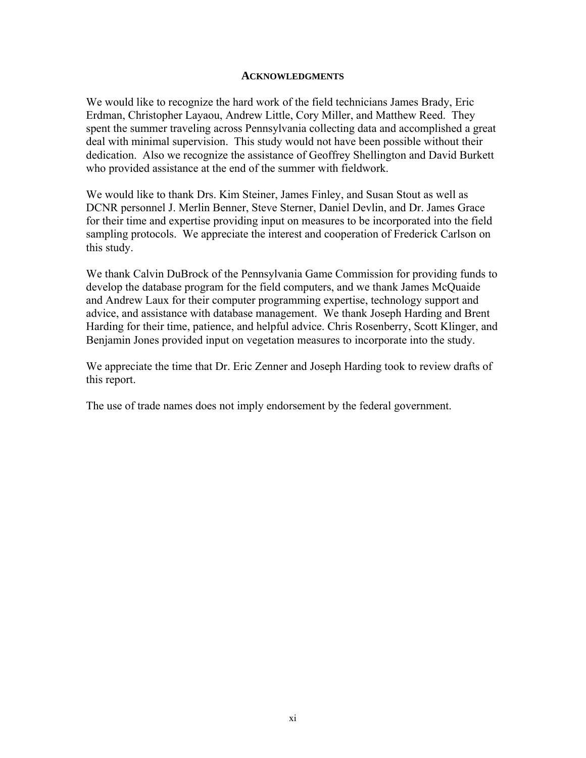#### **ACKNOWLEDGMENTS**

We would like to recognize the hard work of the field technicians James Brady, Eric Erdman, Christopher Layaou, Andrew Little, Cory Miller, and Matthew Reed. They spent the summer traveling across Pennsylvania collecting data and accomplished a great deal with minimal supervision. This study would not have been possible without their dedication. Also we recognize the assistance of Geoffrey Shellington and David Burkett who provided assistance at the end of the summer with fieldwork.

We would like to thank Drs. Kim Steiner, James Finley, and Susan Stout as well as DCNR personnel J. Merlin Benner, Steve Sterner, Daniel Devlin, and Dr. James Grace for their time and expertise providing input on measures to be incorporated into the field sampling protocols. We appreciate the interest and cooperation of Frederick Carlson on this study.

We thank Calvin DuBrock of the Pennsylvania Game Commission for providing funds to develop the database program for the field computers, and we thank James McQuaide and Andrew Laux for their computer programming expertise, technology support and advice, and assistance with database management. We thank Joseph Harding and Brent Harding for their time, patience, and helpful advice. Chris Rosenberry, Scott Klinger, and Benjamin Jones provided input on vegetation measures to incorporate into the study.

We appreciate the time that Dr. Eric Zenner and Joseph Harding took to review drafts of this report.

The use of trade names does not imply endorsement by the federal government.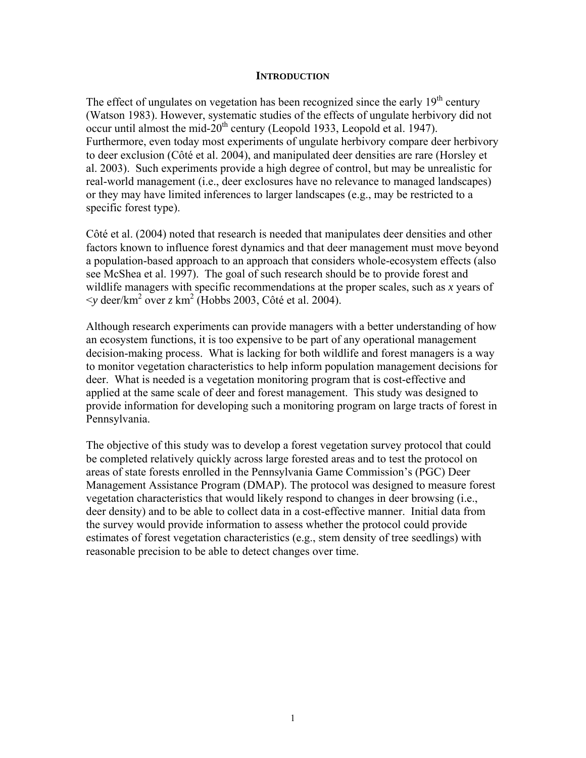#### **INTRODUCTION**

The effect of ungulates on vegetation has been recognized since the early  $19<sup>th</sup>$  century (Watson 1983). However, systematic studies of the effects of ungulate herbivory did not occur until almost the mid- $20<sup>th</sup>$  century (Leopold 1933, Leopold et al. 1947). Furthermore, even today most experiments of ungulate herbivory compare deer herbivory to deer exclusion (Côté et al. 2004), and manipulated deer densities are rare (Horsley et al. 2003). Such experiments provide a high degree of control, but may be unrealistic for real-world management (i.e., deer exclosures have no relevance to managed landscapes) or they may have limited inferences to larger landscapes (e.g., may be restricted to a specific forest type).

Côté et al. (2004) noted that research is needed that manipulates deer densities and other factors known to influence forest dynamics and that deer management must move beyond a population-based approach to an approach that considers whole-ecosystem effects (also see McShea et al. 1997). The goal of such research should be to provide forest and wildlife managers with specific recommendations at the proper scales, such as *x* years of  $\leq$ y deer/km<sup>2</sup> over *z* km<sup>2</sup> (Hobbs 2003, Côté et al. 2004).

Although research experiments can provide managers with a better understanding of how an ecosystem functions, it is too expensive to be part of any operational management decision-making process. What is lacking for both wildlife and forest managers is a way to monitor vegetation characteristics to help inform population management decisions for deer. What is needed is a vegetation monitoring program that is cost-effective and applied at the same scale of deer and forest management. This study was designed to provide information for developing such a monitoring program on large tracts of forest in Pennsylvania.

The objective of this study was to develop a forest vegetation survey protocol that could be completed relatively quickly across large forested areas and to test the protocol on areas of state forests enrolled in the Pennsylvania Game Commission's (PGC) Deer Management Assistance Program (DMAP). The protocol was designed to measure forest vegetation characteristics that would likely respond to changes in deer browsing (i.e., deer density) and to be able to collect data in a cost-effective manner. Initial data from the survey would provide information to assess whether the protocol could provide estimates of forest vegetation characteristics (e.g., stem density of tree seedlings) with reasonable precision to be able to detect changes over time.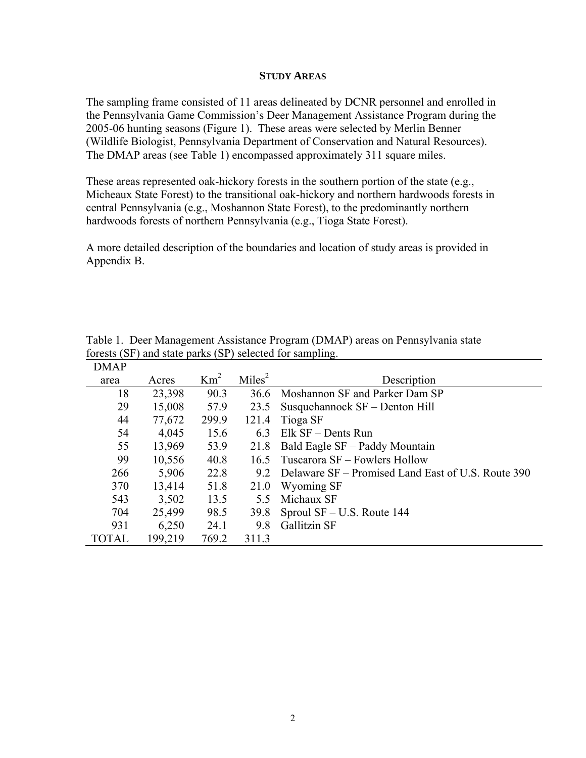#### **STUDY AREAS**

The sampling frame consisted of 11 areas delineated by DCNR personnel and enrolled in the Pennsylvania Game Commission's Deer Management Assistance Program during the 2005-06 hunting seasons (Figure 1). These areas were selected by Merlin Benner (Wildlife Biologist, Pennsylvania Department of Conservation and Natural Resources). The DMAP areas (see Table 1) encompassed approximately 311 square miles.

These areas represented oak-hickory forests in the southern portion of the state (e.g., Micheaux State Forest) to the transitional oak-hickory and northern hardwoods forests in central Pennsylvania (e.g., Moshannon State Forest), to the predominantly northern hardwoods forests of northern Pennsylvania (e.g., Tioga State Forest).

A more detailed description of the boundaries and location of study areas is provided in Appendix B.

| DMAP         |         |                 |                    |                                                    |
|--------------|---------|-----------------|--------------------|----------------------------------------------------|
| area         | Acres   | Km <sup>2</sup> | Miles <sup>2</sup> | Description                                        |
| 18           | 23,398  | 90.3            | 36.6               | Moshannon SF and Parker Dam SP                     |
| 29           | 15,008  | 57.9            | 23.5               | Susquehannock SF – Denton Hill                     |
| 44           | 77,672  | 299.9           | 121.4              | Tioga SF                                           |
| 54           | 4,045   | 15.6            | 6.3                | Elk SF – Dents Run                                 |
| 55           | 13,969  | 53.9            | 21.8               | Bald Eagle SF – Paddy Mountain                     |
| 99           | 10,556  | 40.8            |                    | 16.5 Tuscarora SF – Fowlers Hollow                 |
| 266          | 5,906   | 22.8            | 9.2                | Delaware SF – Promised Land East of U.S. Route 390 |
| 370          | 13,414  | 51.8            | 21.0               | Wyoming SF                                         |
| 543          | 3,502   | 13.5            | 55                 | Michaux SF                                         |
| 704          | 25,499  | 98.5            | 39.8               | Sproul $SF – U.S. Route 144$                       |
| 931          | 6,250   | 24.1            | 9.8                | <b>Gallitzin SF</b>                                |
| <b>TOTAL</b> | 199,219 | 769.2           | 311.3              |                                                    |

Table 1. Deer Management Assistance Program (DMAP) areas on Pennsylvania state forests (SF) and state parks (SP) selected for sampling.  $\overrightarrow{D}$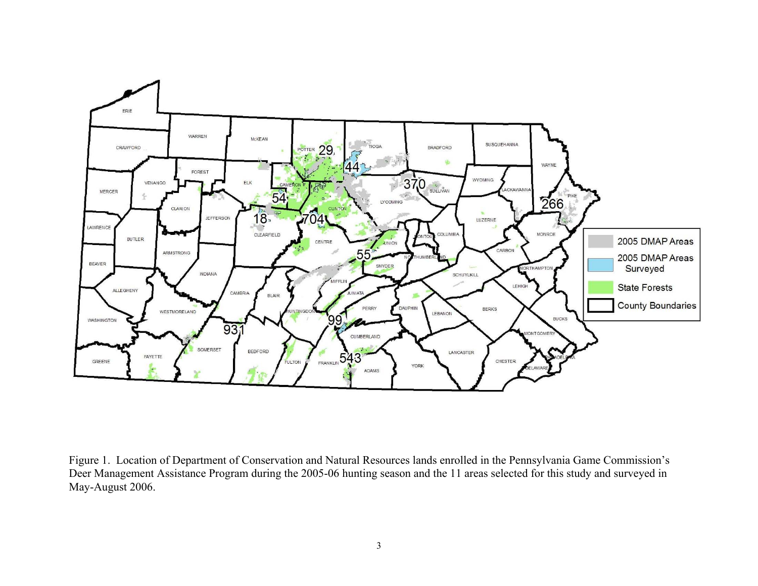

Figure 1. Location of Department of Conservation and Natural Resources lands enrolled in the Pennsylvania Game Commission's Deer Management Assistance Program during the 2005-06 hunting season and the 11 areas selected for this study and surveyed in May-August 2006.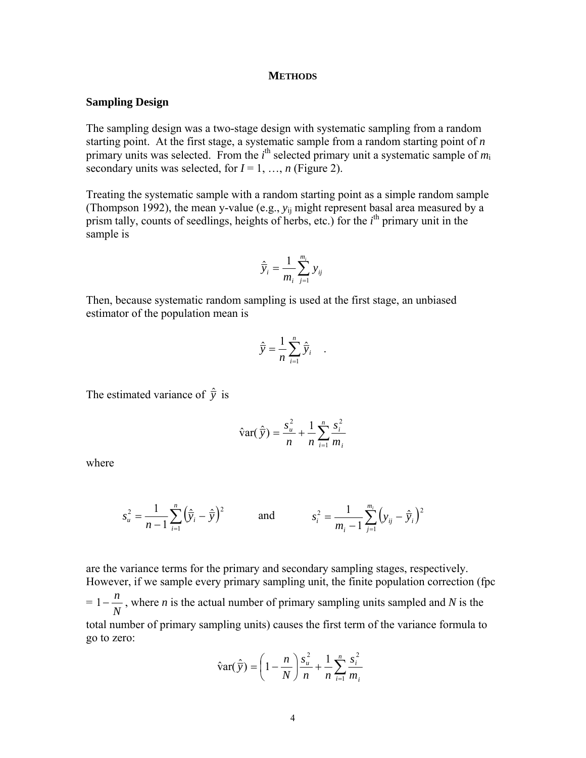#### **METHODS**

#### **Sampling Design**

The sampling design was a two-stage design with systematic sampling from a random starting point. At the first stage, a systematic sample from a random starting point of *n* primary units was selected. From the *i*<sup>th</sup> selected primary unit a systematic sample of  $m_i$ secondary units was selected, for  $I = 1, ..., n$  (Figure 2).

Treating the systematic sample with a random starting point as a simple random sample (Thompson 1992), the mean y-value (e.g., *y*ij might represent basal area measured by a prism tally, counts of seedlings, heights of herbs, etc.) for the *i*<sup>th</sup> primary unit in the sample is

$$
\hat{\overline{y}}_i = \frac{1}{m_i} \sum_{j=1}^{m_i} y_{ij}
$$

Then, because systematic random sampling is used at the first stage, an unbiased estimator of the population mean is

$$
\hat{\overline{y}} = \frac{1}{n} \sum_{i=1}^{n} \hat{\overline{y}}_i .
$$

The estimated variance of  $\hat{y}$  is

$$
\hat{\text{var}}(\hat{\bar{y}}) = \frac{s_u^2}{n} + \frac{1}{n} \sum_{i=1}^n \frac{s_i^2}{m_i}
$$

where

$$
s_u^2 = \frac{1}{n-1} \sum_{i=1}^n \left(\hat{\bar{y}}_i - \hat{\bar{y}}\right)^2 \quad \text{and} \quad s_i^2 = \frac{1}{m_i - 1} \sum_{j=1}^{m_i} \left(y_{ij} - \hat{\bar{y}}_i\right)^2
$$

are the variance terms for the primary and secondary sampling stages, respectively. However, if we sample every primary sampling unit, the finite population correction (fpc = *N*  $1 - \frac{n}{\sqrt{2}}$ , where *n* is the actual number of primary sampling units sampled and *N* is the total number of primary sampling units) causes the first term of the variance formula to go to zero:

$$
\hat{\mathbf{var}}(\hat{\mathbf{y}}) = \left(1 - \frac{n}{N}\right) \frac{s_u^2}{n} + \frac{1}{n} \sum_{i=1}^n \frac{s_i^2}{m_i}
$$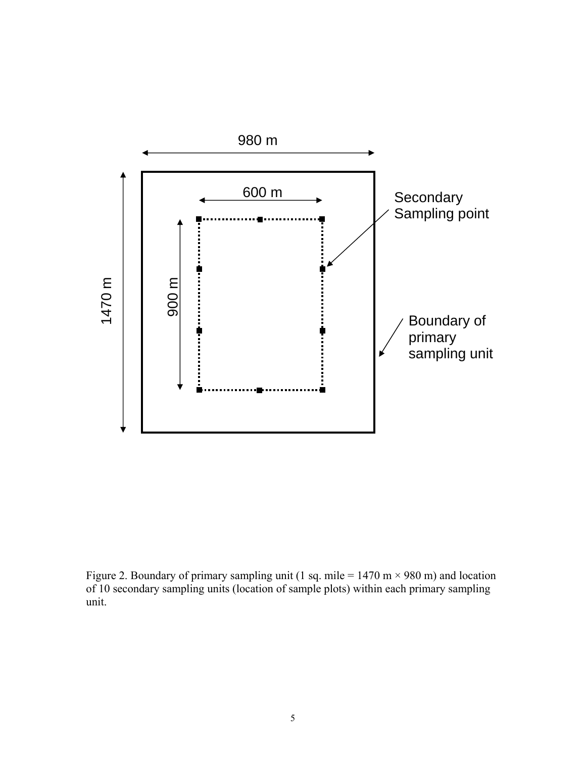

Figure 2. Boundary of primary sampling unit (1 sq. mile = 1470 m  $\times$  980 m) and location of 10 secondary sampling units (location of sample plots) within each primary sampling unit.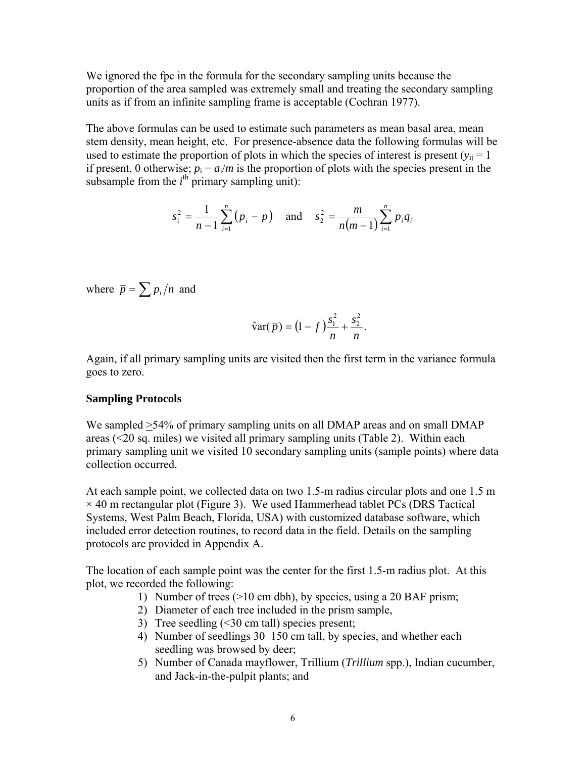We ignored the fpc in the formula for the secondary sampling units because the proportion of the area sampled was extremely small and treating the secondary sampling units as if from an infinite sampling frame is acceptable (Cochran 1977).

The above formulas can be used to estimate such parameters as mean basal area, mean stem density, mean height, etc. For presence-absence data the following formulas will be used to estimate the proportion of plots in which the species of interest is present ( $y_{ii} = 1$ ) if present, 0 otherwise;  $p_i = a_i/m$  is the proportion of plots with the species present in the subsample from the  $i^{\text{th}}$  primary sampling unit):

$$
s_1^2 = \frac{1}{n-1} \sum_{i=1}^n (p_i - \overline{p}) \quad \text{and} \quad s_2^2 = \frac{m}{n(m-1)} \sum_{i=1}^n p_i q_i
$$

where  $\bar{p} = \sum p_i / n$  and

$$
\hat{\text{var}}(\bar{p}) = (1 - f)\frac{s_1^2}{n} + \frac{s_2^2}{n}.
$$

Again, if all primary sampling units are visited then the first term in the variance formula goes to zero.

#### **Sampling Protocols**

We sampled  $>54\%$  of primary sampling units on all DMAP areas and on small DMAP areas (<20 sq. miles) we visited all primary sampling units (Table 2). Within each primary sampling unit we visited 10 secondary sampling units (sample points) where data collection occurred.

At each sample point, we collected data on two 1.5-m radius circular plots and one 1.5 m  $\times$  40 m rectangular plot (Figure 3). We used Hammerhead tablet PCs (DRS Tactical Systems, West Palm Beach, Florida, USA) with customized database software, which included error detection routines, to record data in the field. Details on the sampling protocols are provided in Appendix A.

The location of each sample point was the center for the first 1.5-m radius plot. At this plot, we recorded the following:

- 1) Number of trees (>10 cm dbh), by species, using a 20 BAF prism;
- 2) Diameter of each tree included in the prism sample,
- 3) Tree seedling (<30 cm tall) species present;
- 4) Number of seedlings 30–150 cm tall, by species, and whether each seedling was browsed by deer;
- 5) Number of Canada mayflower, Trillium (*Trillium* spp.), Indian cucumber, and Jack-in-the-pulpit plants; and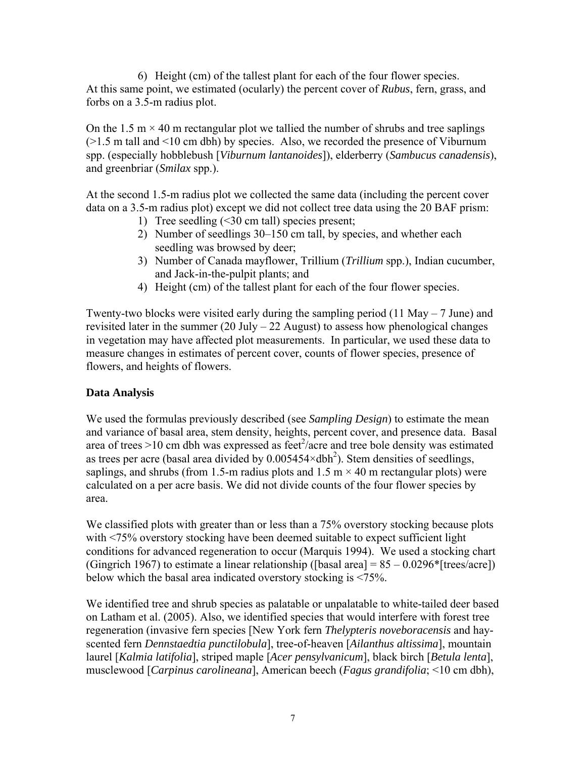6) Height (cm) of the tallest plant for each of the four flower species. At this same point, we estimated (ocularly) the percent cover of *Rubus*, fern, grass, and forbs on a 3.5-m radius plot.

On the 1.5 m  $\times$  40 m rectangular plot we tallied the number of shrubs and tree saplings (>1.5 m tall and <10 cm dbh) by species. Also, we recorded the presence of Viburnum spp. (especially hobblebush [*Viburnum lantanoides*]), elderberry (*Sambucus canadensis*), and greenbriar (*Smilax* spp.).

At the second 1.5-m radius plot we collected the same data (including the percent cover data on a 3.5-m radius plot) except we did not collect tree data using the 20 BAF prism:

- 1) Tree seedling (<30 cm tall) species present;
- 2) Number of seedlings 30–150 cm tall, by species, and whether each seedling was browsed by deer;
- 3) Number of Canada mayflower, Trillium (*Trillium* spp.), Indian cucumber, and Jack-in-the-pulpit plants; and
- 4) Height (cm) of the tallest plant for each of the four flower species.

Twenty-two blocks were visited early during the sampling period (11 May – 7 June) and revisited later in the summer  $(20 \text{ July} - 22 \text{ August})$  to assess how phenological changes in vegetation may have affected plot measurements. In particular, we used these data to measure changes in estimates of percent cover, counts of flower species, presence of flowers, and heights of flowers.

## **Data Analysis**

We used the formulas previously described (see *Sampling Design*) to estimate the mean and variance of basal area, stem density, heights, percent cover, and presence data. Basal area of trees >10 cm dbh was expressed as feet<sup>2</sup>/acre and tree bole density was estimated as trees per acre (basal area divided by  $0.005454 \times dbh^2$ ). Stem densities of seedlings, saplings, and shrubs (from 1.5-m radius plots and 1.5 m  $\times$  40 m rectangular plots) were calculated on a per acre basis. We did not divide counts of the four flower species by area.

We classified plots with greater than or less than a 75% overstory stocking because plots with <75% overstory stocking have been deemed suitable to expect sufficient light conditions for advanced regeneration to occur (Marquis 1994). We used a stocking chart (Gingrich 1967) to estimate a linear relationship ([basal area] =  $85 - 0.0296*$ [trees/acre]) below which the basal area indicated overstory stocking is <75%.

We identified tree and shrub species as palatable or unpalatable to white-tailed deer based on Latham et al. (2005). Also, we identified species that would interfere with forest tree regeneration (invasive fern species [New York fern *Thelypteris noveboracensis* and hayscented fern *Dennstaedtia punctilobula*], tree-of-heaven [*Ailanthus altissima*], mountain laurel [*Kalmia latifolia*], striped maple [*Acer pensylvanicum*], black birch [*Betula lenta*], musclewood [*Carpinus carolineana*], American beech (*Fagus grandifolia*; <10 cm dbh),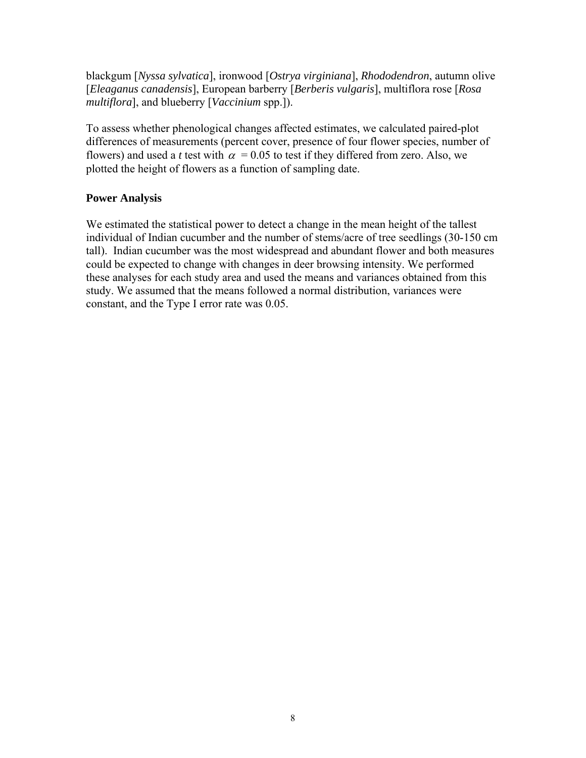blackgum [*Nyssa sylvatica*], ironwood [*Ostrya virginiana*], *Rhododendron*, autumn olive [*Eleaganus canadensis*], European barberry [*Berberis vulgaris*], multiflora rose [*Rosa multiflora*], and blueberry [*Vaccinium* spp.]).

To assess whether phenological changes affected estimates, we calculated paired-plot differences of measurements (percent cover, presence of four flower species, number of flowers) and used a *t* test with  $\alpha$  = 0.05 to test if they differed from zero. Also, we plotted the height of flowers as a function of sampling date.

## **Power Analysis**

We estimated the statistical power to detect a change in the mean height of the tallest individual of Indian cucumber and the number of stems/acre of tree seedlings (30-150 cm tall). Indian cucumber was the most widespread and abundant flower and both measures could be expected to change with changes in deer browsing intensity. We performed these analyses for each study area and used the means and variances obtained from this study. We assumed that the means followed a normal distribution, variances were constant, and the Type I error rate was 0.05.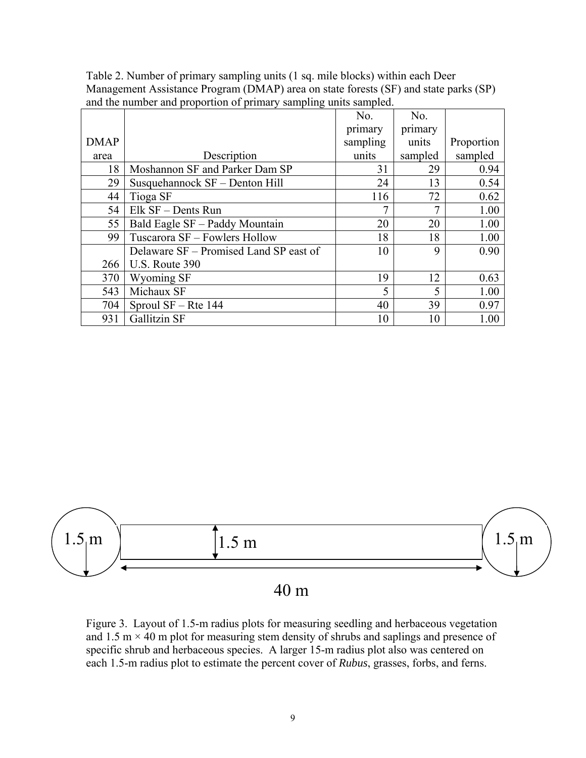|             |                                        | No.      | No.     |            |
|-------------|----------------------------------------|----------|---------|------------|
|             |                                        | primary  | primary |            |
| <b>DMAP</b> |                                        | sampling | units   | Proportion |
| area        | Description                            | units    | sampled | sampled    |
| 18          | Moshannon SF and Parker Dam SP         | 31       | 29      | 0.94       |
| 29          | Susquehannock SF - Denton Hill         | 24       | 13      | 0.54       |
| 44          | Tioga SF                               | 116      | 72      | 0.62       |
| 54          | Elk SF - Dents Run                     | 7        | 7       | 1.00       |
| 55          | Bald Eagle SF - Paddy Mountain         | 20       | 20      | 1.00       |
| 99          | Tuscarora SF - Fowlers Hollow          | 18       | 18      | 1.00       |
|             | Delaware SF – Promised Land SP east of | 10       | 9       | 0.90       |
| 266         | U.S. Route 390                         |          |         |            |
| 370         | Wyoming SF                             | 19       | 12      | 0.63       |
| 543         | Michaux SF                             | 5        | 5       | 1.00       |
| 704         | Sproul $SF - Rte$ 144                  | 40       | 39      | 0.97       |
| 931         | <b>Gallitzin SF</b>                    | 10       | 10      | 1.00       |

Table 2. Number of primary sampling units (1 sq. mile blocks) within each Deer Management Assistance Program (DMAP) area on state forests (SF) and state parks (SP) and the number and proportion of primary sampling units sampled.



Figure 3. Layout of 1.5-m radius plots for measuring seedling and herbaceous vegetation and 1.5 m  $\times$  40 m plot for measuring stem density of shrubs and saplings and presence of specific shrub and herbaceous species. A larger 15-m radius plot also was centered on each 1.5-m radius plot to estimate the percent cover of *Rubus*, grasses, forbs, and ferns.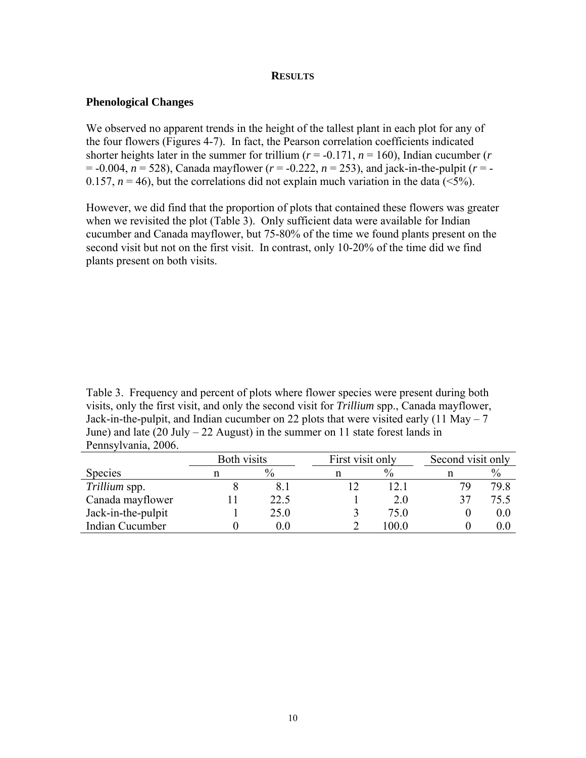#### **RESULTS**

## **Phenological Changes**

We observed no apparent trends in the height of the tallest plant in each plot for any of the four flowers (Figures 4-7). In fact, the Pearson correlation coefficients indicated shorter heights later in the summer for trillium ( $r = -0.171$ ,  $n = 160$ ), Indian cucumber ( $r = -0.171$ = -0.004, *n* = 528), Canada mayflower (*r* = -0.222, *n* = 253), and jack-in-the-pulpit (*r* = - 0.157,  $n = 46$ ), but the correlations did not explain much variation in the data ( $\leq 5\%$ ).

However, we did find that the proportion of plots that contained these flowers was greater when we revisited the plot (Table 3). Only sufficient data were available for Indian cucumber and Canada mayflower, but 75-80% of the time we found plants present on the second visit but not on the first visit. In contrast, only 10-20% of the time did we find plants present on both visits.

Table 3. Frequency and percent of plots where flower species were present during both visits, only the first visit, and only the second visit for *Trillium* spp., Canada mayflower, Jack-in-the-pulpit, and Indian cucumber on 22 plots that were visited early  $(11 \text{ May} - 7)$ June) and late  $(20 \text{ July} - 22 \text{ August})$  in the summer on 11 state forest lands in Pennsylvania, 2006.

|                    | Both visits |               | First visit only |               |    | Second visit only |  |
|--------------------|-------------|---------------|------------------|---------------|----|-------------------|--|
| <b>Species</b>     |             | $\frac{0}{0}$ |                  | $\frac{0}{0}$ |    | $\%$              |  |
| Trillium spp.      |             | 8.1           |                  | 12.1          | 79 | 79.8              |  |
| Canada mayflower   |             | 22.5          |                  | 2.0           | 37 | 75.5              |  |
| Jack-in-the-pulpit |             | 25.0          |                  | 75.0          |    | 0.0               |  |
| Indian Cucumber    |             | $0.0\,$       |                  | 0.001         |    | $0.0\,$           |  |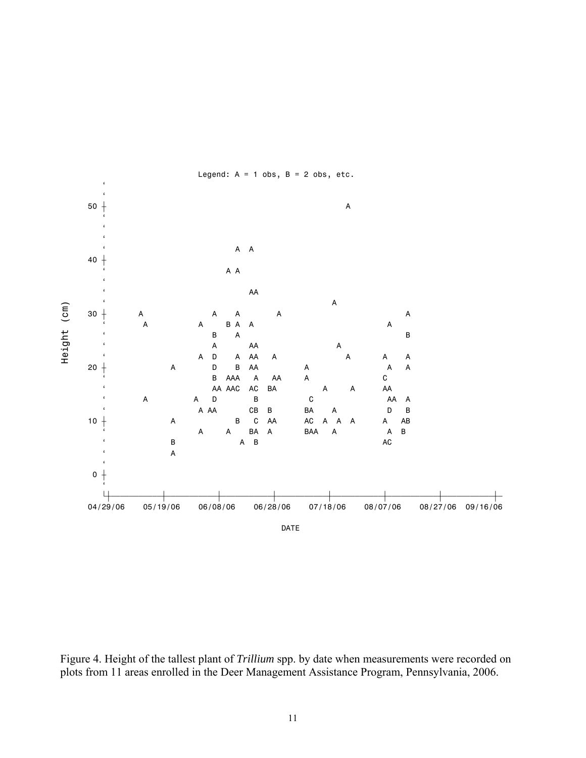

Figure 4. Height of the tallest plant of *Trillium* spp. by date when measurements were recorded on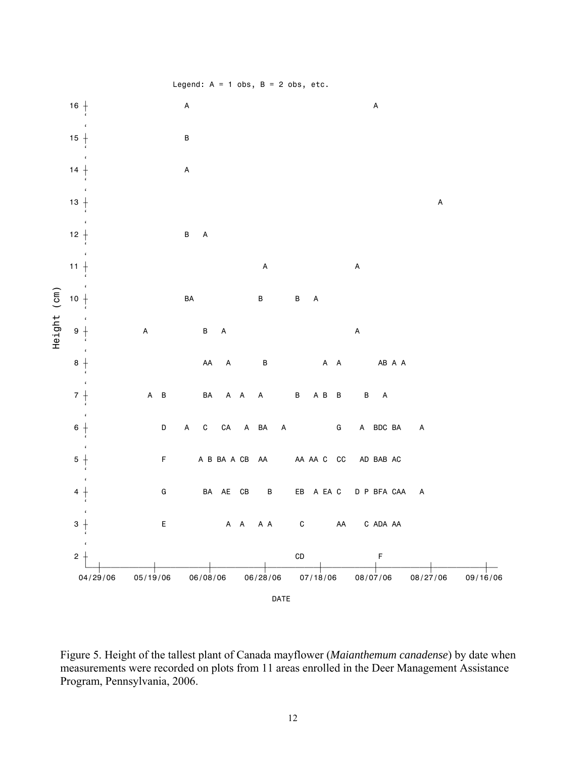

Figure 5. Height of the tallest plant of Canada mayflower (*Maianthemum canadense*) by date when measurements were recorded on plots from 11 areas enrolled in the Deer Management Assistance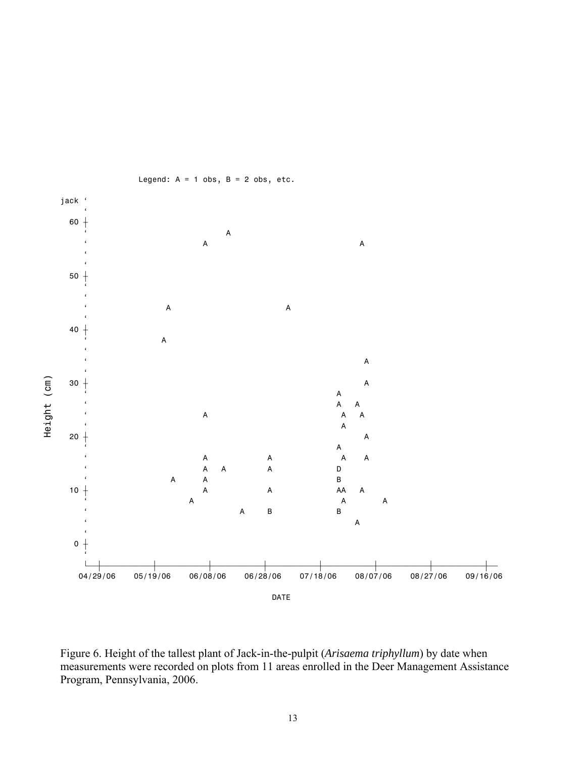

Legend:  $A = 1$  obs,  $B = 2$  obs, etc.

Figure 6. Height of the tallest plant of Jack-in-the-pulpit (*Arisaema triphyllum*) by date when measurements were recorded on plots from 11 areas enrolled in the Deer Management Assistance Program, Pennsylvania, 2006.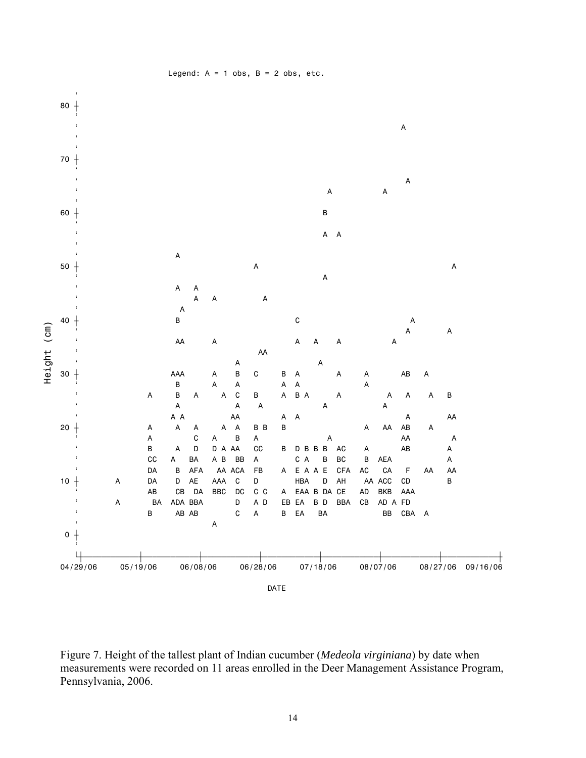

Legend:  $A = 1$  obs,  $B = 2$  obs, etc.

Figure 7. Height of the tallest plant of Indian cucumber (*Medeola virginiana*) by date when measurements were recorded on 11 areas enrolled in the Deer Management Assistance Program, Pennsylvania, 2006.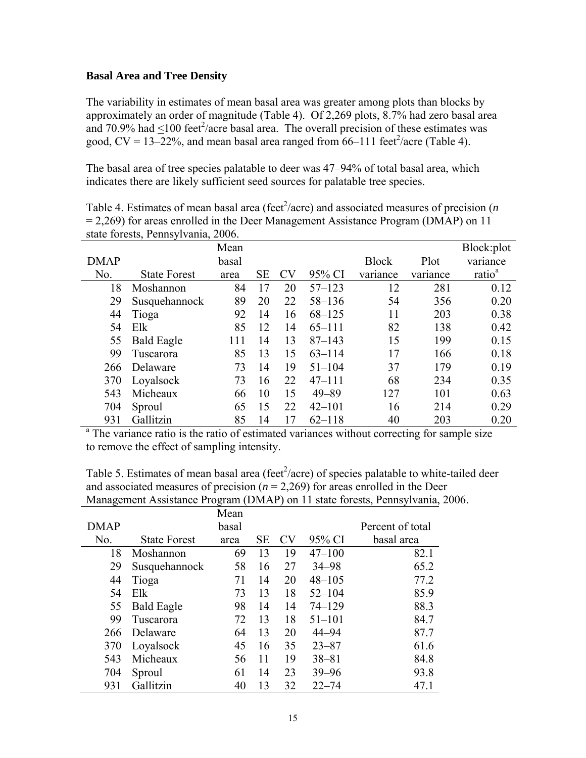#### **Basal Area and Tree Density**

The variability in estimates of mean basal area was greater among plots than blocks by approximately an order of magnitude (Table 4). Of 2,269 plots, 8.7% had zero basal area and 70.9% had  $\leq$ 100 feet<sup>2</sup>/acre basal area. The overall precision of these estimates was good,  $CV = 13-22\%$ , and mean basal area ranged from 66-111 feet<sup>2</sup>/acre (Table 4).

The basal area of tree species palatable to deer was 47–94% of total basal area, which indicates there are likely sufficient seed sources for palatable tree species.

|             | state forests, Pennsylvania, 2006. |       |    |    |            |              |          |                    |
|-------------|------------------------------------|-------|----|----|------------|--------------|----------|--------------------|
|             |                                    | Mean  |    |    |            |              |          | Block:plot         |
| <b>DMAP</b> |                                    | basal |    |    |            | <b>Block</b> | Plot     | variance           |
| No.         | <b>State Forest</b>                | area  | SЕ | CV | 95% CI     | variance     | variance | ratio <sup>a</sup> |
| 18          | Moshannon                          | 84    | 17 | 20 | $57 - 123$ | 12           | 281      | 0.12               |
| 29          | Susquehannock                      | 89    | 20 | 22 | $58 - 136$ | 54           | 356      | 0.20               |
| 44          | Tioga                              | 92    | 14 | 16 | $68 - 125$ | 11           | 203      | 0.38               |
| 54          | Elk                                | 85    | 12 | 14 | $65 - 111$ | 82           | 138      | 0.42               |
| 55          | <b>Bald Eagle</b>                  | 111   | 14 | 13 | $87 - 143$ | 15           | 199      | 0.15               |
| 99          | Tuscarora                          | 85    | 13 | 15 | $63 - 114$ | 17           | 166      | 0.18               |
| 266         | Delaware                           | 73    | 14 | 19 | $51 - 104$ | 37           | 179      | 0.19               |
| 370         | Loyalsock                          | 73    | 16 | 22 | $47 - 111$ | 68           | 234      | 0.35               |
| 543         | Micheaux                           | 66    | 10 | 15 | $49 - 89$  | 127          | 101      | 0.63               |
| 704         | Sproul                             | 65    | 15 | 22 | $42 - 101$ | 16           | 214      | 0.29               |
| 931         | Gallitzin                          | 85    | 14 | 17 | $62 - 118$ | 40           | 203      | 0.20               |

Table 4. Estimates of mean basal area (feet<sup>2</sup>/acre) and associated measures of precision (*n* = 2,269) for areas enrolled in the Deer Management Assistance Program (DMAP) on 11 state forests, Pennsylvania, 2006.

931 Gallitzin 85 14 17 62–118 40 203 0.20<br><sup>a</sup> The variance ratio is the ratio of estimated variances without correcting for sample size to remove the effect of sampling intensity.

Table 5. Estimates of mean basal area (feet $\frac{2}{\alpha}$ ) of species palatable to white-tailed deer and associated measures of precision  $(n = 2,269)$  for areas enrolled in the Deer Management Assistance Program (DMAP) on 11 state forests, Pennsylvania, 2006.

|             |                      | Mean  |    |           |            |                  |
|-------------|----------------------|-------|----|-----------|------------|------------------|
| <b>DMAP</b> |                      | basal |    |           |            | Percent of total |
| No.         | <b>State Forest</b>  | area  | SЕ | <b>CV</b> | 95% CI     | basal area       |
| 18          | Moshannon            | 69    | 13 | 19        | $47 - 100$ | 82.1             |
| 29          | Susquehannock        | 58    | 16 | 27        | $34 - 98$  | 65.2             |
| 44          | Tioga                | 71    | 14 | 20        | $48 - 105$ | 77.2             |
| 54          | $E$ <sup>1</sup> $k$ | 73    | 13 | 18        | $52 - 104$ | 85.9             |
| 55          | <b>Bald Eagle</b>    | 98    | 14 | 14        | $74 - 129$ | 88.3             |
| 99          | Tuscarora            | 72    | 13 | 18        | $51 - 101$ | 84.7             |
| 266         | Delaware             | 64    | 13 | 20        | $44 - 94$  | 87.7             |
| 370         | Loyalsock            | 45    | 16 | 35        | $23 - 87$  | 61.6             |
| 543         | Micheaux             | 56    | 11 | 19        | $38 - 81$  | 84.8             |
| 704         | Sproul               | 61    | 14 | 23        | $39 - 96$  | 93.8             |
| 931         | Gallitzin            | 40    | 13 | 32        | $22 - 74$  | 47.1             |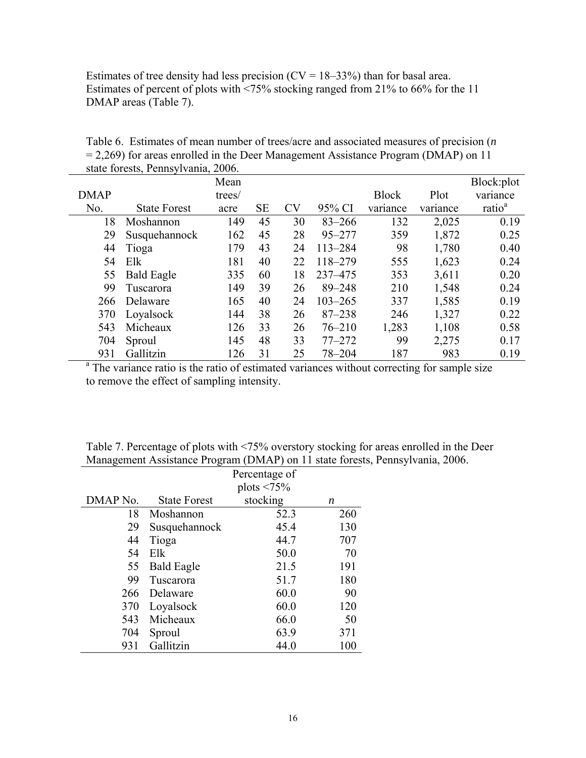Estimates of tree density had less precision  $(CV = 18-33%)$  than for basal area. Estimates of percent of plots with <75% stocking ranged from 21% to 66% for the 11 DMAP areas (Table 7).

|             | $\frac{1}{2}$       |        |           |           |             |              |          |                    |
|-------------|---------------------|--------|-----------|-----------|-------------|--------------|----------|--------------------|
|             |                     | Mean   |           |           |             |              |          | Block:plot         |
| <b>DMAP</b> |                     | trees/ |           |           |             | <b>Block</b> | Plot     | variance           |
| No.         | <b>State Forest</b> | acre   | <b>SE</b> | <b>CV</b> | 95% CI      | variance     | variance | ratio <sup>a</sup> |
| 18          | Moshannon           | 149    | 45        | 30        | $83 - 266$  | 132          | 2,025    | 0.19               |
| 29          | Susquehannock       | 162    | 45        | 28        | $95 - 277$  | 359          | 1,872    | 0.25               |
| 44          | Tioga               | 179    | 43        | 24        | $113 - 284$ | 98           | 1,780    | 0.40               |
| 54          | Elk                 | 181    | 40        | 22        | 118-279     | 555          | 1,623    | 0.24               |
| 55          | <b>Bald Eagle</b>   | 335    | 60        | 18        | 237-475     | 353          | 3,611    | 0.20               |
| 99          | Tuscarora           | 149    | 39        | 26        | $89 - 248$  | 210          | 1,548    | 0.24               |
| 266         | Delaware            | 165    | 40        | 24        | $103 - 265$ | 337          | 1,585    | 0.19               |
| 370         | Loyalsock           | 144    | 38        | 26        | $87 - 238$  | 246          | 1,327    | 0.22               |
| 543         | Micheaux            | 126    | 33        | 26        | $76 - 210$  | 1,283        | 1,108    | 0.58               |
| 704         | Sproul              | 145    | 48        | 33        | $77 - 272$  | 99           | 2,275    | 0.17               |
| 931         | Gallitzin           | 126    | 31        | 25        | $78 - 204$  | 187          | 983      | 0.19               |

Table 6. Estimates of mean number of trees/acre and associated measures of precision (*n* = 2,269) for areas enrolled in the Deer Management Assistance Program (DMAP) on 11 state forests, Pennsylvania, 2006.

<sup>a</sup> The variance ratio is the ratio of estimated variances without correcting for sample size to remove the effect of sampling intensity.

Table 7. Percentage of plots with <75% overstory stocking for areas enrolled in the Deer Management Assistance Program (DMAP) on 11 state forests, Pennsylvania, 2006.

|          |                     | Percentage of     |     |
|----------|---------------------|-------------------|-----|
|          |                     | plots $\leq 75\%$ |     |
| DMAP No. | <b>State Forest</b> | stocking          | n   |
| 18       | Moshannon           | 52.3              | 260 |
| 29       | Susquehannock       | 45.4              | 130 |
| 44       | Tioga               | 44.7              | 707 |
| 54       | Elk                 | 50.0              | 70  |
| 55       | <b>Bald Eagle</b>   | 21.5              | 191 |
| 99       | Tuscarora           | 51.7              | 180 |
| 266      | Delaware            | 60.0              | 90  |
| 370      | Loyalsock           | 60.0              | 120 |
| 543      | Micheaux            | 66.0              | 50  |
| 704      | Sproul              | 63.9              | 371 |
| 931      | Gallitzin           | 44.0              | 100 |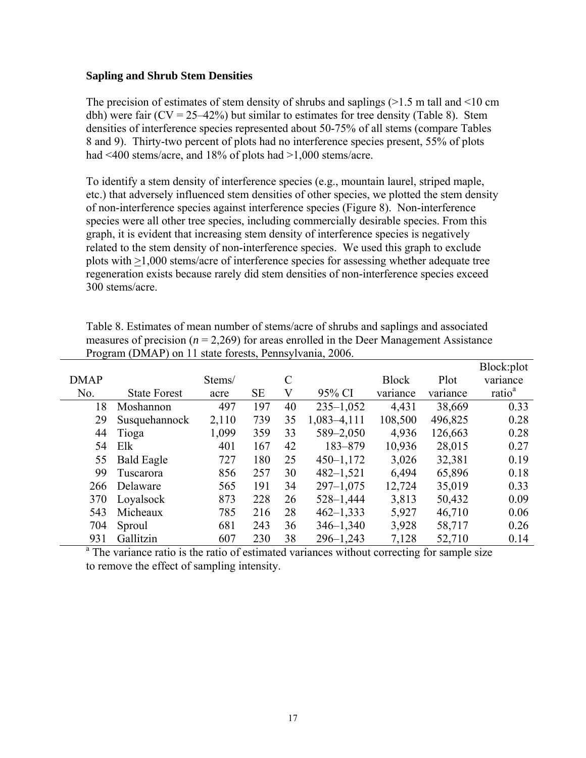#### **Sapling and Shrub Stem Densities**

The precision of estimates of stem density of shrubs and saplings (>1.5 m tall and <10 cm dbh) were fair ( $CV = 25-42\%$ ) but similar to estimates for tree density (Table 8). Stem densities of interference species represented about 50-75% of all stems (compare Tables 8 and 9). Thirty-two percent of plots had no interference species present, 55% of plots had <400 stems/acre, and 18% of plots had >1,000 stems/acre.

To identify a stem density of interference species (e.g., mountain laurel, striped maple, etc.) that adversely influenced stem densities of other species, we plotted the stem density of non-interference species against interference species (Figure 8). Non-interference species were all other tree species, including commercially desirable species. From this graph, it is evident that increasing stem density of interference species is negatively related to the stem density of non-interference species. We used this graph to exclude plots with >1,000 stems/acre of interference species for assessing whether adequate tree regeneration exists because rarely did stem densities of non-interference species exceed 300 stems/acre.

Table 8. Estimates of mean number of stems/acre of shrubs and saplings and associated measures of precision  $(n = 2,269)$  for areas enrolled in the Deer Management Assistance Program (DMAP) on 11 state forests, Pennsylvania, 2006.

|             |                     |        |           |               |               |              |          | Block:plot         |
|-------------|---------------------|--------|-----------|---------------|---------------|--------------|----------|--------------------|
| <b>DMAP</b> |                     | Stems/ |           | $\mathcal{C}$ |               | <b>Block</b> | Plot     | variance           |
| No.         | <b>State Forest</b> | acre   | <b>SE</b> | V             | 95% CI        | variance     | variance | ratio <sup>a</sup> |
| 18          | Moshannon           | 497    | 197       | 40            | $235 - 1,052$ | 4,431        | 38,669   | 0.33               |
| 29          | Susquehannock       | 2,110  | 739       | 35            | 1,083-4,111   | 108,500      | 496,825  | 0.28               |
| 44          | Tioga               | 1,099  | 359       | 33            | 589-2,050     | 4,936        | 126,663  | 0.28               |
| 54          | Elk                 | 401    | 167       | 42            | 183-879       | 10,936       | 28,015   | 0.27               |
| 55          | <b>Bald Eagle</b>   | 727    | 180       | 25            | $450 - 1,172$ | 3,026        | 32,381   | 0.19               |
| 99          | Tuscarora           | 856    | 257       | 30            | $482 - 1,521$ | 6,494        | 65,896   | 0.18               |
| 266         | Delaware            | 565    | 191       | 34            | $297 - 1,075$ | 12,724       | 35,019   | 0.33               |
| 370         | Loyalsock           | 873    | 228       | 26            | $528 - 1,444$ | 3,813        | 50,432   | 0.09               |
| 543         | Micheaux            | 785    | 216       | 28            | $462 - 1,333$ | 5,927        | 46,710   | 0.06               |
| 704         | Sproul              | 681    | 243       | 36            | $346 - 1,340$ | 3,928        | 58,717   | 0.26               |
| 931         | Gallitzin           | 607    | 230       | 38            | $296 - 1,243$ | 7,128        | 52,710   | 0.14               |

<sup>a</sup> The variance ratio is the ratio of estimated variances without correcting for sample size to remove the effect of sampling intensity.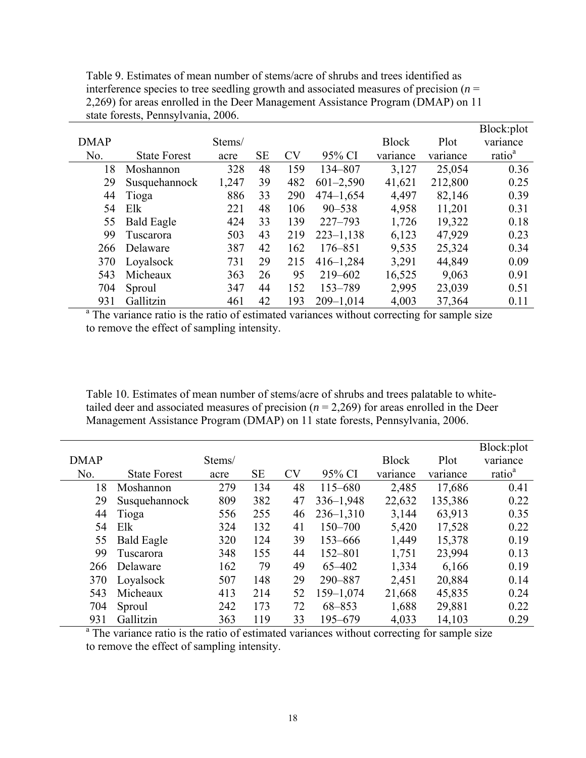| Table 9. Estimates of mean number of stems/acre of shrubs and trees identified as           |
|---------------------------------------------------------------------------------------------|
| interference species to tree seedling growth and associated measures of precision $(n = 1)$ |
| 2,269) for areas enrolled in the Deer Management Assistance Program (DMAP) on 11            |
| state forests, Pennsylvania, 2006.                                                          |

|             |                     |        |           |           |               |              |          | Block:plot         |
|-------------|---------------------|--------|-----------|-----------|---------------|--------------|----------|--------------------|
| <b>DMAP</b> |                     | Stems/ |           |           |               | <b>Block</b> | Plot     | variance           |
| No.         | <b>State Forest</b> | acre   | <b>SE</b> | <b>CV</b> | 95% CI        | variance     | variance | ratio <sup>a</sup> |
| 18          | Moshannon           | 328    | 48        | 159       | 134-807       | 3,127        | 25,054   | 0.36               |
| 29          | Susquehannock       | 1,247  | 39        | 482       | $601 - 2,590$ | 41,621       | 212,800  | 0.25               |
| 44          | Tioga               | 886    | 33        | 290       | $474 - 1,654$ | 4,497        | 82,146   | 0.39               |
| 54          | Elk                 | 221    | 48        | 106       | $90 - 538$    | 4,958        | 11,201   | 0.31               |
| 55          | <b>Bald Eagle</b>   | 424    | 33        | 139       | $227 - 793$   | 1,726        | 19,322   | 0.18               |
| 99          | Tuscarora           | 503    | 43        | 219       | $223 - 1,138$ | 6,123        | 47,929   | 0.23               |
| 266         | Delaware            | 387    | 42        | 162       | $176 - 851$   | 9,535        | 25,324   | 0.34               |
| 370         | Loyalsock           | 731    | 29        | 215       | $416 - 1,284$ | 3,291        | 44,849   | 0.09               |
| 543         | Micheaux            | 363    | 26        | 95        | 219-602       | 16,525       | 9,063    | 0.91               |
| 704         | Sproul              | 347    | 44        | 152       | 153-789       | 2,995        | 23,039   | 0.51               |
| 931         | Gallitzin           | 461    | 42        | 193       | $209 - 1,014$ | 4,003        | 37,364   | 0.11               |

<sup>a</sup> The variance ratio is the ratio of estimated variances without correcting for sample size to remove the effect of sampling intensity.

Table 10. Estimates of mean number of stems/acre of shrubs and trees palatable to whitetailed deer and associated measures of precision  $(n = 2,269)$  for areas enrolled in the Deer Management Assistance Program (DMAP) on 11 state forests, Pennsylvania, 2006.

|             |                     |        |           |           |               |              |          | Block:plot         |
|-------------|---------------------|--------|-----------|-----------|---------------|--------------|----------|--------------------|
| <b>DMAP</b> |                     | Stems/ |           |           |               | <b>Block</b> | Plot     | variance           |
| No.         | <b>State Forest</b> | acre   | <b>SE</b> | <b>CV</b> | 95% CI        | variance     | variance | ratio <sup>a</sup> |
| 18          | Moshannon           | 279    | 134       | 48        | 115-680       | 2,485        | 17,686   | 0.41               |
| 29          | Susquehannock       | 809    | 382       | 47        | $336 - 1,948$ | 22,632       | 135,386  | 0.22               |
| 44          | Tioga               | 556    | 255       | 46        | $236 - 1,310$ | 3,144        | 63,913   | 0.35               |
| 54          | Elk                 | 324    | 132       | 41        | 150-700       | 5,420        | 17,528   | 0.22               |
| 55          | <b>Bald Eagle</b>   | 320    | 124       | 39        | 153-666       | 1,449        | 15,378   | 0.19               |
| 99          | Tuscarora           | 348    | 155       | 44        | $152 - 801$   | 1,751        | 23,994   | 0.13               |
| 266         | Delaware            | 162    | 79        | 49        | 65-402        | 1,334        | 6,166    | 0.19               |
| 370         | Loyalsock           | 507    | 148       | 29        | 290-887       | 2,451        | 20,884   | 0.14               |
| 543         | Micheaux            | 413    | 214       | 52        | 159-1,074     | 21,668       | 45,835   | 0.24               |
| 704         | Sproul              | 242    | 173       | 72        | 68-853        | 1,688        | 29,881   | 0.22               |
| 931         | Gallitzin           | 363    | 119       | 33        | 195-679       | 4,033        | 14,103   | 0.29               |

<sup>a</sup> The variance ratio is the ratio of estimated variances without correcting for sample size to remove the effect of sampling intensity.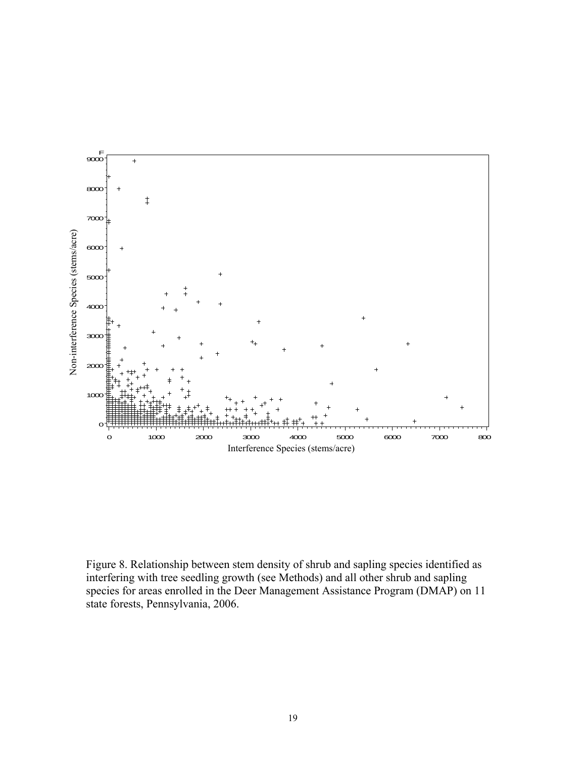

Figure 8. Relationship between stem density of shrub and sapling species identified as interfering with tree seedling growth (see Methods) and all other shrub and sapling species for areas enrolled in the Deer Management Assistance Program (DMAP) on 11 state forests, Pennsylvania, 2006.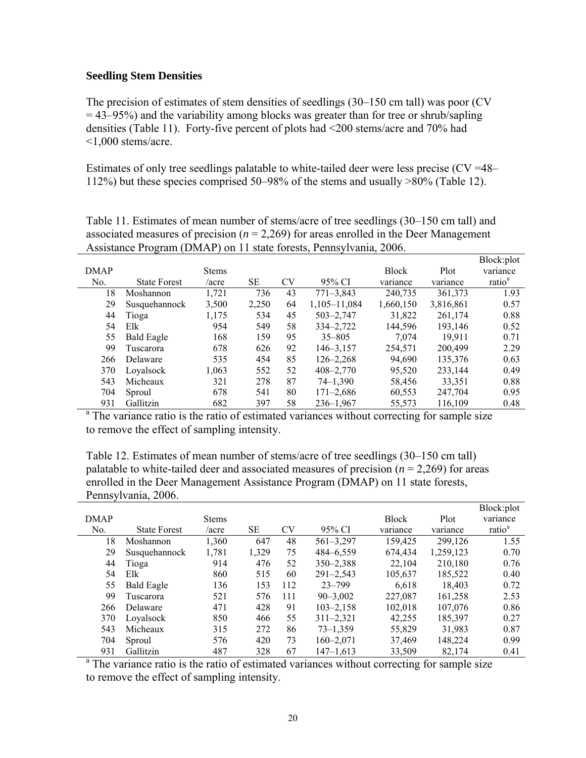#### **Seedling Stem Densities**

The precision of estimates of stem densities of seedlings (30–150 cm tall) was poor (CV  $=$  43–95%) and the variability among blocks was greater than for tree or shrub/sapling densities (Table 11). Forty-five percent of plots had <200 stems/acre and 70% had <1,000 stems/acre.

Estimates of only tree seedlings palatable to white-tailed deer were less precise ( $CV = 48-$ 112%) but these species comprised 50–98% of the stems and usually >80% (Table 12).

Table 11. Estimates of mean number of stems/acre of tree seedlings (30–150 cm tall) and associated measures of precision  $(n = 2,269)$  for areas enrolled in the Deer Management Assistance Program (DMAP) on 11 state forests, Pennsylvania, 2006.

|             |                     |              |       |           |               |              |           | Block:plot         |
|-------------|---------------------|--------------|-------|-----------|---------------|--------------|-----------|--------------------|
| <b>DMAP</b> |                     | <b>Stems</b> |       |           |               | <b>Block</b> | Plot      | variance           |
| No.         | <b>State Forest</b> | /acre        | SE    | <b>CV</b> | 95% CI        | variance     | variance  | ratio <sup>a</sup> |
| 18          | Moshannon           | 1,721        | 736   | 43        | $771 - 3,843$ | 240,735      | 361,373   | 1.93               |
| 29          | Susquehannock       | 3,500        | 2,250 | 64        | 1,105-11,084  | 1,660,150    | 3,816,861 | 0.57               |
| 44          | Tioga               | 1,175        | 534   | 45        | $503 - 2,747$ | 31,822       | 261,174   | 0.88               |
| 54          | Elk                 | 954          | 549   | 58        | 334-2,722     | 144,596      | 193,146   | 0.52               |
| 55          | <b>Bald Eagle</b>   | 168          | 159   | 95        | $35 - 805$    | 7.074        | 19.911    | 0.71               |
| 99          | Tuscarora           | 678          | 626   | 92        | $146 - 3,157$ | 254,571      | 200,499   | 2.29               |
| 266         | Delaware            | 535          | 454   | 85        | $126 - 2,268$ | 94,690       | 135,376   | 0.63               |
| 370         | Loyalsock           | 1,063        | 552   | 52        | $408 - 2,770$ | 95,520       | 233,144   | 0.49               |
| 543         | Micheaux            | 321          | 278   | 87        | $74 - 1,390$  | 58,456       | 33,351    | 0.88               |
| 704         | Sproul              | 678          | 541   | 80        | $171 - 2,686$ | 60,553       | 247,704   | 0.95               |
| 931         | Gallitzin           | 682          | 397   | 58        | $236 - 1,967$ | 55,573       | 116,109   | 0.48               |

931 Gallitzin 682 397 58 236–1,967 55,573 116,109 0.48<br><sup>a</sup> The variance ratio is the ratio of estimated variances without correcting for sample size to remove the effect of sampling intensity.

Table 12. Estimates of mean number of stems/acre of tree seedlings (30–150 cm tall) palatable to white-tailed deer and associated measures of precision  $(n = 2,269)$  for areas enrolled in the Deer Management Assistance Program (DMAP) on 11 state forests, Pennsylvania, 2006.

|             |                     |              |       |     |               |              |           | Block:plot         |
|-------------|---------------------|--------------|-------|-----|---------------|--------------|-----------|--------------------|
| <b>DMAP</b> |                     | <b>Stems</b> |       |     |               | <b>Block</b> | Plot      | variance           |
| No.         | <b>State Forest</b> | /acre        | SE    | CV  | 95% CI        | variance     | variance  | ratio <sup>a</sup> |
| 18          | Moshannon           | 1,360        | 647   | 48  | $561 - 3,297$ | 159,425      | 299,126   | 1.55               |
| 29          | Susquehannock       | 1,781        | 1,329 | 75  | 484-6,559     | 674,434      | 1,259,123 | 0.70               |
| 44          | Tioga               | 914          | 476   | 52  | $350 - 2,388$ | 22,104       | 210,180   | 0.76               |
| 54          | Elk                 | 860          | 515   | 60  | $291 - 2,543$ | 105,637      | 185,522   | 0.40               |
| 55          | <b>Bald Eagle</b>   | 136          | 153   | 112 | $23 - 799$    | 6,618        | 18,403    | 0.72               |
| 99          | Tuscarora           | 521          | 576   | 111 | $90 - 3.002$  | 227,087      | 161,258   | 2.53               |
| 266         | Delaware            | 471          | 428   | 91  | $103 - 2,158$ | 102,018      | 107,076   | 0.86               |
| 370         | Loyalsock           | 850          | 466   | 55  | $311 - 2,321$ | 42,255       | 185,397   | 0.27               |
| 543         | Micheaux            | 315          | 272   | 86  | $73 - 1,359$  | 55,829       | 31.983    | 0.87               |
| 704         | Sproul              | 576          | 420   | 73  | $160 - 2,071$ | 37,469       | 148,224   | 0.99               |
| 931         | Gallitzin           | 487          | 328   | 67  | $147 - 1.613$ | 33,509       | 82,174    | 0.41               |

931 Gallitzin 487 328 67 147–1,613 33,509 82,174 0.41 <sup>a</sup> The variance ratio is the ratio of estimated variances without correcting for sample size to remove the effect of sampling intensity.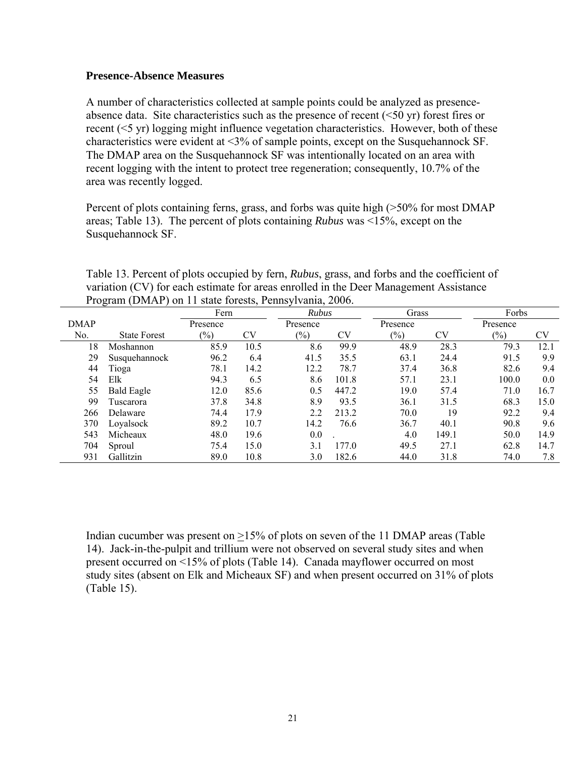### **Presence-Absence Measures**

A number of characteristics collected at sample points could be analyzed as presenceabsence data. Site characteristics such as the presence of recent  $( $50 \text{ yr}$ )$  forest fires or recent (<5 yr) logging might influence vegetation characteristics. However, both of these characteristics were evident at <3% of sample points, except on the Susquehannock SF. The DMAP area on the Susquehannock SF was intentionally located on an area with recent logging with the intent to protect tree regeneration; consequently, 10.7% of the area was recently logged.

Percent of plots containing ferns, grass, and forbs was quite high (>50% for most DMAP areas; Table 13). The percent of plots containing *Rubus* was <15%, except on the Susquehannock SF.

Table 13. Percent of plots occupied by fern, *Rubus*, grass, and forbs and the coefficient of variation (CV) for each estimate for areas enrolled in the Deer Management Assistance Program (DMAP) on 11 state forests, Pennsylvania, 2006.

|             |                     | Fern           |      |          | <b>Rubus</b> |          | Grass | Forbs          |      |
|-------------|---------------------|----------------|------|----------|--------------|----------|-------|----------------|------|
| <b>DMAP</b> |                     | Presence       |      | Presence |              | Presence |       | Presence       |      |
| No.         | <b>State Forest</b> | $\binom{0}{0}$ | CV   | $(\%)$   | CV           | $(\%)$   | CV    | $\binom{0}{0}$ | CV   |
| 18          | Moshannon           | 85.9           | 10.5 | 8.6      | 99.9         | 48.9     | 28.3  | 79.3           | 12.1 |
| 29          | Susquehannock       | 96.2           | 6.4  | 41.5     | 35.5         | 63.1     | 24.4  | 91.5           | 9.9  |
| 44          | Tioga               | 78.1           | 14.2 | 12.2     | 78.7         | 37.4     | 36.8  | 82.6           | 9.4  |
| 54          | Elk                 | 94.3           | 6.5  | 8.6      | 101.8        | 57.1     | 23.1  | 100.0          | 0.0  |
| 55          | <b>Bald Eagle</b>   | 12.0           | 85.6 | 0.5      | 447.2        | 19.0     | 57.4  | 71.0           | 16.7 |
| 99          | Tuscarora           | 37.8           | 34.8 | 8.9      | 93.5         | 36.1     | 31.5  | 68.3           | 15.0 |
| 266         | Delaware            | 74.4           | 17.9 | 2.2      | 213.2        | 70.0     | 19    | 92.2           | 9.4  |
| 370         | Loyalsock           | 89.2           | 10.7 | 14.2     | 76.6         | 36.7     | 40.1  | 90.8           | 9.6  |
| 543         | Micheaux            | 48.0           | 19.6 | 0.0      |              | 4.0      | 149.1 | 50.0           | 14.9 |
| 704         | Sproul              | 75.4           | 15.0 | 3.1      | 177.0        | 49.5     | 27.1  | 62.8           | 14.7 |
| 931         | Gallitzin           | 89.0           | 10.8 | 3.0      | 182.6        | 44.0     | 31.8  | 74.0           | 7.8  |

Indian cucumber was present on >15% of plots on seven of the 11 DMAP areas (Table 14). Jack-in-the-pulpit and trillium were not observed on several study sites and when present occurred on <15% of plots (Table 14). Canada mayflower occurred on most study sites (absent on Elk and Micheaux SF) and when present occurred on 31% of plots (Table 15).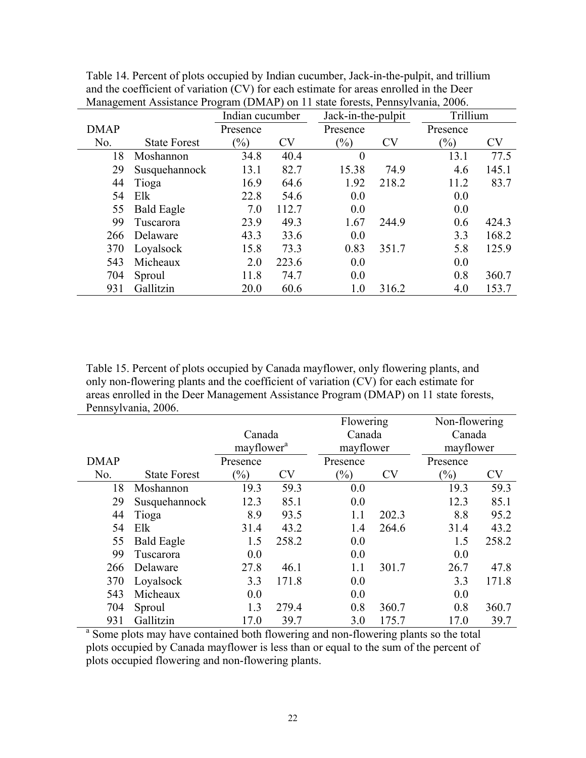|             |                     | Indian cucumber |           | Jack-in-the-pulpit |       | Trillium       |           |
|-------------|---------------------|-----------------|-----------|--------------------|-------|----------------|-----------|
| <b>DMAP</b> |                     | Presence        |           | Presence           |       | Presence       |           |
| No.         | <b>State Forest</b> | $\frac{9}{0}$   | <b>CV</b> | $\binom{0}{0}$     | CV    | $\binom{0}{0}$ | <b>CV</b> |
| 18          | Moshannon           | 34.8            | 40.4      | $\boldsymbol{0}$   |       | 13.1           | 77.5      |
| 29          | Susquehannock       | 13.1            | 82.7      | 15.38              | 74.9  | 4.6            | 145.1     |
| 44          | Tioga               | 16.9            | 64.6      | 1.92               | 218.2 | 11.2           | 83.7      |
| 54          | Elk                 | 22.8            | 54.6      | 0.0                |       | 0.0            |           |
| 55          | <b>Bald Eagle</b>   | 7.0             | 112.7     | 0.0                |       | 0.0            |           |
| 99          | Tuscarora           | 23.9            | 49.3      | 1.67               | 244.9 | 0.6            | 424.3     |
| 266         | Delaware            | 43.3            | 33.6      | 0.0                |       | 3.3            | 168.2     |
| 370         | Loyalsock           | 15.8            | 73.3      | 0.83               | 351.7 | 5.8            | 125.9     |
| 543         | Micheaux            | 2.0             | 223.6     | 0.0                |       | 0.0            |           |
| 704         | Sproul              | 11.8            | 74.7      | 0.0                |       | 0.8            | 360.7     |
| 931         | Gallitzin           | 20.0            | 60.6      | 1.0                | 316.2 | 4.0            | 153.7     |

Table 14. Percent of plots occupied by Indian cucumber, Jack-in-the-pulpit, and trillium and the coefficient of variation (CV) for each estimate for areas enrolled in the Deer Management Assistance Program (DMAP) on 11 state forests, Pennsylvania, 2006.

Table 15. Percent of plots occupied by Canada mayflower, only flowering plants, and only non-flowering plants and the coefficient of variation (CV) for each estimate for areas enrolled in the Deer Management Assistance Program (DMAP) on 11 state forests, Pennsylvania, 2006.

|             |                                                                                    |                            |           | Flowering |           | Non-flowering |           |
|-------------|------------------------------------------------------------------------------------|----------------------------|-----------|-----------|-----------|---------------|-----------|
|             |                                                                                    | Canada                     |           | Canada    |           | Canada        |           |
|             |                                                                                    | mayflower <sup>a</sup>     |           | mayflower |           | mayflower     |           |
| <b>DMAP</b> |                                                                                    | Presence                   |           | Presence  |           | Presence      |           |
| No.         | <b>State Forest</b>                                                                | $\left(\frac{0}{0}\right)$ | <b>CV</b> | $(\%)$    | <b>CV</b> | $(\%)$        | <b>CV</b> |
| 18          | Moshannon                                                                          | 19.3                       | 59.3      | 0.0       |           | 19.3          | 59.3      |
| 29          | Susquehannock                                                                      | 12.3                       | 85.1      | 0.0       |           | 12.3          | 85.1      |
| 44          | Tioga                                                                              | 8.9                        | 93.5      | 1.1       | 202.3     | 8.8           | 95.2      |
| 54          | Elk                                                                                | 31.4                       | 43.2      | 1.4       | 264.6     | 31.4          | 43.2      |
| 55          | <b>Bald Eagle</b>                                                                  | 1.5                        | 258.2     | 0.0       |           | 1.5           | 258.2     |
| 99          | Tuscarora                                                                          | 0.0                        |           | 0.0       |           | 0.0           |           |
| 266         | Delaware                                                                           | 27.8                       | 46.1      | 1.1       | 301.7     | 26.7          | 47.8      |
| 370         | Loyalsock                                                                          | 3.3                        | 171.8     | 0.0       |           | 3.3           | 171.8     |
| 543         | Micheaux                                                                           | 0.0                        |           | 0.0       |           | 0.0           |           |
| 704         | Sproul                                                                             | 1.3                        | 279.4     | 0.8       | 360.7     | 0.8           | 360.7     |
| 931         | Gallitzin                                                                          | 17.0                       | 39.7      | 3.0       | 175.7     | 17.0          | 39.7      |
|             | Some plots may have contained both flowering and non-flowering plants so the total |                            |           |           |           |               |           |

plots occupied by Canada mayflower is less than or equal to the sum of the percent of plots occupied flowering and non-flowering plants.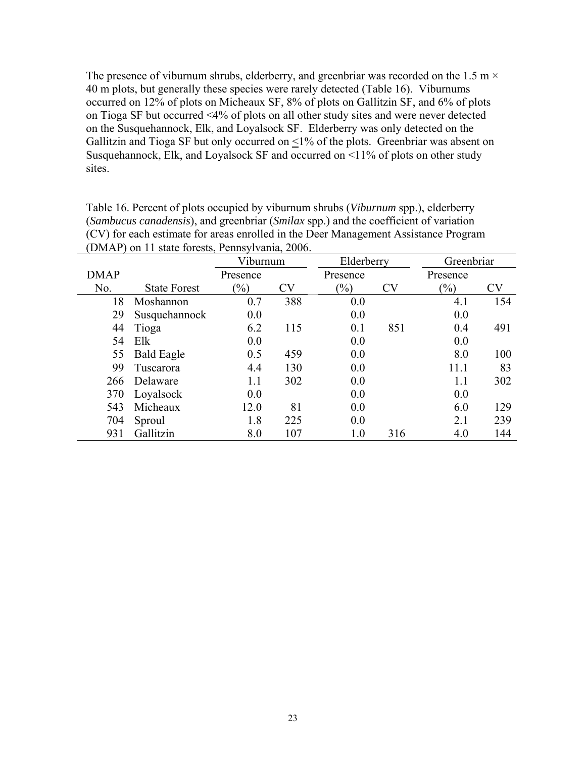The presence of viburnum shrubs, elderberry, and greenbriar was recorded on the 1.5 m  $\times$ 40 m plots, but generally these species were rarely detected (Table 16). Viburnums occurred on 12% of plots on Micheaux SF, 8% of plots on Gallitzin SF, and 6% of plots on Tioga SF but occurred <4% of plots on all other study sites and were never detected on the Susquehannock, Elk, and Loyalsock SF. Elderberry was only detected on the Gallitzin and Tioga SF but only occurred on  $\leq$ 1% of the plots. Greenbriar was absent on Susquehannock, Elk, and Loyalsock SF and occurred on <11% of plots on other study sites.

|             |                     | Viburnum      |     | Elderberry     |     | Greenbriar     |     |
|-------------|---------------------|---------------|-----|----------------|-----|----------------|-----|
| <b>DMAP</b> |                     | Presence      |     | Presence       |     | Presence       |     |
| No.         | <b>State Forest</b> | $\frac{1}{2}$ | CV  | $\binom{0}{0}$ | CV  | $\binom{0}{0}$ | CV  |
| 18          | Moshannon           | 0.7           | 388 | 0.0            |     | 4.1            | 154 |
| 29          | Susquehannock       | 0.0           |     | 0.0            |     | 0.0            |     |
| 44          | Tioga               | 6.2           | 115 | 0.1            | 851 | 0.4            | 491 |
| 54          | Elk                 | 0.0           |     | 0.0            |     | 0.0            |     |
| 55          | <b>Bald Eagle</b>   | 0.5           | 459 | 0.0            |     | 8.0            | 100 |
| 99          | Tuscarora           | 4.4           | 130 | 0.0            |     | 11.1           | 83  |
| 266         | Delaware            | 1.1           | 302 | 0.0            |     | 1.1            | 302 |
| 370         | Loyalsock           | 0.0           |     | 0.0            |     | 0.0            |     |
| 543         | Micheaux            | 12.0          | 81  | 0.0            |     | 6.0            | 129 |
| 704         | Sproul              | 1.8           | 225 | 0.0            |     | 2.1            | 239 |
| 931         | Gallitzin           | 8.0           | 107 | $1.0\,$        | 316 | 4.0            | 144 |

Table 16. Percent of plots occupied by viburnum shrubs (*Viburnum* spp.), elderberry (*Sambucus canadensis*), and greenbriar (*Smilax* spp.) and the coefficient of variation (CV) for each estimate for areas enrolled in the Deer Management Assistance Program (DMAP) on 11 state forests, Pennsylvania, 2006.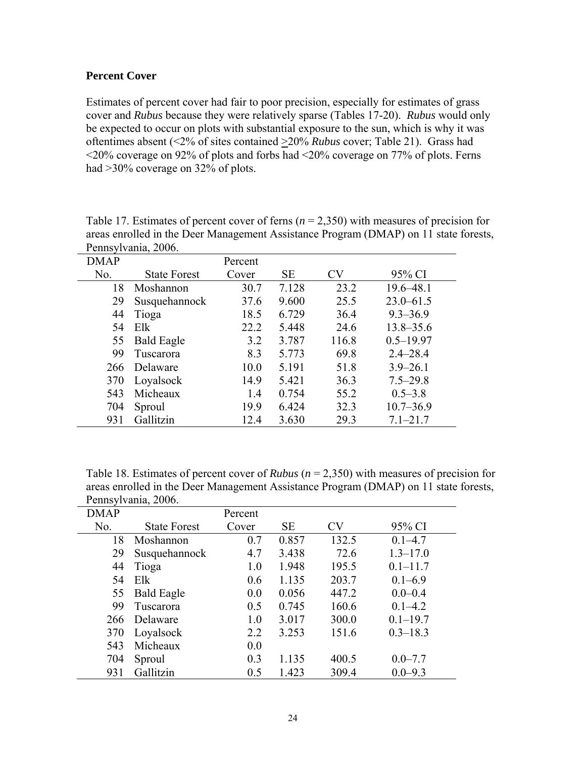## **Percent Cover**

Estimates of percent cover had fair to poor precision, especially for estimates of grass cover and *Rubus* because they were relatively sparse (Tables 17-20). *Rubus* would only be expected to occur on plots with substantial exposure to the sun, which is why it was oftentimes absent (<2% of sites contained >20% *Rubus* cover; Table 21). Grass had <20% coverage on 92% of plots and forbs had <20% coverage on 77% of plots. Ferns had >30% coverage on 32% of plots.

|             | Pennsylvania, 2006. |         |           |           |               |
|-------------|---------------------|---------|-----------|-----------|---------------|
| <b>DMAP</b> |                     | Percent |           |           |               |
| No.         | <b>State Forest</b> | Cover   | <b>SE</b> | <b>CV</b> | 95% CI        |
| 18          | Moshannon           | 30.7    | 7.128     | 23.2      | $19.6 - 48.1$ |
| 29          | Susquehannock       | 37.6    | 9.600     | 25.5      | $23.0 - 61.5$ |
| 44          | Tioga               | 18.5    | 6.729     | 36.4      | $9.3 - 36.9$  |
| 54          | Elk                 | 22.2    | 5.448     | 24.6      | $13.8 - 35.6$ |
| 55          | <b>Bald Eagle</b>   | 3.2     | 3.787     | 116.8     | $0.5 - 19.97$ |
| 99          | Tuscarora           | 8.3     | 5.773     | 69.8      | $2.4 - 28.4$  |
| 266         | Delaware            | 10.0    | 5.191     | 51.8      | $3.9 - 26.1$  |
| 370         | Loyalsock           | 14.9    | 5.421     | 36.3      | $7.5 - 29.8$  |
| 543         | Micheaux            | 1.4     | 0.754     | 55.2      | $0.5 - 3.8$   |
| 704         | Sproul              | 19.9    | 6.424     | 32.3      | $10.7 - 36.9$ |
| 931         | Gallitzin           | 12.4    | 3.630     | 29.3      | $7.1 - 21.7$  |

Table 17. Estimates of percent cover of ferns  $(n = 2,350)$  with measures of precision for areas enrolled in the Deer Management Assistance Program (DMAP) on 11 state forests,

Table 18. Estimates of percent cover of *Rubus* (*n* = 2,350) with measures of precision for areas enrolled in the Deer Management Assistance Program (DMAP) on 11 state forests, Pennsylvania, 2006.

| <b>DMAP</b> |                     | Percent |           |           |              |
|-------------|---------------------|---------|-----------|-----------|--------------|
| No.         | <b>State Forest</b> | Cover   | <b>SE</b> | <b>CV</b> | 95% CI       |
| 18          | Moshannon           | 0.7     | 0.857     | 132.5     | $0.1 - 4.7$  |
| 29          | Susquehannock       | 4.7     | 3.438     | 72.6      | $1.3 - 17.0$ |
| 44          | Tioga               | 1.0     | 1.948     | 195.5     | $0.1 - 11.7$ |
| 54          | Elk                 | 0.6     | 1.135     | 203.7     | $0.1 - 6.9$  |
| 55          | <b>Bald Eagle</b>   | 0.0     | 0.056     | 447.2     | $0.0 - 0.4$  |
| 99          | Tuscarora           | 0.5     | 0.745     | 160.6     | $0.1 - 4.2$  |
| 266         | Delaware            | 1.0     | 3.017     | 300.0     | $0.1 - 19.7$ |
| 370         | Loyalsock           | 2.2     | 3.253     | 151.6     | $0.3 - 18.3$ |
| 543         | Micheaux            | 0.0     |           |           |              |
| 704         | Sproul              | 0.3     | 1.135     | 400.5     | $0.0 - 7.7$  |
| 931         | Gallitzin           | 0.5     | 1.423     | 309.4     | $0.0 - 9.3$  |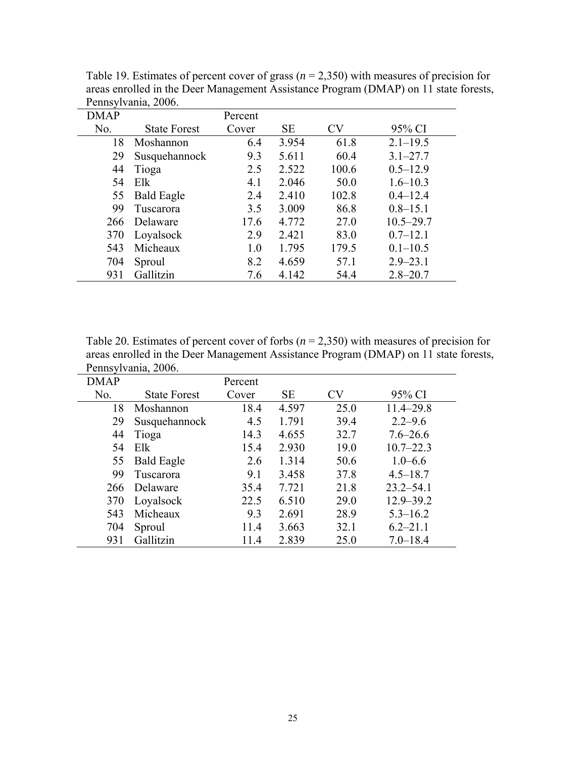| <b>DMAP</b> |                     | Percent |       |           |               |
|-------------|---------------------|---------|-------|-----------|---------------|
| No.         | <b>State Forest</b> | Cover   | SE    | <b>CV</b> | 95% CI        |
| 18          | Moshannon           | 6.4     | 3.954 | 61.8      | $2.1 - 19.5$  |
| 29          | Susquehannock       | 9.3     | 5.611 | 60.4      | $3.1 - 27.7$  |
| 44          | Tioga               | 2.5     | 2.522 | 100.6     | $0.5 - 12.9$  |
| 54          | Elk                 | 4.1     | 2.046 | 50.0      | $1.6 - 10.3$  |
| 55          | <b>Bald Eagle</b>   | 2.4     | 2.410 | 102.8     | $0.4 - 12.4$  |
| 99          | Tuscarora           | 3.5     | 3.009 | 86.8      | $0.8 - 15.1$  |
| 266         | Delaware            | 17.6    | 4.772 | 27.0      | $10.5 - 29.7$ |
| 370         | Loyalsock           | 2.9     | 2.421 | 83.0      | $0.7 - 12.1$  |
| 543         | Micheaux            | 1.0     | 1.795 | 179.5     | $0.1 - 10.5$  |
| 704         | Sproul              | 8.2     | 4.659 | 57.1      | $2.9 - 23.1$  |
| 931         | Gallitzin           | 7.6     | 4.142 | 54.4      | $2.8 - 20.7$  |

Table 19. Estimates of percent cover of grass (*n* = 2,350) with measures of precision for areas enrolled in the Deer Management Assistance Program (DMAP) on 11 state forests, Pennsylvania, 2006.

Table 20. Estimates of percent cover of forbs (*n* = 2,350) with measures of precision for areas enrolled in the Deer Management Assistance Program (DMAP) on 11 state forests, Pennsylvania, 2006.

| <b>DMAP</b> |                     | Percent |           |      |               |
|-------------|---------------------|---------|-----------|------|---------------|
| No.         | <b>State Forest</b> | Cover   | <b>SE</b> | CV   | 95% CI        |
| 18          | Moshannon           | 18.4    | 4.597     | 25.0 | $11.4 - 29.8$ |
| 29          | Susquehannock       | 4.5     | 1.791     | 39.4 | $2.2 - 9.6$   |
| 44          | Tioga               | 14.3    | 4.655     | 32.7 | $7.6 - 26.6$  |
| 54          | Elk                 | 15.4    | 2.930     | 19.0 | $10.7 - 22.3$ |
| 55          | <b>Bald Eagle</b>   | 2.6     | 1.314     | 50.6 | $1.0 - 6.6$   |
| 99          | Tuscarora           | 9.1     | 3.458     | 37.8 | $4.5 - 18.7$  |
| 266         | Delaware            | 35.4    | 7.721     | 21.8 | $23.2 - 54.1$ |
| 370         | Loyalsock           | 22.5    | 6.510     | 29.0 | 12.9-39.2     |
| 543         | Micheaux            | 9.3     | 2.691     | 28.9 | $5.3 - 16.2$  |
| 704         | Sproul              | 11.4    | 3.663     | 32.1 | $6.2 - 21.1$  |
| 931         | Gallitzin           | 11.4    | 2.839     | 25.0 | $7.0 - 18.4$  |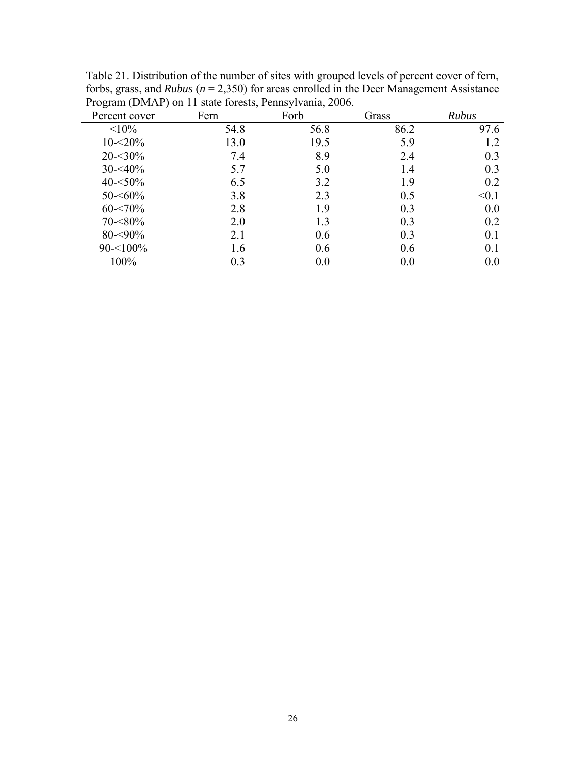| Percent cover | Fern | Forb | Grass | Rubus          |
|---------------|------|------|-------|----------------|
| <10%          | 54.8 | 56.8 | 86.2  | 97.6           |
| $10 - 520%$   | 13.0 | 19.5 | 5.9   | 12             |
| $20 - 30\%$   | 7.4  | 8.9  | 2.4   | 0.3            |
| $30 - 40\%$   | 5.7  | 5.0  | 1.4   | 0 <sub>3</sub> |
| $40 - 50\%$   | 6.5  | 3.2  | 1.9   | 0.2            |
| $50 - 60\%$   | 3.8  | 2.3  | 0.5   | < 0.1          |
| $60 - 70\%$   | 2.8  | 1.9  | 0.3   | 0.0            |
| $70 - 80\%$   | 2.0  | 1.3  | 0.3   | 0.2            |
| $80 - 90\%$   | 2.1  | 0.6  | 0.3   | 0.1            |
| $90 - 100\%$  | 1.6  | 0.6  | 0.6   | 0.1            |
| 100%          | 0.3  | 0.0  | 0.0   | 0.0            |

Table 21. Distribution of the number of sites with grouped levels of percent cover of fern, forbs, grass, and *Rubus* ( $n = 2,350$ ) for areas enrolled in the Deer Management Assistance Program (DMAP) on 11 state forests, Pennsylvania, 2006.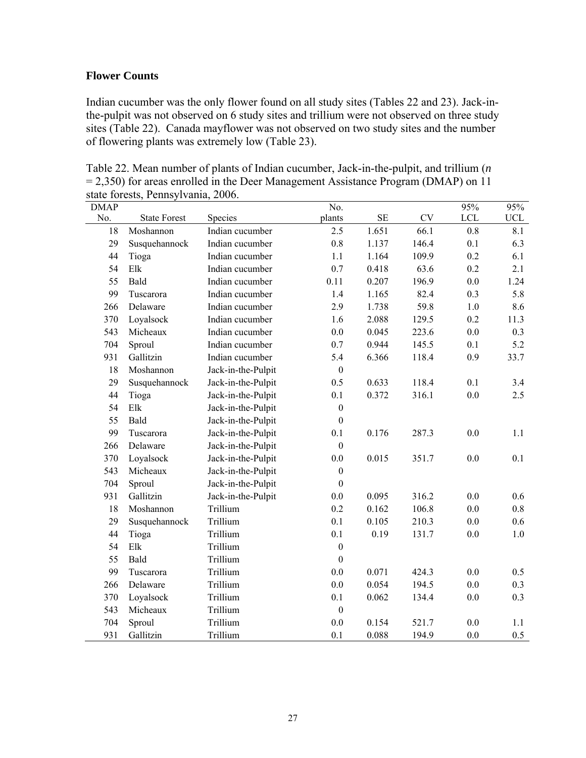## **Flower Counts**

Indian cucumber was the only flower found on all study sites (Tables 22 and 23). Jack-inthe-pulpit was not observed on 6 study sites and trillium were not observed on three study sites (Table 22). Canada mayflower was not observed on two study sites and the number of flowering plants was extremely low (Table 23).

Table 22. Mean number of plants of Indian cucumber, Jack-in-the-pulpit, and trillium (*n* = 2,350) for areas enrolled in the Deer Management Assistance Program (DMAP) on 11 state forests, Pennsylvania, 2006.

| <b>DMAP</b> |                     |                    | No.              |          |           | 95%     | 95%         |
|-------------|---------------------|--------------------|------------------|----------|-----------|---------|-------------|
| No.         | <b>State Forest</b> | Species            | plants           | $\rm SE$ | <b>CV</b> | LCL     | ${\rm UCL}$ |
| 18          | Moshannon           | Indian cucumber    | 2.5              | 1.651    | 66.1      | 0.8     | 8.1         |
| 29          | Susquehannock       | Indian cucumber    | 0.8              | 1.137    | 146.4     | 0.1     | 6.3         |
| 44          | Tioga               | Indian cucumber    | 1.1              | 1.164    | 109.9     | 0.2     | 6.1         |
| 54          | Elk                 | Indian cucumber    | 0.7              | 0.418    | 63.6      | 0.2     | 2.1         |
| 55          | Bald                | Indian cucumber    | 0.11             | 0.207    | 196.9     | 0.0     | 1.24        |
| 99          | Tuscarora           | Indian cucumber    | 1.4              | 1.165    | 82.4      | 0.3     | 5.8         |
| 266         | Delaware            | Indian cucumber    | 2.9              | 1.738    | 59.8      | 1.0     | 8.6         |
| 370         | Loyalsock           | Indian cucumber    | 1.6              | 2.088    | 129.5     | 0.2     | 11.3        |
| 543         | Micheaux            | Indian cucumber    | 0.0              | 0.045    | 223.6     | 0.0     | 0.3         |
| 704         | Sproul              | Indian cucumber    | 0.7              | 0.944    | 145.5     | 0.1     | 5.2         |
| 931         | Gallitzin           | Indian cucumber    | 5.4              | 6.366    | 118.4     | 0.9     | 33.7        |
| 18          | Moshannon           | Jack-in-the-Pulpit | $\boldsymbol{0}$ |          |           |         |             |
| 29          | Susquehannock       | Jack-in-the-Pulpit | 0.5              | 0.633    | 118.4     | 0.1     | 3.4         |
| 44          | Tioga               | Jack-in-the-Pulpit | 0.1              | 0.372    | 316.1     | 0.0     | 2.5         |
| 54          | Elk                 | Jack-in-the-Pulpit | $\boldsymbol{0}$ |          |           |         |             |
| 55          | Bald                | Jack-in-the-Pulpit | $\boldsymbol{0}$ |          |           |         |             |
| 99          | Tuscarora           | Jack-in-the-Pulpit | 0.1              | 0.176    | 287.3     | 0.0     | 1.1         |
| 266         | Delaware            | Jack-in-the-Pulpit | $\boldsymbol{0}$ |          |           |         |             |
| 370         | Loyalsock           | Jack-in-the-Pulpit | 0.0              | 0.015    | 351.7     | 0.0     | 0.1         |
| 543         | Micheaux            | Jack-in-the-Pulpit | $\boldsymbol{0}$ |          |           |         |             |
| 704         | Sproul              | Jack-in-the-Pulpit | $\boldsymbol{0}$ |          |           |         |             |
| 931         | Gallitzin           | Jack-in-the-Pulpit | $0.0\,$          | 0.095    | 316.2     | $0.0\,$ | 0.6         |
| 18          | Moshannon           | Trillium           | 0.2              | 0.162    | 106.8     | 0.0     | 0.8         |
| 29          | Susquehannock       | Trillium           | 0.1              | 0.105    | 210.3     | 0.0     | 0.6         |
| 44          | Tioga               | Trillium           | 0.1              | 0.19     | 131.7     | $0.0\,$ | 1.0         |
| 54          | Elk                 | Trillium           | $\boldsymbol{0}$ |          |           |         |             |
| 55          | Bald                | Trillium           | $\boldsymbol{0}$ |          |           |         |             |
| 99          | Tuscarora           | Trillium           | 0.0              | 0.071    | 424.3     | 0.0     | 0.5         |
| 266         | Delaware            | Trillium           | 0.0              | 0.054    | 194.5     | 0.0     | 0.3         |
| 370         | Loyalsock           | Trillium           | 0.1              | 0.062    | 134.4     | $0.0\,$ | 0.3         |
| 543         | Micheaux            | Trillium           | $\boldsymbol{0}$ |          |           |         |             |
| 704         | Sproul              | Trillium           | 0.0              | 0.154    | 521.7     | 0.0     | 1.1         |
| 931         | Gallitzin           | Trillium           | 0.1              | 0.088    | 194.9     | 0.0     | 0.5         |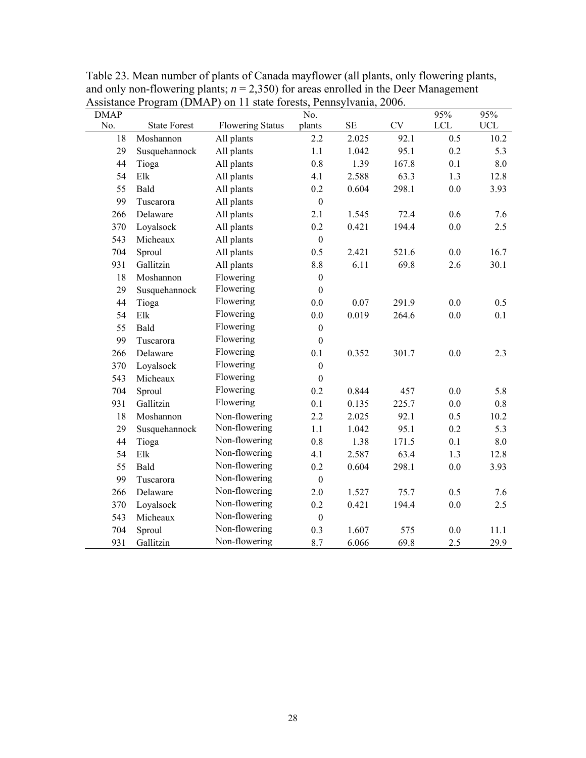| <b>DMAP</b> |                     | $\mu$ rootstance in equal (DNM in ) on in state forests, i emisyrvating, | No.              |          |           | 95% | 95%         |
|-------------|---------------------|--------------------------------------------------------------------------|------------------|----------|-----------|-----|-------------|
| No.         | <b>State Forest</b> | <b>Flowering Status</b>                                                  | plants           | $\rm SE$ | <b>CV</b> | LCL | ${\rm UCL}$ |
| 18          | Moshannon           | All plants                                                               | 2.2              | 2.025    | 92.1      | 0.5 | 10.2        |
| 29          | Susquehannock       | All plants                                                               | 1.1              | 1.042    | 95.1      | 0.2 | 5.3         |
| 44          | Tioga               | All plants                                                               | $0.8\,$          | 1.39     | 167.8     | 0.1 | 8.0         |
| 54          | ${\rm E}$           | All plants                                                               | 4.1              | 2.588    | 63.3      | 1.3 | 12.8        |
| 55          | Bald                | All plants                                                               | 0.2              | 0.604    | 298.1     | 0.0 | 3.93        |
| 99          | Tuscarora           | All plants                                                               | $\boldsymbol{0}$ |          |           |     |             |
| 266         | Delaware            | All plants                                                               | 2.1              | 1.545    | 72.4      | 0.6 | 7.6         |
| 370         | Loyalsock           | All plants                                                               | 0.2              | 0.421    | 194.4     | 0.0 | 2.5         |
| 543         | Micheaux            | All plants                                                               | $\boldsymbol{0}$ |          |           |     |             |
| 704         | Sproul              | All plants                                                               | 0.5              | 2.421    | 521.6     | 0.0 | 16.7        |
| 931         | Gallitzin           | All plants                                                               | 8.8              | 6.11     | 69.8      | 2.6 | 30.1        |
| 18          | Moshannon           | Flowering                                                                | $\boldsymbol{0}$ |          |           |     |             |
| 29          | Susquehannock       | Flowering                                                                | $\boldsymbol{0}$ |          |           |     |             |
| 44          | Tioga               | Flowering                                                                | 0.0              | 0.07     | 291.9     | 0.0 | 0.5         |
| 54          | Elk                 | Flowering                                                                | 0.0              | 0.019    | 264.6     | 0.0 | 0.1         |
| 55          | Bald                | Flowering                                                                | $\boldsymbol{0}$ |          |           |     |             |
| 99          | Tuscarora           | Flowering                                                                | $\boldsymbol{0}$ |          |           |     |             |
| 266         | Delaware            | Flowering                                                                | 0.1              | 0.352    | 301.7     | 0.0 | 2.3         |
| 370         | Loyalsock           | Flowering                                                                | $\boldsymbol{0}$ |          |           |     |             |
| 543         | Micheaux            | Flowering                                                                | $\boldsymbol{0}$ |          |           |     |             |
| 704         | Sproul              | Flowering                                                                | 0.2              | 0.844    | 457       | 0.0 | 5.8         |
| 931         | Gallitzin           | Flowering                                                                | 0.1              | 0.135    | 225.7     | 0.0 | 0.8         |
| 18          | Moshannon           | Non-flowering                                                            | 2.2              | 2.025    | 92.1      | 0.5 | 10.2        |
| 29          | Susquehannock       | Non-flowering                                                            | 1.1              | 1.042    | 95.1      | 0.2 | 5.3         |
| 44          | Tioga               | Non-flowering                                                            | 0.8              | 1.38     | 171.5     | 0.1 | 8.0         |
| 54          | Elk                 | Non-flowering                                                            | 4.1              | 2.587    | 63.4      | 1.3 | 12.8        |
| 55          | Bald                | Non-flowering                                                            | 0.2              | 0.604    | 298.1     | 0.0 | 3.93        |
| 99          | Tuscarora           | Non-flowering                                                            | $\boldsymbol{0}$ |          |           |     |             |
| 266         | Delaware            | Non-flowering                                                            | 2.0              | 1.527    | 75.7      | 0.5 | 7.6         |
| 370         | Loyalsock           | Non-flowering                                                            | 0.2              | 0.421    | 194.4     | 0.0 | 2.5         |
| 543         | Micheaux            | Non-flowering                                                            | $\boldsymbol{0}$ |          |           |     |             |
| 704         | Sproul              | Non-flowering                                                            | 0.3              | 1.607    | 575       | 0.0 | 11.1        |
| 931         | Gallitzin           | Non-flowering                                                            | 8.7              | 6.066    | 69.8      | 2.5 | 29.9        |

Table 23. Mean number of plants of Canada mayflower (all plants, only flowering plants, and only non-flowering plants;  $n = 2,350$  for areas enrolled in the Deer Management Assistance Program (DMAP) on 11 state forests, Pennsylvania, 2006.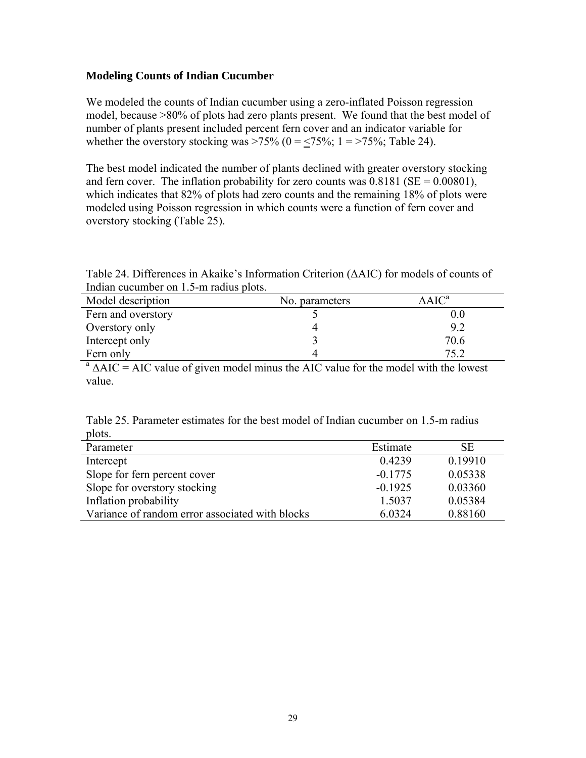## **Modeling Counts of Indian Cucumber**

We modeled the counts of Indian cucumber using a zero-inflated Poisson regression model, because >80% of plots had zero plants present. We found that the best model of number of plants present included percent fern cover and an indicator variable for whether the overstory stocking was >75% ( $0 = \le 75\%$ ;  $1 = \frac{575}{6}$ ; Table 24).

The best model indicated the number of plants declined with greater overstory stocking and fern cover. The inflation probability for zero counts was  $0.8181$  (SE =  $0.00801$ ), which indicates that 82% of plots had zero counts and the remaining 18% of plots were modeled using Poisson regression in which counts were a function of fern cover and overstory stocking (Table 25).

Table 24. Differences in Akaike's Information Criterion (ΔAIC) for models of counts of Indian cucumber on 1.5-m radius plots.

| Model description  | No. parameters | $\Delta AIC^a$ |
|--------------------|----------------|----------------|
| Fern and overstory |                | 0.0            |
| Overstory only     |                | 92             |
| Intercept only     |                | 70.6           |
| Fern only          |                | 75.2           |

 $a \Delta AIC = AIC$  value of given model minus the AIC value for the model with the lowest value.

Table 25. Parameter estimates for the best model of Indian cucumber on 1.5-m radius plots.

| Parameter                                       | Estimate  | SЕ      |
|-------------------------------------------------|-----------|---------|
| Intercept                                       | 0.4239    | 0.19910 |
| Slope for fern percent cover                    | $-0.1775$ | 0.05338 |
| Slope for overstory stocking                    | $-0.1925$ | 0.03360 |
| Inflation probability                           | 1.5037    | 0.05384 |
| Variance of random error associated with blocks | 6.0324    | 0.88160 |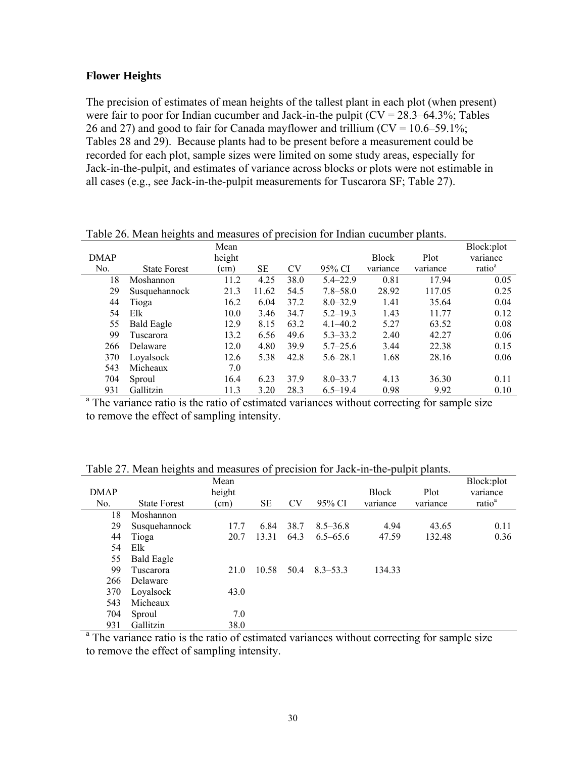#### **Flower Heights**

The precision of estimates of mean heights of the tallest plant in each plot (when present) were fair to poor for Indian cucumber and Jack-in-the pulpit  $(CV = 28.3-64.3\%;$  Tables 26 and 27) and good to fair for Canada mayflower and trillium  $(CV = 10.6 - 59.1\%$ ; Tables 28 and 29). Because plants had to be present before a measurement could be recorded for each plot, sample sizes were limited on some study areas, especially for Jack-in-the-pulpit, and estimates of variance across blocks or plots were not estimable in all cases (e.g., see Jack-in-the-pulpit measurements for Tuscarora SF; Table 27).

|             | -25                                                                                                    |        |       |           |              |              |          |                    |
|-------------|--------------------------------------------------------------------------------------------------------|--------|-------|-----------|--------------|--------------|----------|--------------------|
|             |                                                                                                        | Mean   |       |           |              |              |          | Block:plot         |
| <b>DMAP</b> |                                                                                                        | height |       |           |              | <b>Block</b> | Plot     | variance           |
| No.         | <b>State Forest</b>                                                                                    | (cm)   | SE    | <b>CV</b> | 95% CI       | variance     | variance | ratio <sup>a</sup> |
| 18          | Moshannon                                                                                              | 11.2   | 4.25  | 38.0      | $5.4 - 22.9$ | 0.81         | 17.94    | 0.05               |
| 29          | Susquehannock                                                                                          | 21.3   | 11.62 | 54.5      | $7.8 - 58.0$ | 28.92        | 117.05   | 0.25               |
| 44          | Tioga                                                                                                  | 16.2   | 6.04  | 37.2      | $8.0 - 32.9$ | 1.41         | 35.64    | 0.04               |
| 54          | Elk                                                                                                    | 10.0   | 3.46  | 34.7      | $5.2 - 19.3$ | 1.43         | 11.77    | 0.12               |
| 55          | <b>Bald Eagle</b>                                                                                      | 12.9   | 8.15  | 63.2      | $4.1 - 40.2$ | 5.27         | 63.52    | 0.08               |
| 99          | Tuscarora                                                                                              | 13.2   | 6.56  | 49.6      | $5.3 - 33.2$ | 2.40         | 42.27    | 0.06               |
| 266         | Delaware                                                                                               | 12.0   | 4.80  | 39.9      | $5.7 - 25.6$ | 3.44         | 22.38    | 0.15               |
| 370         | Loyalsock                                                                                              | 12.6   | 5.38  | 42.8      | $5.6 - 28.1$ | 1.68         | 28.16    | 0.06               |
| 543         | Micheaux                                                                                               | 7.0    |       |           |              |              |          |                    |
| 704         | Sproul                                                                                                 | 16.4   | 6.23  | 37.9      | $8.0 - 33.7$ | 4.13         | 36.30    | 0.11               |
| 931         | Gallitzin                                                                                              | 11.3   | 3.20  | 28.3      | $6.5 - 19.4$ | 0.98         | 9.92     | 0.10               |
|             | <sup>a</sup> The variance ratio is the ratio of estimated variances without correcting for sample size |        |       |           |              |              |          |                    |

Table 26. Mean heights and measures of precision for Indian cucumber plants.

to remove the effect of sampling intensity.

|             | $\rightarrow$       |        |       |      |              |              |          |                    |
|-------------|---------------------|--------|-------|------|--------------|--------------|----------|--------------------|
|             |                     | Mean   |       |      |              |              |          | Block:plot         |
| <b>DMAP</b> |                     | height |       |      |              | <b>Block</b> | Plot     | variance           |
| No.         | <b>State Forest</b> | (cm)   | SЕ    | CV   | 95% CI       | variance     | variance | ratio <sup>a</sup> |
| 18          | Moshannon           |        |       |      |              |              |          |                    |
| 29          | Susquehannock       | 17.7   | 6.84  | 38.7 | $8.5 - 36.8$ | 4.94         | 43.65    | 0.11               |
| 44          | Tioga               | 20.7   | 13.31 | 64.3 | $6.5 - 65.6$ | 47.59        | 132.48   | 0.36               |
| 54          | Elk                 |        |       |      |              |              |          |                    |
| 55          | <b>Bald Eagle</b>   |        |       |      |              |              |          |                    |
| 99          | Tuscarora           | 21.0   | 10.58 | 50.4 | $8.3 - 53.3$ | 134.33       |          |                    |
| 266         | Delaware            |        |       |      |              |              |          |                    |
| 370         | Loyalsock           | 43.0   |       |      |              |              |          |                    |
| 543         | Micheaux            |        |       |      |              |              |          |                    |
| 704         | Sproul              | 7.0    |       |      |              |              |          |                    |
| 931         | Gallitzin           | 38.0   |       |      |              |              |          |                    |

Table 27. Mean heights and measures of precision for Jack-in-the-pulpit plants.

931 Gallitzin 38.0<br><sup>a</sup> The variance ratio is the ratio of estimated variances without correcting for sample size to remove the effect of sampling intensity.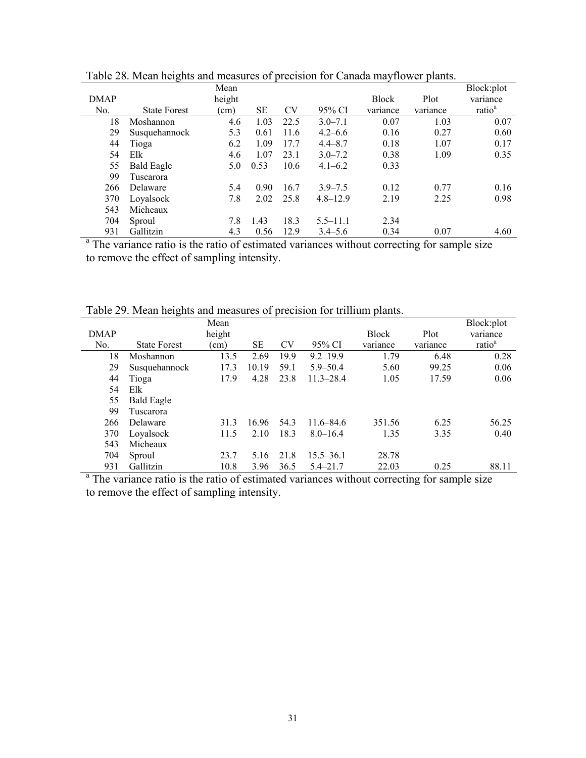|             | っ                                                                                                      |        |      |           |              |              |          |                    |
|-------------|--------------------------------------------------------------------------------------------------------|--------|------|-----------|--------------|--------------|----------|--------------------|
|             |                                                                                                        | Mean   |      |           |              |              |          | Block:plot         |
| <b>DMAP</b> |                                                                                                        | height |      |           |              | <b>Block</b> | Plot     | variance           |
| No.         | <b>State Forest</b>                                                                                    | (cm)   | SЕ   | <b>CV</b> | 95% CI       | variance     | variance | ratio <sup>a</sup> |
| 18          | Moshannon                                                                                              | 4.6    | 1.03 | 22.5      | $3.0 - 7.1$  | 0.07         | 1.03     | 0.07               |
| 29          | Susquehannock                                                                                          | 5.3    | 0.61 | 11.6      | $4.2 - 6.6$  | 0.16         | 0.27     | 0.60               |
| 44          | Tioga                                                                                                  | 6.2    | 1.09 | 17.7      | $4.4 - 8.7$  | 0.18         | 1.07     | 0.17               |
| 54          | Elk                                                                                                    | 4.6    | 1.07 | 23.1      | $3.0 - 7.2$  | 0.38         | 1.09     | 0.35               |
| 55          | <b>Bald Eagle</b>                                                                                      | 5.0    | 0.53 | 10.6      | $4.1 - 6.2$  | 0.33         |          |                    |
| 99          | Tuscarora                                                                                              |        |      |           |              |              |          |                    |
| 266         | Delaware                                                                                               | 5.4    | 0.90 | 16.7      | $3.9 - 7.5$  | 0.12         | 0.77     | 0.16               |
| 370         | Loyalsock                                                                                              | 7.8    | 2.02 | 25.8      | $4.8 - 12.9$ | 2.19         | 2.25     | 0.98               |
| 543         | Micheaux                                                                                               |        |      |           |              |              |          |                    |
| 704         | Sproul                                                                                                 | 7.8    | 1.43 | 18.3      | $5.5 - 11.1$ | 2.34         |          |                    |
| 931         | Gallitzin                                                                                              | 4.3    | 0.56 | 12.9      | $3.4 - 5.6$  | 0.34         | 0.07     | 4.60               |
|             | <sup>a</sup> The variance ratio is the ratio of estimated variances without correcting for sample size |        |      |           |              |              |          |                    |

Table 28. Mean heights and measures of precision for Canada mayflower plants.

to remove the effect of sampling intensity.

Table 29. Mean heights and measures of precision for trillium plants.

|             |                     | Mean   |           |      |               |              |          | Block:plot         |
|-------------|---------------------|--------|-----------|------|---------------|--------------|----------|--------------------|
| <b>DMAP</b> |                     | height |           |      |               | <b>Block</b> | Plot     | variance           |
| No.         | <b>State Forest</b> | (cm)   | <b>SE</b> | CV   | 95% CI        | variance     | variance | ratio <sup>a</sup> |
| 18          | Moshannon           | 13.5   | 2.69      | 19.9 | $9.2 - 19.9$  | 1.79         | 6.48     | 0.28               |
| 29          | Susquehannock       | 17.3   | 10.19     | 59.1 | $5.9 - 50.4$  | 5.60         | 99.25    | 0.06               |
| 44          | Tioga               | 17.9   | 4.28      | 23.8 | $11.3 - 28.4$ | 1.05         | 17.59    | 0.06               |
| 54          | Elk                 |        |           |      |               |              |          |                    |
| 55          | <b>Bald Eagle</b>   |        |           |      |               |              |          |                    |
| 99          | Tuscarora           |        |           |      |               |              |          |                    |
| 266         | Delaware            | 31.3   | 16.96     | 54.3 | $11.6 - 84.6$ | 351.56       | 6.25     | 56.25              |
| 370         | Loyalsock           | 11.5   | 2.10      | 18.3 | $8.0 - 16.4$  | 1.35         | 3.35     | 0.40               |
| 543         | Micheaux            |        |           |      |               |              |          |                    |
| 704         | Sproul              | 23.7   | 5.16      | 21.8 | $15.5 - 36.1$ | 28.78        |          |                    |
| 931         | Gallitzin           | 10.8   | 3.96      | 36.5 | $5.4 - 21.7$  | 22.03        | 0.25     | 88.11              |

931 Gallitzin 10.8 3.96 36.5 5.4–21.7 22.03 0.25 88.11 <sup>a</sup> The variance ratio is the ratio of estimated variances without correcting for sample size to remove the effect of sampling intensity.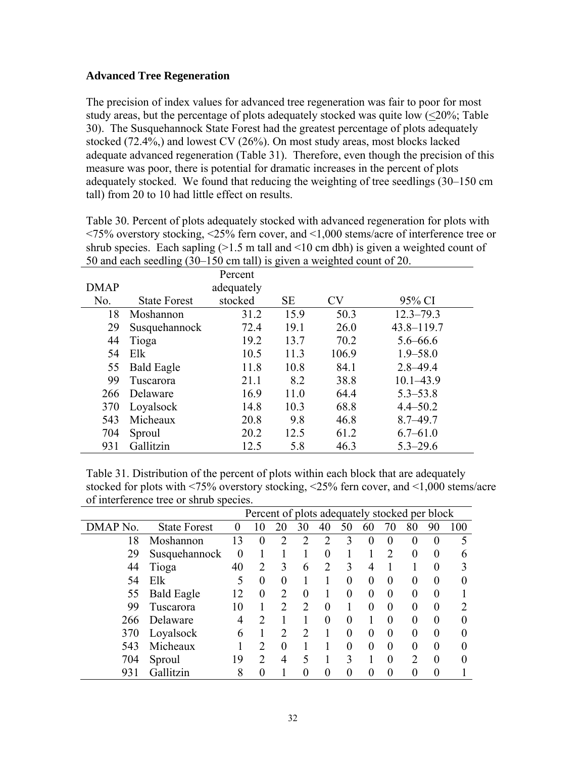## **Advanced Tree Regeneration**

The precision of index values for advanced tree regeneration was fair to poor for most study areas, but the percentage of plots adequately stocked was quite low  $(\leq 20\%;$  Table 30). The Susquehannock State Forest had the greatest percentage of plots adequately stocked (72.4%,) and lowest CV (26%). On most study areas, most blocks lacked adequate advanced regeneration (Table 31). Therefore, even though the precision of this measure was poor, there is potential for dramatic increases in the percent of plots adequately stocked. We found that reducing the weighting of tree seedlings (30–150 cm tall) from 20 to 10 had little effect on results.

Table 30. Percent of plots adequately stocked with advanced regeneration for plots with <75% overstory stocking, <25% fern cover, and <1,000 stems/acre of interference tree or shrub species. Each sapling  $(>1.5 \text{ m tall and } 10 \text{ cm dbh})$  is given a weighted count of 50 and each seedling (30–150 cm tall) is given a weighted count of 20.

|             | Percent             |            |           |           |                |  |  |  |  |
|-------------|---------------------|------------|-----------|-----------|----------------|--|--|--|--|
| <b>DMAP</b> |                     | adequately |           |           |                |  |  |  |  |
| No.         | <b>State Forest</b> | stocked    | <b>SE</b> | <b>CV</b> | 95% CI         |  |  |  |  |
| 18          | Moshannon           | 31.2       | 15.9      | 50.3      | $12.3 - 79.3$  |  |  |  |  |
| 29          | Susquehannock       | 72.4       | 19.1      | 26.0      | $43.8 - 119.7$ |  |  |  |  |
| 44          | Tioga               | 19.2       | 13.7      | 70.2      | $5.6 - 66.6$   |  |  |  |  |
| 54          | Elk                 | 10.5       | 11.3      | 106.9     | $1.9 - 58.0$   |  |  |  |  |
| 55          | <b>Bald Eagle</b>   | 11.8       | 10.8      | 84.1      | $2.8 - 49.4$   |  |  |  |  |
| 99          | Tuscarora           | 21.1       | 8.2       | 38.8      | $10.1 - 43.9$  |  |  |  |  |
| 266         | Delaware            | 16.9       | 11.0      | 64.4      | $5.3 - 53.8$   |  |  |  |  |
| 370         | Loyalsock           | 14.8       | 10.3      | 68.8      | $4.4 - 50.2$   |  |  |  |  |
| 543         | Micheaux            | 20.8       | 9.8       | 46.8      | $8.7 - 49.7$   |  |  |  |  |
| 704         | Sproul              | 20.2       | 12.5      | 61.2      | $6.7 - 61.0$   |  |  |  |  |
| 931         | Gallitzin           | 12.5       | 5.8       | 46.3      | $5.3 - 29.6$   |  |  |  |  |

Table 31. Distribution of the percent of plots within each block that are adequately stocked for plots with <75% overstory stocking, <25% fern cover, and <1,000 stems/acre of interference tree or shrub species.

|                  | Percent of plots adequately stocked per block |          |                |                |                             |                   |          |          |               |          |          |     |
|------------------|-----------------------------------------------|----------|----------------|----------------|-----------------------------|-------------------|----------|----------|---------------|----------|----------|-----|
| DMAP No.         | <b>State Forest</b>                           |          | 10             | 20             | 30                          | 40                | 50       | 60       | 70            | 80       | 90       | 100 |
| 18               | Moshannon                                     | 13       | 0              | C              | $\mathcal{D}$               | $\mathcal{D}$     | 3        | 0        | $\theta$      | 0        | $\theta$ | 5   |
| 29               | Susquehannock                                 | $\theta$ |                |                |                             | $\theta$          |          |          | $\mathcal{D}$ | 0        | $\theta$ | 6   |
| 44               | Tioga                                         | 40       | 2              | 3              | 6                           | っ                 | 3        | 4        |               |          | $\theta$ |     |
| 54               | Elk                                           | 5        | $\theta$       | 0              |                             |                   | $\theta$ | $\Omega$ | $\Omega$      | $\theta$ | $\theta$ |     |
| 55               | <b>Bald Eagle</b>                             | 12       | 0              | $\mathfrak{D}$ | 0                           |                   | 0        | 0        | $\theta$      | 0        | $\theta$ |     |
| 99               | Tuscarora                                     | 10       |                | າ              |                             | $\theta$          |          | 0        | $\theta$      | 0        | 0        |     |
| 266              | Delaware                                      | 4        | ာ              |                |                             | $\mathbf{\Omega}$ | $\Omega$ |          | $\Omega$      | 0        | $\theta$ |     |
| 370              | Loyalsock                                     | 6        |                | $\mathfrak{D}$ | $\mathcal{D}_{\mathcal{A}}$ |                   | 0        | $\Omega$ | $\theta$      | 0        | 0        |     |
| 543              | Micheaux                                      |          | $\overline{2}$ | $\theta$       |                             |                   | 0        | 0        | $\theta$      | 0        | $\theta$ |     |
| 704              | Sproul                                        | 19       | $\mathcal{D}$  | 4              |                             |                   | 3        |          | $\theta$      | າ        | $\theta$ |     |
| Gallitzin<br>931 |                                               | 8        |                |                |                             |                   |          |          |               |          | 0        |     |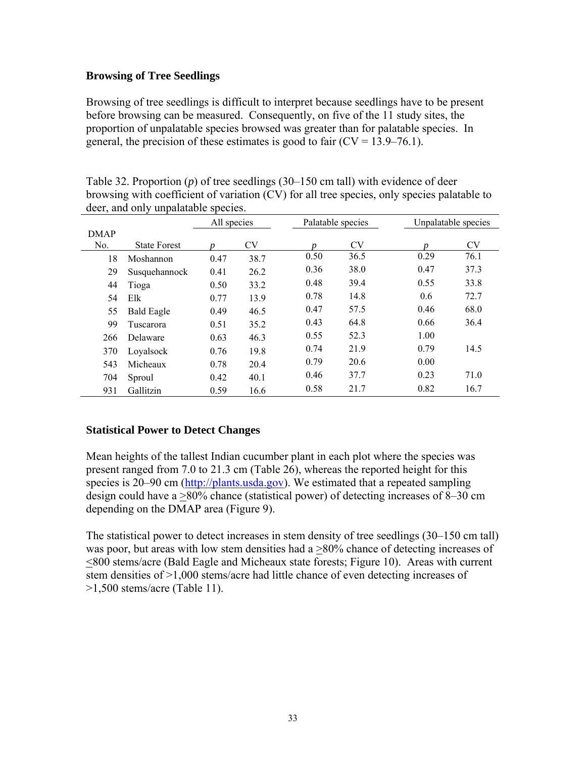## **Browsing of Tree Seedlings**

Browsing of tree seedlings is difficult to interpret because seedlings have to be present before browsing can be measured. Consequently, on five of the 11 study sites, the proportion of unpalatable species browsed was greater than for palatable species. In general, the precision of these estimates is good to fair  $(CV = 13.9 - 76.1)$ .

|                |                     | All species |           |      | Palatable species | Unpalatable species |           |  |
|----------------|---------------------|-------------|-----------|------|-------------------|---------------------|-----------|--|
| <b>DMAP</b>    |                     |             |           |      |                   |                     |           |  |
| N <sub>0</sub> | <b>State Forest</b> | n           | <b>CV</b> | n    | <b>CV</b>         | n                   | <b>CV</b> |  |
| 18             | Moshannon           | 0.47        | 38.7      | 0.50 | 36.5              | 0.29                | 76.1      |  |
| 29             | Susquehannock       | 0.41        | 26.2      | 0.36 | 38.0              | 0.47                | 37.3      |  |
| 44             | Tioga               | 0.50        | 33.2      | 0.48 | 39.4              | 0.55                | 33.8      |  |
| 54             | Elk                 | 0.77        | 13.9      | 0.78 | 14.8              | 0.6                 | 72.7      |  |
| 55             | <b>Bald Eagle</b>   | 0.49        | 46.5      | 0.47 | 57.5              | 0.46                | 68.0      |  |
| 99             | Tuscarora           | 0.51        | 35.2      | 0.43 | 64.8              | 0.66                | 36.4      |  |
| 266            | Delaware            | 0.63        | 46.3      | 0.55 | 52.3              | 1.00                |           |  |
| 370            | Loyalsock           | 0.76        | 19.8      | 0.74 | 21.9              | 0.79                | 14.5      |  |
| 543            | Micheaux            | 0.78        | 20.4      | 0.79 | 20.6              | 0.00                |           |  |
| 704            | Sproul              | 0.42        | 40.1      | 0.46 | 37.7              | 0.23                | 71.0      |  |
| 931            | Gallitzin           | 0.59        | 16.6      | 0.58 | 21.7              | 0.82                | 16.7      |  |

Table 32. Proportion (*p*) of tree seedlings (30–150 cm tall) with evidence of deer browsing with coefficient of variation (CV) for all tree species, only species palatable to deer, and only unpalatable species.

# **Statistical Power to Detect Changes**

Mean heights of the tallest Indian cucumber plant in each plot where the species was present ranged from 7.0 to 21.3 cm (Table 26), whereas the reported height for this species is 20–90 cm (http://plants.usda.gov). We estimated that a repeated sampling design could have a >80% chance (statistical power) of detecting increases of 8–30 cm depending on the DMAP area (Figure 9).

The statistical power to detect increases in stem density of tree seedlings (30–150 cm tall) was poor, but areas with low stem densities had a  $>80\%$  chance of detecting increases of <800 stems/acre (Bald Eagle and Micheaux state forests; Figure 10). Areas with current stem densities of >1,000 stems/acre had little chance of even detecting increases of >1,500 stems/acre (Table 11).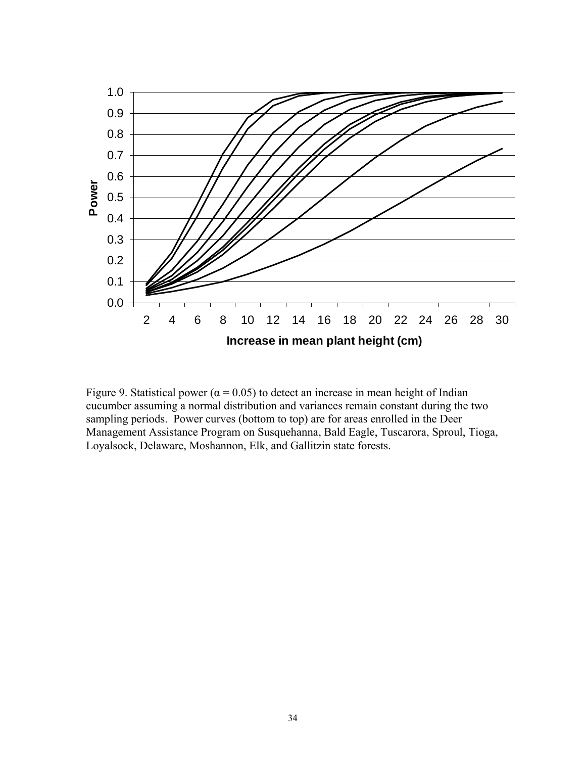

Figure 9. Statistical power ( $\alpha$  = 0.05) to detect an increase in mean height of Indian cucumber assuming a normal distribution and variances remain constant during the two sampling periods. Power curves (bottom to top) are for areas enrolled in the Deer Management Assistance Program on Susquehanna, Bald Eagle, Tuscarora, Sproul, Tioga, Loyalsock, Delaware, Moshannon, Elk, and Gallitzin state forests.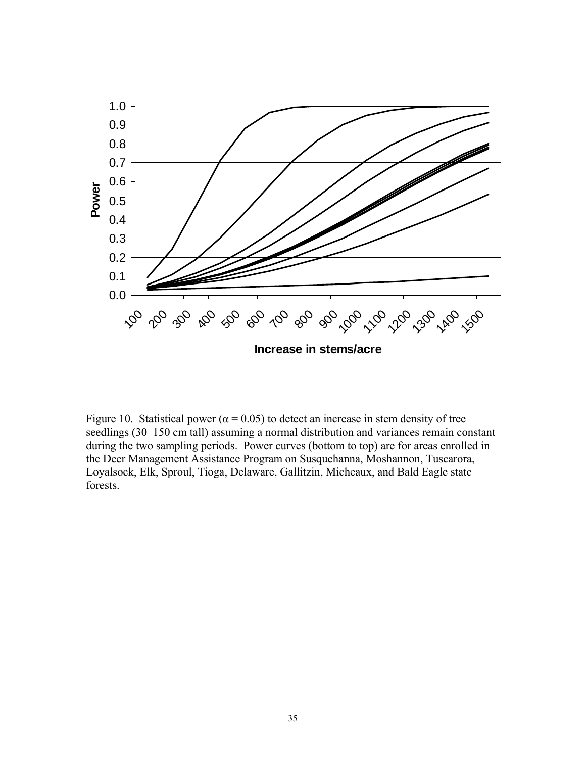

Figure 10. Statistical power ( $\alpha$  = 0.05) to detect an increase in stem density of tree seedlings (30–150 cm tall) assuming a normal distribution and variances remain constant during the two sampling periods. Power curves (bottom to top) are for areas enrolled in the Deer Management Assistance Program on Susquehanna, Moshannon, Tuscarora, Loyalsock, Elk, Sproul, Tioga, Delaware, Gallitzin, Micheaux, and Bald Eagle state forests.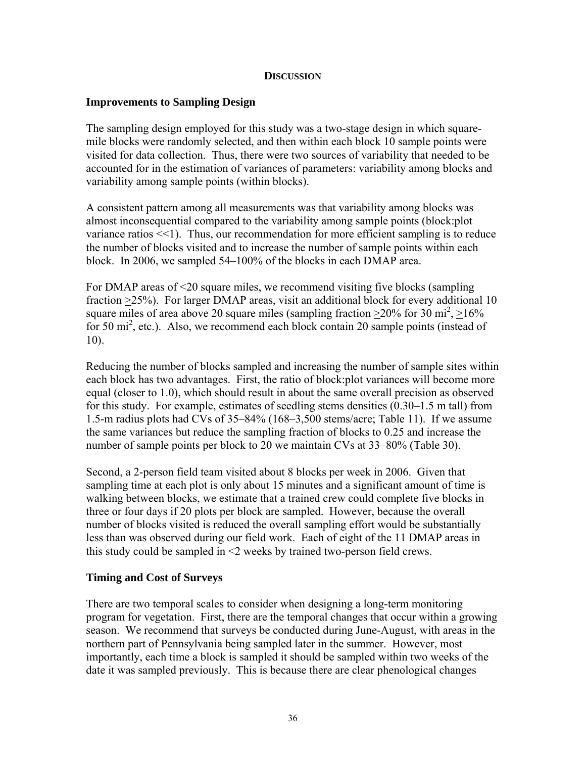#### **DISCUSSION**

## **Improvements to Sampling Design**

The sampling design employed for this study was a two-stage design in which squaremile blocks were randomly selected, and then within each block 10 sample points were visited for data collection. Thus, there were two sources of variability that needed to be accounted for in the estimation of variances of parameters: variability among blocks and variability among sample points (within blocks).

A consistent pattern among all measurements was that variability among blocks was almost inconsequential compared to the variability among sample points (block:plot variance ratios <<1). Thus, our recommendation for more efficient sampling is to reduce the number of blocks visited and to increase the number of sample points within each block. In 2006, we sampled 54–100% of the blocks in each DMAP area.

For DMAP areas of <20 square miles, we recommend visiting five blocks (sampling fraction >25%). For larger DMAP areas, visit an additional block for every additional 10 square miles of area above 20 square miles (sampling fraction  $\geq$  20% for 30 mi<sup>2</sup>,  $\geq$  16% for 50 mi<sup>2</sup>, etc.). Also, we recommend each block contain 20 sample points (instead of 10).

Reducing the number of blocks sampled and increasing the number of sample sites within each block has two advantages. First, the ratio of block:plot variances will become more equal (closer to 1.0), which should result in about the same overall precision as observed for this study. For example, estimates of seedling stems densities (0.30–1.5 m tall) from 1.5-m radius plots had CVs of 35–84% (168–3,500 stems/acre; Table 11). If we assume the same variances but reduce the sampling fraction of blocks to 0.25 and increase the number of sample points per block to 20 we maintain CVs at 33–80% (Table 30).

Second, a 2-person field team visited about 8 blocks per week in 2006. Given that sampling time at each plot is only about 15 minutes and a significant amount of time is walking between blocks, we estimate that a trained crew could complete five blocks in three or four days if 20 plots per block are sampled. However, because the overall number of blocks visited is reduced the overall sampling effort would be substantially less than was observed during our field work. Each of eight of the 11 DMAP areas in this study could be sampled in <2 weeks by trained two-person field crews.

## **Timing and Cost of Surveys**

There are two temporal scales to consider when designing a long-term monitoring program for vegetation. First, there are the temporal changes that occur within a growing season. We recommend that surveys be conducted during June-August, with areas in the northern part of Pennsylvania being sampled later in the summer. However, most importantly, each time a block is sampled it should be sampled within two weeks of the date it was sampled previously. This is because there are clear phenological changes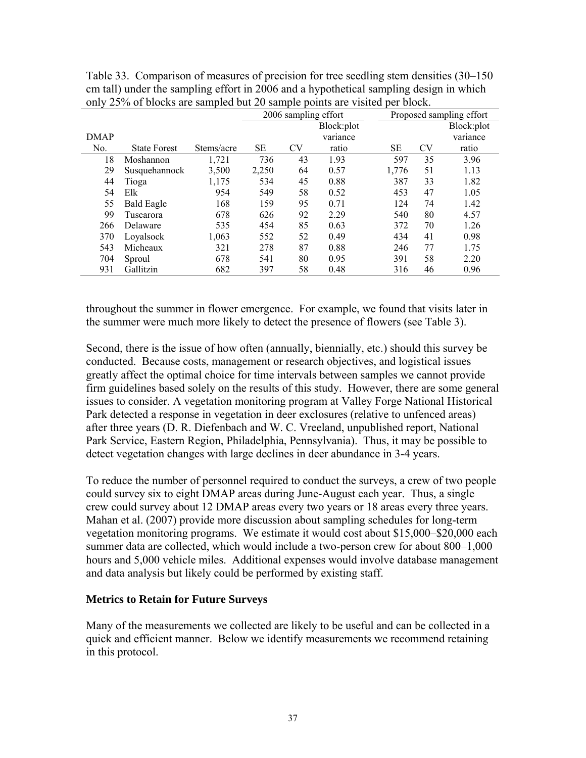|                |                     |            | 2006 sampling effort |    |            | Proposed sampling effort |    |            |  |  |
|----------------|---------------------|------------|----------------------|----|------------|--------------------------|----|------------|--|--|
|                |                     |            |                      |    | Block:plot |                          |    | Block:plot |  |  |
| <b>DMAP</b>    |                     |            |                      |    | variance   |                          |    | variance   |  |  |
| N <sub>0</sub> | <b>State Forest</b> | Stems/acre | <b>SE</b>            | CV | ratio      | SE                       | CV | ratio      |  |  |
| 18             | Moshannon           | 1,721      | 736                  | 43 | 1.93       | 597                      | 35 | 3.96       |  |  |
| 29             | Susquehannock       | 3,500      | 2,250                | 64 | 0.57       | 1,776                    | 51 | 1.13       |  |  |
| 44             | Tioga               | 1,175      | 534                  | 45 | 0.88       | 387                      | 33 | 1.82       |  |  |
| 54             | Elk                 | 954        | 549                  | 58 | 0.52       | 453                      | 47 | 1.05       |  |  |
| 55             | <b>Bald Eagle</b>   | 168        | 159                  | 95 | 0.71       | 124                      | 74 | 1.42       |  |  |
| 99             | Tuscarora           | 678        | 626                  | 92 | 2.29       | 540                      | 80 | 4.57       |  |  |
| 266            | Delaware            | 535        | 454                  | 85 | 0.63       | 372                      | 70 | 1.26       |  |  |
| 370            | Loyalsock           | 1,063      | 552                  | 52 | 0.49       | 434                      | 41 | 0.98       |  |  |
| 543            | Micheaux            | 321        | 278                  | 87 | 0.88       | 246                      | 77 | 1.75       |  |  |
| 704            | Sproul              | 678        | 541                  | 80 | 0.95       | 391                      | 58 | 2.20       |  |  |
| 931            | Gallitzin           | 682        | 397                  | 58 | 0.48       | 316                      | 46 | 0.96       |  |  |

Table 33. Comparison of measures of precision for tree seedling stem densities (30–150 cm tall) under the sampling effort in 2006 and a hypothetical sampling design in which only 25% of blocks are sampled but 20 sample points are visited per block.

throughout the summer in flower emergence. For example, we found that visits later in the summer were much more likely to detect the presence of flowers (see Table 3).

Second, there is the issue of how often (annually, biennially, etc.) should this survey be conducted. Because costs, management or research objectives, and logistical issues greatly affect the optimal choice for time intervals between samples we cannot provide firm guidelines based solely on the results of this study. However, there are some general issues to consider. A vegetation monitoring program at Valley Forge National Historical Park detected a response in vegetation in deer exclosures (relative to unfenced areas) after three years (D. R. Diefenbach and W. C. Vreeland, unpublished report, National Park Service, Eastern Region, Philadelphia, Pennsylvania). Thus, it may be possible to detect vegetation changes with large declines in deer abundance in 3-4 years.

To reduce the number of personnel required to conduct the surveys, a crew of two people could survey six to eight DMAP areas during June-August each year. Thus, a single crew could survey about 12 DMAP areas every two years or 18 areas every three years. Mahan et al. (2007) provide more discussion about sampling schedules for long-term vegetation monitoring programs. We estimate it would cost about \$15,000–\$20,000 each summer data are collected, which would include a two-person crew for about 800–1,000 hours and 5,000 vehicle miles. Additional expenses would involve database management and data analysis but likely could be performed by existing staff.

## **Metrics to Retain for Future Surveys**

Many of the measurements we collected are likely to be useful and can be collected in a quick and efficient manner. Below we identify measurements we recommend retaining in this protocol.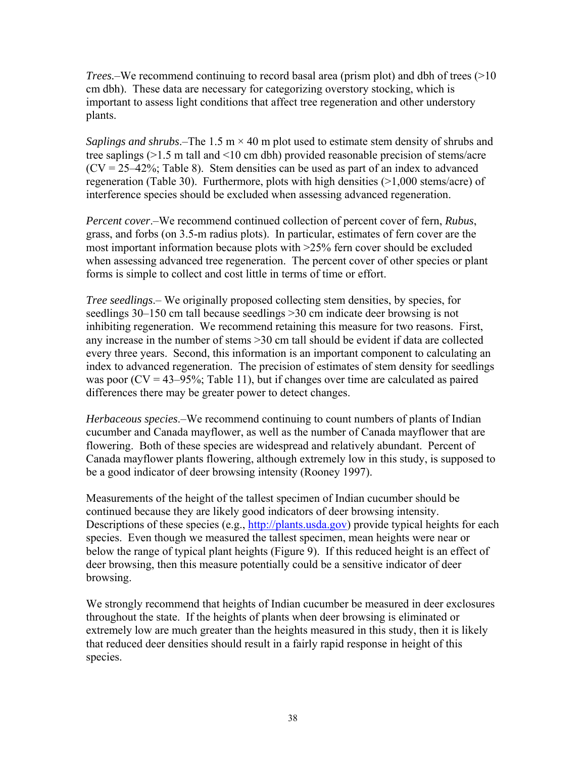*Trees.*–We recommend continuing to record basal area (prism plot) and dbh of trees (>10 cm dbh). These data are necessary for categorizing overstory stocking, which is important to assess light conditions that affect tree regeneration and other understory plants.

*Saplings and shrubs*.–The 1.5 m  $\times$  40 m plot used to estimate stem density of shrubs and tree saplings (>1.5 m tall and <10 cm dbh) provided reasonable precision of stems/acre  $(CV = 25-42\%$ ; Table 8). Stem densities can be used as part of an index to advanced regeneration (Table 30). Furthermore, plots with high densities (>1,000 stems/acre) of interference species should be excluded when assessing advanced regeneration.

*Percent cover*.–We recommend continued collection of percent cover of fern, *Rubus*, grass, and forbs (on 3.5-m radius plots). In particular, estimates of fern cover are the most important information because plots with >25% fern cover should be excluded when assessing advanced tree regeneration. The percent cover of other species or plant forms is simple to collect and cost little in terms of time or effort.

*Tree seedlings*.– We originally proposed collecting stem densities, by species, for seedlings 30–150 cm tall because seedlings >30 cm indicate deer browsing is not inhibiting regeneration. We recommend retaining this measure for two reasons. First, any increase in the number of stems >30 cm tall should be evident if data are collected every three years. Second, this information is an important component to calculating an index to advanced regeneration. The precision of estimates of stem density for seedlings was poor  $(CV = 43-95\%$ ; Table 11), but if changes over time are calculated as paired differences there may be greater power to detect changes.

*Herbaceous species*.–We recommend continuing to count numbers of plants of Indian cucumber and Canada mayflower, as well as the number of Canada mayflower that are flowering. Both of these species are widespread and relatively abundant. Percent of Canada mayflower plants flowering, although extremely low in this study, is supposed to be a good indicator of deer browsing intensity (Rooney 1997).

Measurements of the height of the tallest specimen of Indian cucumber should be continued because they are likely good indicators of deer browsing intensity. Descriptions of these species (e.g., http://plants.usda.gov) provide typical heights for each species. Even though we measured the tallest specimen, mean heights were near or below the range of typical plant heights (Figure 9). If this reduced height is an effect of deer browsing, then this measure potentially could be a sensitive indicator of deer browsing.

We strongly recommend that heights of Indian cucumber be measured in deer exclosures throughout the state. If the heights of plants when deer browsing is eliminated or extremely low are much greater than the heights measured in this study, then it is likely that reduced deer densities should result in a fairly rapid response in height of this species.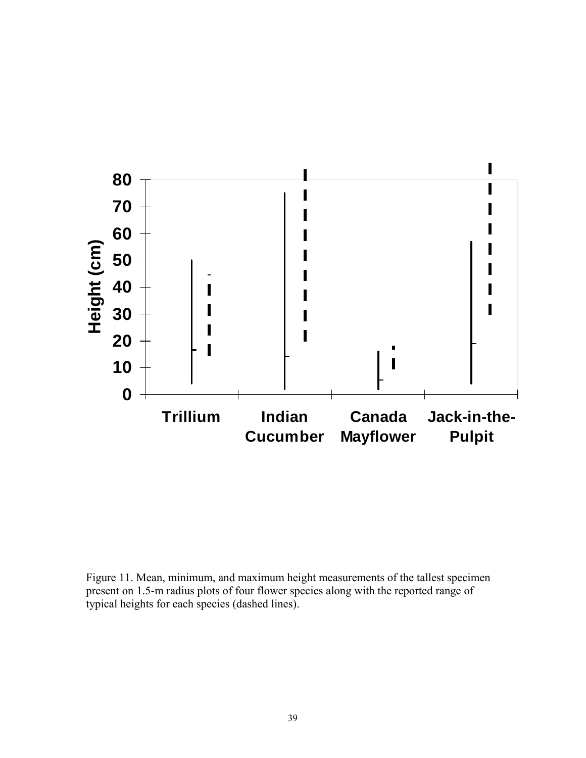

Figure 11. Mean, minimum, and maximum height measurements of the tallest specimen present on 1.5-m radius plots of four flower species along with the reported range of typical heights for each species (dashed lines).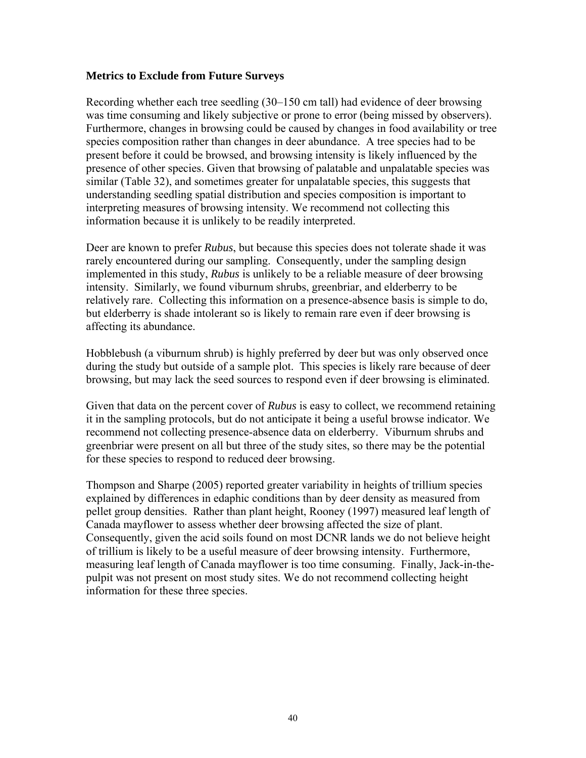## **Metrics to Exclude from Future Surveys**

Recording whether each tree seedling (30–150 cm tall) had evidence of deer browsing was time consuming and likely subjective or prone to error (being missed by observers). Furthermore, changes in browsing could be caused by changes in food availability or tree species composition rather than changes in deer abundance. A tree species had to be present before it could be browsed, and browsing intensity is likely influenced by the presence of other species. Given that browsing of palatable and unpalatable species was similar (Table 32), and sometimes greater for unpalatable species, this suggests that understanding seedling spatial distribution and species composition is important to interpreting measures of browsing intensity. We recommend not collecting this information because it is unlikely to be readily interpreted.

Deer are known to prefer *Rubus*, but because this species does not tolerate shade it was rarely encountered during our sampling. Consequently, under the sampling design implemented in this study, *Rubus* is unlikely to be a reliable measure of deer browsing intensity. Similarly, we found viburnum shrubs, greenbriar, and elderberry to be relatively rare. Collecting this information on a presence-absence basis is simple to do, but elderberry is shade intolerant so is likely to remain rare even if deer browsing is affecting its abundance.

Hobblebush (a viburnum shrub) is highly preferred by deer but was only observed once during the study but outside of a sample plot. This species is likely rare because of deer browsing, but may lack the seed sources to respond even if deer browsing is eliminated.

Given that data on the percent cover of *Rubus* is easy to collect, we recommend retaining it in the sampling protocols, but do not anticipate it being a useful browse indicator. We recommend not collecting presence-absence data on elderberry. Viburnum shrubs and greenbriar were present on all but three of the study sites, so there may be the potential for these species to respond to reduced deer browsing.

Thompson and Sharpe (2005) reported greater variability in heights of trillium species explained by differences in edaphic conditions than by deer density as measured from pellet group densities. Rather than plant height, Rooney (1997) measured leaf length of Canada mayflower to assess whether deer browsing affected the size of plant. Consequently, given the acid soils found on most DCNR lands we do not believe height of trillium is likely to be a useful measure of deer browsing intensity. Furthermore, measuring leaf length of Canada mayflower is too time consuming. Finally, Jack-in-thepulpit was not present on most study sites. We do not recommend collecting height information for these three species.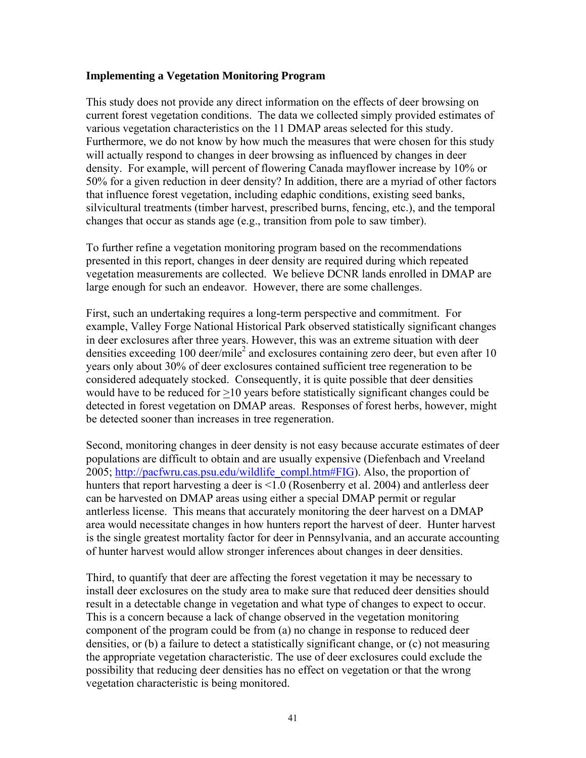## **Implementing a Vegetation Monitoring Program**

This study does not provide any direct information on the effects of deer browsing on current forest vegetation conditions. The data we collected simply provided estimates of various vegetation characteristics on the 11 DMAP areas selected for this study. Furthermore, we do not know by how much the measures that were chosen for this study will actually respond to changes in deer browsing as influenced by changes in deer density. For example, will percent of flowering Canada mayflower increase by 10% or 50% for a given reduction in deer density? In addition, there are a myriad of other factors that influence forest vegetation, including edaphic conditions, existing seed banks, silvicultural treatments (timber harvest, prescribed burns, fencing, etc.), and the temporal changes that occur as stands age (e.g., transition from pole to saw timber).

To further refine a vegetation monitoring program based on the recommendations presented in this report, changes in deer density are required during which repeated vegetation measurements are collected. We believe DCNR lands enrolled in DMAP are large enough for such an endeavor. However, there are some challenges.

First, such an undertaking requires a long-term perspective and commitment. For example, Valley Forge National Historical Park observed statistically significant changes in deer exclosures after three years. However, this was an extreme situation with deer densities exceeding 100 deer/mile<sup>2</sup> and exclosures containing zero deer, but even after 10 years only about 30% of deer exclosures contained sufficient tree regeneration to be considered adequately stocked. Consequently, it is quite possible that deer densities would have to be reduced for >10 years before statistically significant changes could be detected in forest vegetation on DMAP areas. Responses of forest herbs, however, might be detected sooner than increases in tree regeneration.

Second, monitoring changes in deer density is not easy because accurate estimates of deer populations are difficult to obtain and are usually expensive (Diefenbach and Vreeland 2005; http://pacfwru.cas.psu.edu/wildlife\_compl.htm#FIG). Also, the proportion of hunters that report harvesting a deer is <1.0 (Rosenberry et al. 2004) and antlerless deer can be harvested on DMAP areas using either a special DMAP permit or regular antlerless license. This means that accurately monitoring the deer harvest on a DMAP area would necessitate changes in how hunters report the harvest of deer. Hunter harvest is the single greatest mortality factor for deer in Pennsylvania, and an accurate accounting of hunter harvest would allow stronger inferences about changes in deer densities.

Third, to quantify that deer are affecting the forest vegetation it may be necessary to install deer exclosures on the study area to make sure that reduced deer densities should result in a detectable change in vegetation and what type of changes to expect to occur. This is a concern because a lack of change observed in the vegetation monitoring component of the program could be from (a) no change in response to reduced deer densities, or (b) a failure to detect a statistically significant change, or (c) not measuring the appropriate vegetation characteristic. The use of deer exclosures could exclude the possibility that reducing deer densities has no effect on vegetation or that the wrong vegetation characteristic is being monitored.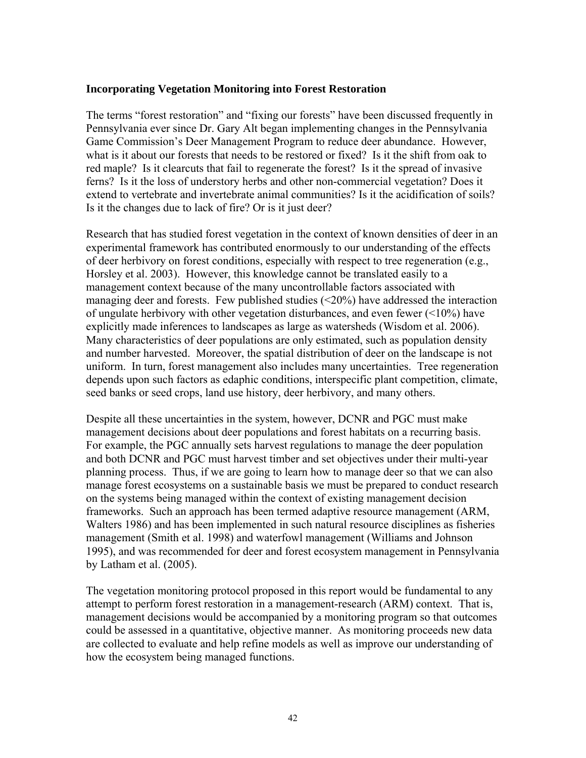### **Incorporating Vegetation Monitoring into Forest Restoration**

The terms "forest restoration" and "fixing our forests" have been discussed frequently in Pennsylvania ever since Dr. Gary Alt began implementing changes in the Pennsylvania Game Commission's Deer Management Program to reduce deer abundance. However, what is it about our forests that needs to be restored or fixed? Is it the shift from oak to red maple? Is it clearcuts that fail to regenerate the forest? Is it the spread of invasive ferns? Is it the loss of understory herbs and other non-commercial vegetation? Does it extend to vertebrate and invertebrate animal communities? Is it the acidification of soils? Is it the changes due to lack of fire? Or is it just deer?

Research that has studied forest vegetation in the context of known densities of deer in an experimental framework has contributed enormously to our understanding of the effects of deer herbivory on forest conditions, especially with respect to tree regeneration (e.g., Horsley et al. 2003). However, this knowledge cannot be translated easily to a management context because of the many uncontrollable factors associated with managing deer and forests. Few published studies  $\left( \langle 20\% \rangle \right)$  have addressed the interaction of ungulate herbivory with other vegetation disturbances, and even fewer (<10%) have explicitly made inferences to landscapes as large as watersheds (Wisdom et al. 2006). Many characteristics of deer populations are only estimated, such as population density and number harvested. Moreover, the spatial distribution of deer on the landscape is not uniform. In turn, forest management also includes many uncertainties. Tree regeneration depends upon such factors as edaphic conditions, interspecific plant competition, climate, seed banks or seed crops, land use history, deer herbivory, and many others.

Despite all these uncertainties in the system, however, DCNR and PGC must make management decisions about deer populations and forest habitats on a recurring basis. For example, the PGC annually sets harvest regulations to manage the deer population and both DCNR and PGC must harvest timber and set objectives under their multi-year planning process. Thus, if we are going to learn how to manage deer so that we can also manage forest ecosystems on a sustainable basis we must be prepared to conduct research on the systems being managed within the context of existing management decision frameworks. Such an approach has been termed adaptive resource management (ARM, Walters 1986) and has been implemented in such natural resource disciplines as fisheries management (Smith et al. 1998) and waterfowl management (Williams and Johnson 1995), and was recommended for deer and forest ecosystem management in Pennsylvania by Latham et al. (2005).

The vegetation monitoring protocol proposed in this report would be fundamental to any attempt to perform forest restoration in a management-research (ARM) context. That is, management decisions would be accompanied by a monitoring program so that outcomes could be assessed in a quantitative, objective manner. As monitoring proceeds new data are collected to evaluate and help refine models as well as improve our understanding of how the ecosystem being managed functions.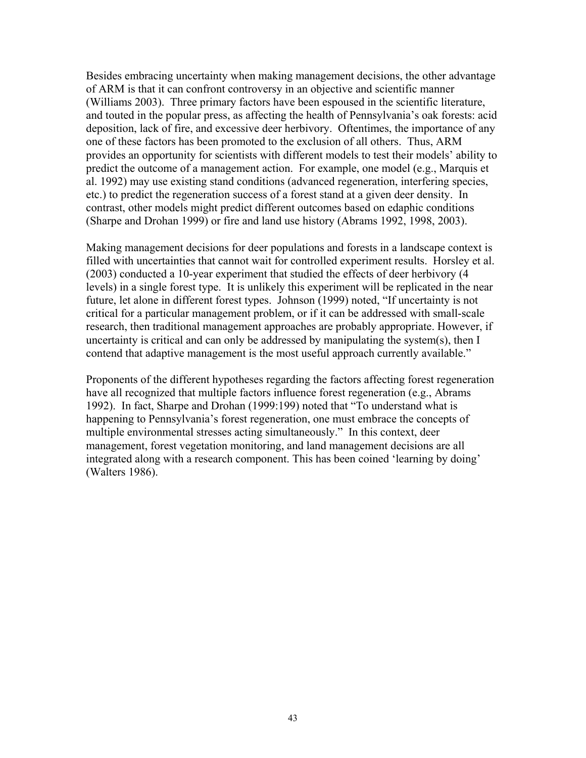Besides embracing uncertainty when making management decisions, the other advantage of ARM is that it can confront controversy in an objective and scientific manner (Williams 2003). Three primary factors have been espoused in the scientific literature, and touted in the popular press, as affecting the health of Pennsylvania's oak forests: acid deposition, lack of fire, and excessive deer herbivory. Oftentimes, the importance of any one of these factors has been promoted to the exclusion of all others. Thus, ARM provides an opportunity for scientists with different models to test their models' ability to predict the outcome of a management action. For example, one model (e.g., Marquis et al. 1992) may use existing stand conditions (advanced regeneration, interfering species, etc.) to predict the regeneration success of a forest stand at a given deer density. In contrast, other models might predict different outcomes based on edaphic conditions (Sharpe and Drohan 1999) or fire and land use history (Abrams 1992, 1998, 2003).

Making management decisions for deer populations and forests in a landscape context is filled with uncertainties that cannot wait for controlled experiment results. Horsley et al. (2003) conducted a 10-year experiment that studied the effects of deer herbivory (4 levels) in a single forest type. It is unlikely this experiment will be replicated in the near future, let alone in different forest types. Johnson (1999) noted, "If uncertainty is not critical for a particular management problem, or if it can be addressed with small-scale research, then traditional management approaches are probably appropriate. However, if uncertainty is critical and can only be addressed by manipulating the system(s), then I contend that adaptive management is the most useful approach currently available."

Proponents of the different hypotheses regarding the factors affecting forest regeneration have all recognized that multiple factors influence forest regeneration (e.g., Abrams 1992). In fact, Sharpe and Drohan (1999:199) noted that "To understand what is happening to Pennsylvania's forest regeneration, one must embrace the concepts of multiple environmental stresses acting simultaneously." In this context, deer management, forest vegetation monitoring, and land management decisions are all integrated along with a research component. This has been coined 'learning by doing' (Walters 1986).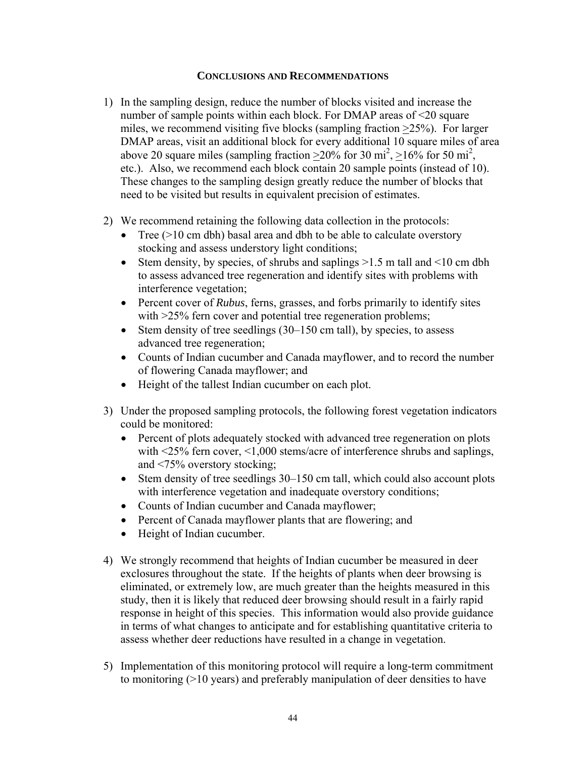## **CONCLUSIONS AND RECOMMENDATIONS**

- 1) In the sampling design, reduce the number of blocks visited and increase the number of sample points within each block. For DMAP areas of <20 square miles, we recommend visiting five blocks (sampling fraction >25%). For larger DMAP areas, visit an additional block for every additional 10 square miles of area above 20 square miles (sampling fraction  $\geq$  20% for 30 mi<sup>2</sup>,  $\geq$  16% for 50 mi<sup>2</sup>, etc.). Also, we recommend each block contain 20 sample points (instead of 10). These changes to the sampling design greatly reduce the number of blocks that need to be visited but results in equivalent precision of estimates.
- 2) We recommend retaining the following data collection in the protocols:
	- Tree  $(>10 \text{ cm dbh})$  basal area and dbh to be able to calculate overstory stocking and assess understory light conditions;
	- Stem density, by species, of shrubs and saplings  $>1.5$  m tall and  $<10$  cm dbh to assess advanced tree regeneration and identify sites with problems with interference vegetation;
	- Percent cover of *Rubus*, ferns, grasses, and forbs primarily to identify sites with  $>25\%$  fern cover and potential tree regeneration problems;
	- Stem density of tree seedlings (30–150 cm tall), by species, to assess advanced tree regeneration;
	- Counts of Indian cucumber and Canada mayflower, and to record the number of flowering Canada mayflower; and
	- Height of the tallest Indian cucumber on each plot.
- 3) Under the proposed sampling protocols, the following forest vegetation indicators could be monitored:
	- Percent of plots adequately stocked with advanced tree regeneration on plots with <25% fern cover, <1,000 stems/acre of interference shrubs and saplings, and <75% overstory stocking;
	- Stem density of tree seedlings 30–150 cm tall, which could also account plots with interference vegetation and inadequate overstory conditions;
	- Counts of Indian cucumber and Canada mayflower;
	- Percent of Canada mayflower plants that are flowering; and
	- Height of Indian cucumber.
- 4) We strongly recommend that heights of Indian cucumber be measured in deer exclosures throughout the state. If the heights of plants when deer browsing is eliminated, or extremely low, are much greater than the heights measured in this study, then it is likely that reduced deer browsing should result in a fairly rapid response in height of this species. This information would also provide guidance in terms of what changes to anticipate and for establishing quantitative criteria to assess whether deer reductions have resulted in a change in vegetation.
- 5) Implementation of this monitoring protocol will require a long-term commitment to monitoring (>10 years) and preferably manipulation of deer densities to have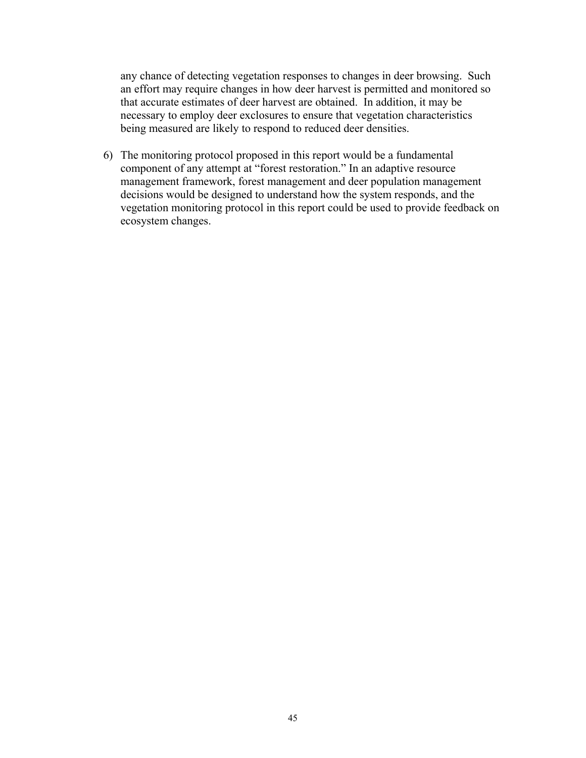any chance of detecting vegetation responses to changes in deer browsing. Such an effort may require changes in how deer harvest is permitted and monitored so that accurate estimates of deer harvest are obtained. In addition, it may be necessary to employ deer exclosures to ensure that vegetation characteristics being measured are likely to respond to reduced deer densities.

6) The monitoring protocol proposed in this report would be a fundamental component of any attempt at "forest restoration." In an adaptive resource management framework, forest management and deer population management decisions would be designed to understand how the system responds, and the vegetation monitoring protocol in this report could be used to provide feedback on ecosystem changes.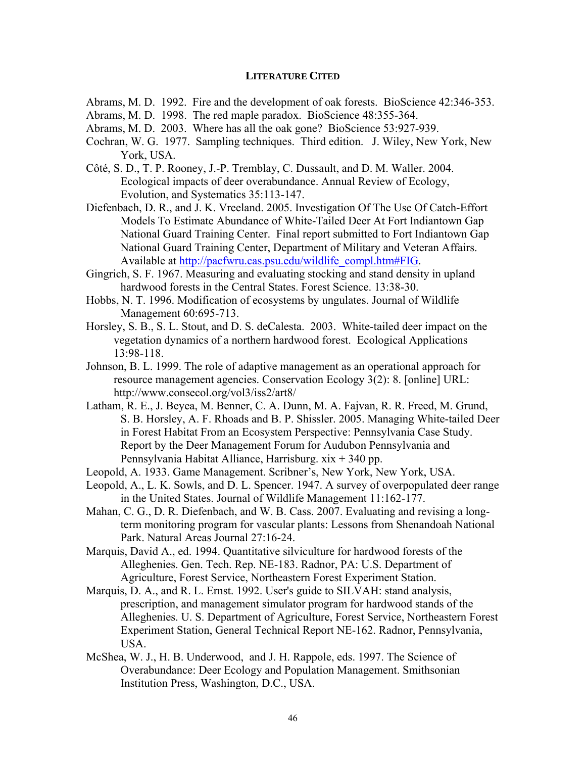#### **LITERATURE CITED**

- Abrams, M. D. 1992. Fire and the development of oak forests. BioScience 42:346-353.
- Abrams, M. D. 1998. The red maple paradox. BioScience 48:355-364.
- Abrams, M. D. 2003. Where has all the oak gone? BioScience 53:927-939.
- Cochran, W. G. 1977. Sampling techniques. Third edition. J. Wiley, New York, New York, USA.
- Côté, S. D., T. P. Rooney, J.-P. Tremblay, C. Dussault, and D. M. Waller. 2004. Ecological impacts of deer overabundance. Annual Review of Ecology, Evolution, and Systematics 35:113-147.
- Diefenbach, D. R., and J. K. Vreeland. 2005. Investigation Of The Use Of Catch-Effort Models To Estimate Abundance of White-Tailed Deer At Fort Indiantown Gap National Guard Training Center. Final report submitted to Fort Indiantown Gap National Guard Training Center, Department of Military and Veteran Affairs. Available at http://pacfwru.cas.psu.edu/wildlife\_compl.htm#FIG.
- Gingrich, S. F. 1967. Measuring and evaluating stocking and stand density in upland hardwood forests in the Central States. Forest Science. 13:38-30.
- Hobbs, N. T. 1996. Modification of ecosystems by ungulates. Journal of Wildlife Management 60:695-713.
- Horsley, S. B., S. L. Stout, and D. S. deCalesta. 2003. White-tailed deer impact on the vegetation dynamics of a northern hardwood forest. Ecological Applications 13:98-118.
- Johnson, B. L. 1999. The role of adaptive management as an operational approach for resource management agencies. Conservation Ecology 3(2): 8. [online] URL: http://www.consecol.org/vol3/iss2/art8/
- Latham, R. E., J. Beyea, M. Benner, C. A. Dunn, M. A. Fajvan, R. R. Freed, M. Grund, S. B. Horsley, A. F. Rhoads and B. P. Shissler. 2005. Managing White-tailed Deer in Forest Habitat From an Ecosystem Perspective: Pennsylvania Case Study. Report by the Deer Management Forum for Audubon Pennsylvania and Pennsylvania Habitat Alliance, Harrisburg. xix + 340 pp.
- Leopold, A. 1933. Game Management. Scribner's, New York, New York, USA.
- Leopold, A., L. K. Sowls, and D. L. Spencer. 1947. A survey of overpopulated deer range in the United States. Journal of Wildlife Management 11:162-177.
- Mahan, C. G., D. R. Diefenbach, and W. B. Cass. 2007. Evaluating and revising a longterm monitoring program for vascular plants: Lessons from Shenandoah National Park. Natural Areas Journal 27:16-24.
- Marquis, David A., ed. 1994. Quantitative silviculture for hardwood forests of the Alleghenies. Gen. Tech. Rep. NE-183. Radnor, PA: U.S. Department of Agriculture, Forest Service, Northeastern Forest Experiment Station.
- Marquis, D. A., and R. L. Ernst. 1992. User's guide to SILVAH: stand analysis, prescription, and management simulator program for hardwood stands of the Alleghenies. U. S. Department of Agriculture, Forest Service, Northeastern Forest Experiment Station, General Technical Report NE-162. Radnor, Pennsylvania, USA.
- McShea, W. J., H. B. Underwood, and J. H. Rappole, eds. 1997. The Science of Overabundance: Deer Ecology and Population Management. Smithsonian Institution Press, Washington, D.C., USA.